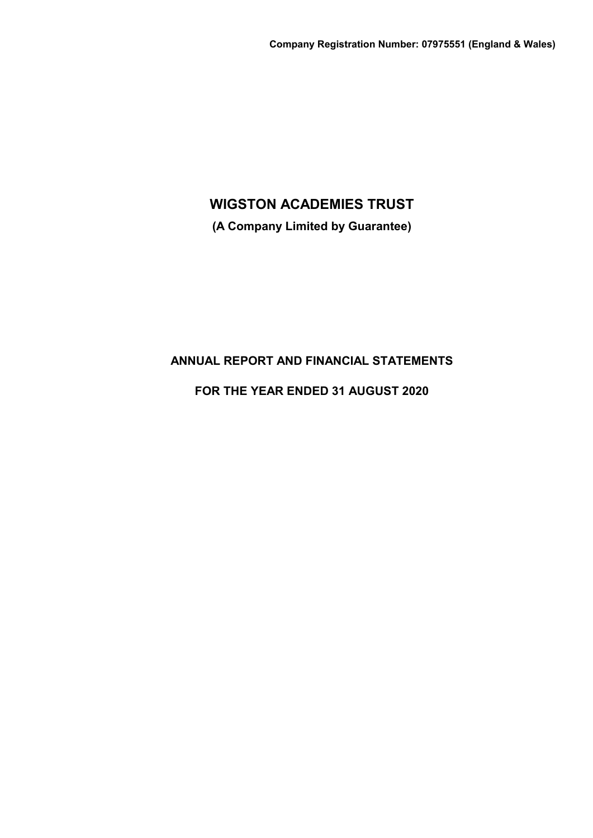**(A Company Limited by Guarantee)**

# **ANNUAL REPORT AND FINANCIAL STATEMENTS**

# **FOR THE YEAR ENDED 31 AUGUST 2020**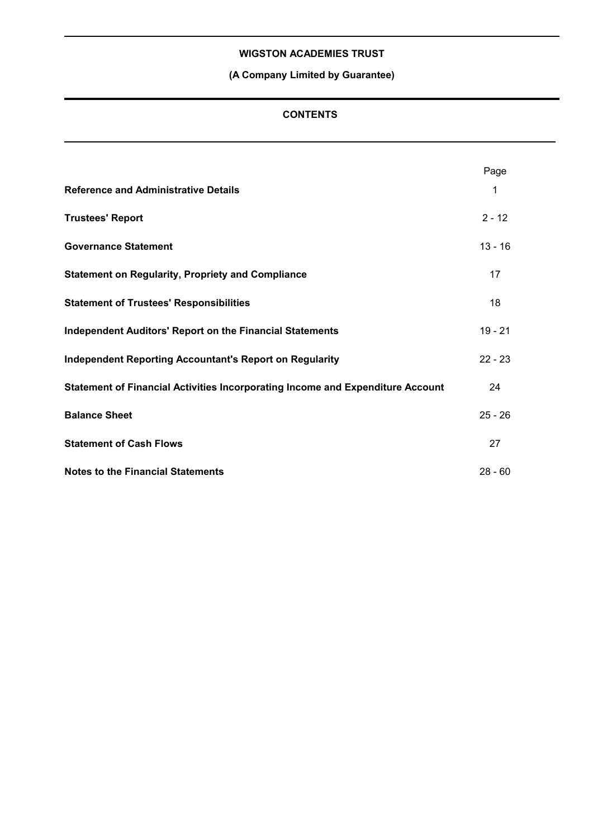# **(A Company Limited by Guarantee)**

## **CONTENTS**

|                                                                                | Page      |  |
|--------------------------------------------------------------------------------|-----------|--|
| <b>Reference and Administrative Details</b>                                    | 1         |  |
| <b>Trustees' Report</b>                                                        | $2 - 12$  |  |
| <b>Governance Statement</b>                                                    | $13 - 16$ |  |
| <b>Statement on Regularity, Propriety and Compliance</b>                       | 17        |  |
| <b>Statement of Trustees' Responsibilities</b>                                 | 18        |  |
| <b>Independent Auditors' Report on the Financial Statements</b>                | $19 - 21$ |  |
| <b>Independent Reporting Accountant's Report on Regularity</b>                 | $22 - 23$ |  |
| Statement of Financial Activities Incorporating Income and Expenditure Account | 24        |  |
| <b>Balance Sheet</b>                                                           | $25 - 26$ |  |
| <b>Statement of Cash Flows</b>                                                 | 27        |  |
| <b>Notes to the Financial Statements</b>                                       | $28 - 60$ |  |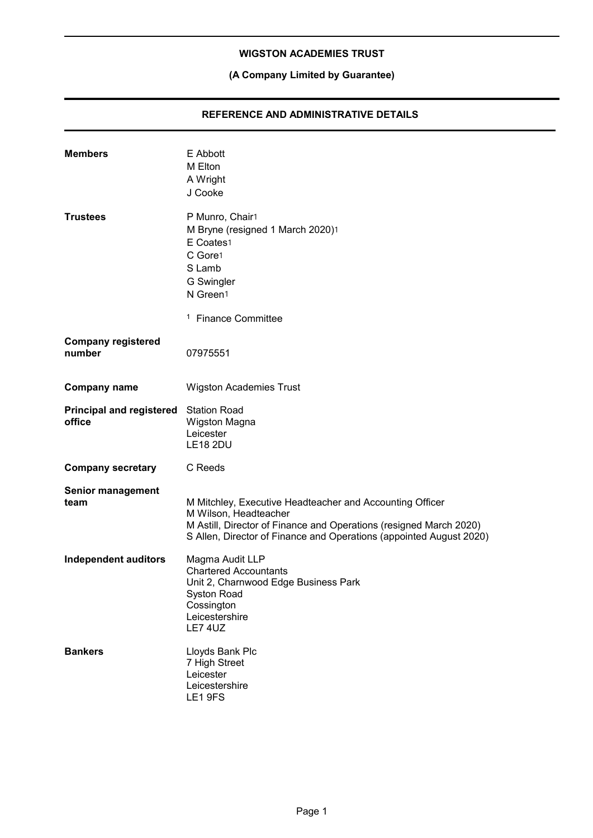# **(A Company Limited by Guarantee)**

## **REFERENCE AND ADMINISTRATIVE DETAILS**

| <b>Members</b>                                  | E Abbott<br>M Elton<br>A Wright<br>J Cooke                                                                                                                                                                                     |
|-------------------------------------------------|--------------------------------------------------------------------------------------------------------------------------------------------------------------------------------------------------------------------------------|
| <b>Trustees</b>                                 | P Munro, Chair1<br>M Bryne (resigned 1 March 2020)1<br>E Coates1<br>C Gore1<br>S Lamb<br>G Swingler<br>N Green1                                                                                                                |
|                                                 | <sup>1</sup> Finance Committee                                                                                                                                                                                                 |
| <b>Company registered</b><br>number             | 07975551                                                                                                                                                                                                                       |
| <b>Company name</b>                             | <b>Wigston Academies Trust</b>                                                                                                                                                                                                 |
| Principal and registered Station Road<br>office | Wigston Magna<br>Leicester<br><b>LE18 2DU</b>                                                                                                                                                                                  |
| <b>Company secretary</b>                        | C Reeds                                                                                                                                                                                                                        |
| <b>Senior management</b><br>team                | M Mitchley, Executive Headteacher and Accounting Officer<br>M Wilson, Headteacher<br>M Astill, Director of Finance and Operations (resigned March 2020)<br>S Allen, Director of Finance and Operations (appointed August 2020) |
| <b>Independent auditors</b>                     | Magma Audit LLP<br><b>Chartered Accountants</b><br>Unit 2, Charnwood Edge Business Park<br>Syston Road<br>Cossington<br>Leicestershire<br><b>LE7 4UZ</b>                                                                       |
| <b>Bankers</b>                                  | Lloyds Bank Plc<br>7 High Street<br>Leicester<br>Leicestershire<br>LE1 9FS                                                                                                                                                     |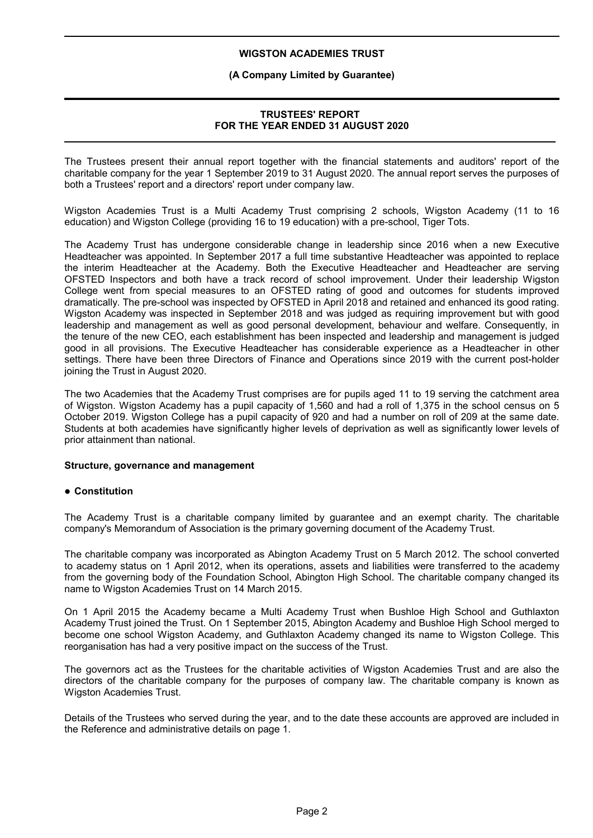#### **(A Company Limited by Guarantee)**

## **TRUSTEES' REPORT FOR THE YEAR ENDED 31 AUGUST 2020**

The Trustees present their annual report together with the financial statements and auditors' report of the charitable company for the year 1 September 2019 to 31 August 2020. The annual report serves the purposes of both a Trustees' report and a directors' report under company law.

Wigston Academies Trust is a Multi Academy Trust comprising 2 schools, Wigston Academy (11 to 16 education) and Wigston College (providing 16 to 19 education) with a pre-school, Tiger Tots.

The Academy Trust has undergone considerable change in leadership since 2016 when a new Executive Headteacher was appointed. In September 2017 a full time substantive Headteacher was appointed to replace the interim Headteacher at the Academy. Both the Executive Headteacher and Headteacher are serving OFSTED Inspectors and both have a track record of school improvement. Under their leadership Wigston College went from special measures to an OFSTED rating of good and outcomes for students improved dramatically. The pre-school was inspected by OFSTED in April 2018 and retained and enhanced its good rating. Wigston Academy was inspected in September 2018 and was judged as requiring improvement but with good leadership and management as well as good personal development, behaviour and welfare. Consequently, in the tenure of the new CEO, each establishment has been inspected and leadership and management is judged good in all provisions. The Executive Headteacher has considerable experience as a Headteacher in other settings. There have been three Directors of Finance and Operations since 2019 with the current post-holder joining the Trust in August 2020.

The two Academies that the Academy Trust comprises are for pupils aged 11 to 19 serving the catchment area of Wigston. Wigston Academy has a pupil capacity of 1,560 and had a roll of 1,375 in the school census on 5 October 2019. Wigston College has a pupil capacity of 920 and had a number on roll of 209 at the same date. Students at both academies have significantly higher levels of deprivation as well as significantly lower levels of prior attainment than national.

#### **Structure, governance and management**

#### **Constitution**

The Academy Trust is a charitable company limited by guarantee and an exempt charity. The charitable company's Memorandum of Association is the primary governing document of the Academy Trust.

The charitable company was incorporated as Abington Academy Trust on 5 March 2012. The school converted to academy status on 1 April 2012, when its operations, assets and liabilities were transferred to the academy from the governing body of the Foundation School, Abington High School. The charitable company changed its name to Wigston Academies Trust on 14 March 2015.

On 1 April 2015 the Academy became a Multi Academy Trust when Bushloe High School and Guthlaxton Academy Trust joined the Trust. On 1 September 2015, Abington Academy and Bushloe High School merged to become one school Wigston Academy, and Guthlaxton Academy changed its name to Wigston College. This reorganisation has had a very positive impact on the success of the Trust.

The governors act as the Trustees for the charitable activities of Wigston Academies Trust and are also the directors of the charitable company for the purposes of company law. The charitable company is known as Wigston Academies Trust.

Details of the Trustees who served during the year, and to the date these accounts are approved are included in the Reference and administrative details on page 1.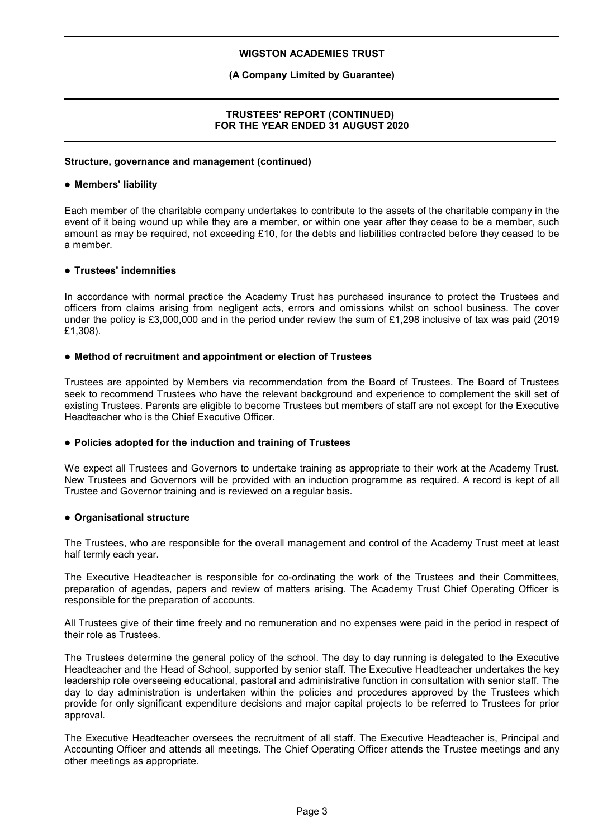#### **(A Company Limited by Guarantee)**

## **TRUSTEES' REPORT (CONTINUED) FOR THE YEAR ENDED 31 AUGUST 2020**

#### **Structure, governance and management (continued)**

#### **Members' liability**

Each member of the charitable company undertakes to contribute to the assets of the charitable company in the event of it being wound up while they are a member, or within one year after they cease to be a member, such amount as may be required, not exceeding £10, for the debts and liabilities contracted before they ceased to be a member.

#### **Trustees' indemnities**

In accordance with normal practice the Academy Trust has purchased insurance to protect the Trustees and officers from claims arising from negligent acts, errors and omissions whilst on school business. The cover under the policy is £3,000,000 and in the period under review the sum of £1,298 inclusive of tax was paid (2019 £1,308).

#### **Method of recruitment and appointment or election of Trustees**

Trustees are appointed by Members via recommendation from the Board of Trustees. The Board of Trustees seek to recommend Trustees who have the relevant background and experience to complement the skill set of existing Trustees. Parents are eligible to become Trustees but members of staff are not except for the Executive Headteacher who is the Chief Executive Officer.

#### **Policies adopted for the induction and training of Trustees**

We expect all Trustees and Governors to undertake training as appropriate to their work at the Academy Trust. New Trustees and Governors will be provided with an induction programme as required. A record is kept of all Trustee and Governor training and is reviewed on a regular basis.

#### **Organisational structure**

The Trustees, who are responsible for the overall management and control of the Academy Trust meet at least half termly each year.

The Executive Headteacher is responsible for co-ordinating the work of the Trustees and their Committees, preparation of agendas, papers and review of matters arising. The Academy Trust Chief Operating Officer is responsible for the preparation of accounts.

All Trustees give of their time freely and no remuneration and no expenses were paid in the period in respect of their role as Trustees.

The Trustees determine the general policy of the school. The day to day running is delegated to the Executive Headteacher and the Head of School, supported by senior staff. The Executive Headteacher undertakes the key leadership role overseeing educational, pastoral and administrative function in consultation with senior staff. The day to day administration is undertaken within the policies and procedures approved by the Trustees which provide for only significant expenditure decisions and major capital projects to be referred to Trustees for prior approval.

The Executive Headteacher oversees the recruitment of all staff. The Executive Headteacher is, Principal and Accounting Officer and attends all meetings. The Chief Operating Officer attends the Trustee meetings and any other meetings as appropriate.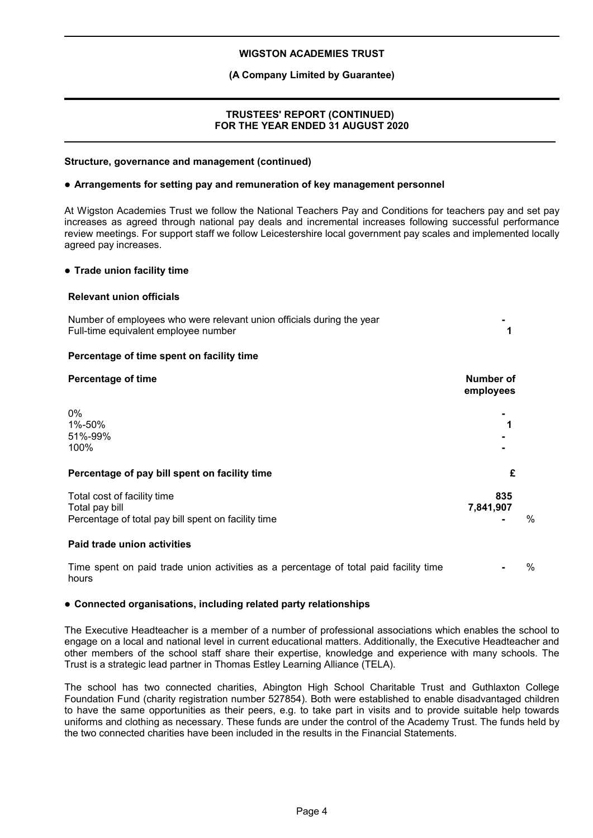## **(A Company Limited by Guarantee)**

## **TRUSTEES' REPORT (CONTINUED) FOR THE YEAR ENDED 31 AUGUST 2020**

#### **Structure, governance and management (continued)**

#### **Arrangements for setting pay and remuneration of key management personnel**

At Wigston Academies Trust we follow the National Teachers Pay and Conditions for teachers pay and set pay increases as agreed through national pay deals and incremental increases following successful performance review meetings. For support staff we follow Leicestershire local government pay scales and implemented locally agreed pay increases.

#### **Trade union facility time**

#### **Relevant union officials**

| Number of employees who were relevant union officials during the year<br>Full-time equivalent employee number |                        |
|---------------------------------------------------------------------------------------------------------------|------------------------|
| Percentage of time spent on facility time                                                                     |                        |
| <b>Percentage of time</b>                                                                                     | Number of<br>employees |
| $0\%$                                                                                                         |                        |
| 1%-50%                                                                                                        |                        |
| 51%-99%<br>100%                                                                                               |                        |
|                                                                                                               |                        |
| Percentage of pay bill spent on facility time                                                                 | £                      |
| Total cost of facility time                                                                                   | 835                    |
| Total pay bill                                                                                                | 7,841,907              |

**Paid trade union activities**

Time spent on paid trade union activities as a percentage of total paid facility time hours **-** %

Percentage of total pay bill spent on facility time **ACCO Fig. 2.4 The Second Second Second Second Second Second Second Second Second Second Second Second Second Second Second Second Second Second Second Second Second Se** 

#### **Connected organisations, including related party relationships**

The Executive Headteacher is a member of a number of professional associations which enables the school to engage on a local and national level in current educational matters. Additionally, the Executive Headteacher and other members of the school staff share their expertise, knowledge and experience with many schools. The Trust is a strategic lead partner in Thomas Estley Learning Alliance (TELA).

The school has two connected charities, Abington High School Charitable Trust and Guthlaxton College Foundation Fund (charity registration number 527854). Both were established to enable disadvantaged children to have the same opportunities as their peers, e.g. to take part in visits and to provide suitable help towards uniforms and clothing as necessary. These funds are under the control of the Academy Trust. The funds held by the two connected charities have been included in the results in the Financial Statements.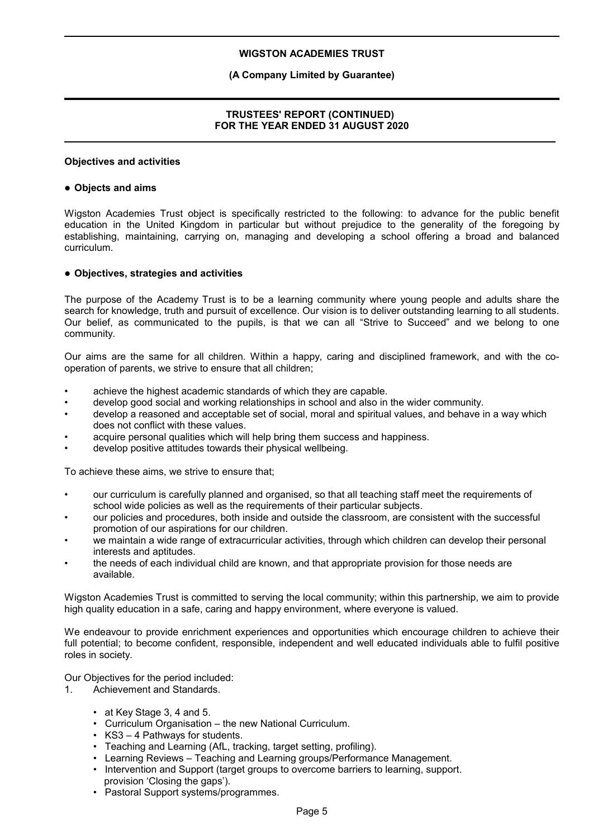## **(A Company Limited by Guarantee)**

## **TRUSTEES' REPORT (CONTINUED) FOR THE YEAR ENDED 31 AUGUST 2020**

#### **Objectives and activities**

#### **Objects and aims**

Wigston Academies Trust object is specifically restricted to the following: to advance for the public benefit education in the United Kingdom in particular but without prejudice to the generality of the foregoing by establishing, maintaining, carrying on, managing and developing a school offering a broad and balanced curriculum.

#### **Objectives, strategies and activities**

The purpose of the Academy Trust is to be a learning community where young people and adults share the search for knowledge, truth and pursuit of excellence. Our vision is to deliver outstanding learning to all students. Our belief, as communicated to the pupils, is that we can all "Strive to Succeed" and we belong to one community.

Our aims are the same for all children. Within a happy, caring and disciplined framework, and with the cooperation of parents, we strive to ensure that all children;

- achieve the highest academic standards of which they are capable.
- develop good social and working relationships in school and also in the wider community.
- develop a reasoned and acceptable set of social, moral and spiritual values, and behave in a way which does not conflict with these values.
- acquire personal qualities which will help bring them success and happiness.
- develop positive attitudes towards their physical wellbeing.

To achieve these aims, we strive to ensure that;

- our curriculum is carefully planned and organised, so that all teaching staff meet the requirements of school wide policies as well as the requirements of their particular subjects.
- our policies and procedures, both inside and outside the classroom, are consistent with the successful promotion of our aspirations for our children.
- we maintain a wide range of extracurricular activities, through which children can develop their personal interests and aptitudes.
- the needs of each individual child are known, and that appropriate provision for those needs are available.

Wigston Academies Trust is committed to serving the local community; within this partnership, we aim to provide high quality education in a safe, caring and happy environment, where everyone is valued.

We endeavour to provide enrichment experiences and opportunities which encourage children to achieve their full potential; to become confident, responsible, independent and well educated individuals able to fulfil positive roles in society.

Our Objectives for the period included:

- 1. Achievement and Standards.
	- at Key Stage 3, 4 and 5.
	- Curriculum Organisation the new National Curriculum.
	- KS3 4 Pathways for students.
	- Teaching and Learning (AfL, tracking, target setting, profiling).
	- Learning Reviews Teaching and Learning groups/Performance Management.
	- Intervention and Support (target groups to overcome barriers to learning, support. provision 'Closing the gaps').
	- Pastoral Support systems/programmes.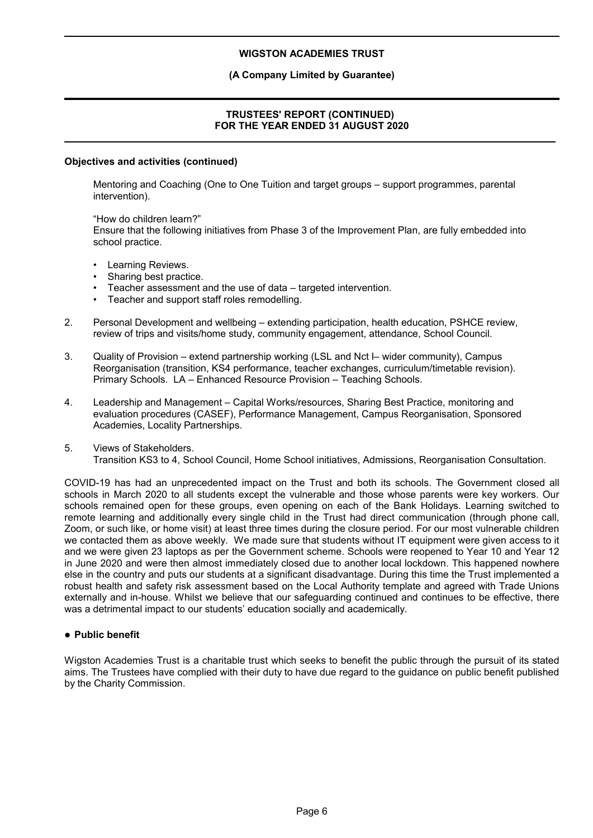## **(A Company Limited by Guarantee)**

## **TRUSTEES' REPORT (CONTINUED) FOR THE YEAR ENDED 31 AUGUST 2020**

#### **Objectives and activities (continued)**

Mentoring and Coaching (One to One Tuition and target groups – support programmes, parental intervention).

"How do children learn?" Ensure that the following initiatives from Phase 3 of the Improvement Plan, are fully embedded into school practice.

- Learning Reviews.
- Sharing best practice.
- Teacher assessment and the use of data targeted intervention.
- Teacher and support staff roles remodelling.
- 2. Personal Development and wellbeing extending participation, health education, PSHCE review, review of trips and visits/home study, community engagement, attendance, School Council.
- 3. Quality of Provision extend partnership working (LSL and Nct l– wider community), Campus Reorganisation (transition, KS4 performance, teacher exchanges, curriculum/timetable revision). Primary Schools. LA – Enhanced Resource Provision – Teaching Schools.
- 4. Leadership and Management Capital Works/resources, Sharing Best Practice, monitoring and evaluation procedures (CASEF), Performance Management, Campus Reorganisation, Sponsored Academies, Locality Partnerships.
- 5. Views of Stakeholders. Transition KS3 to 4, School Council, Home School initiatives, Admissions, Reorganisation Consultation.

COVID-19 has had an unprecedented impact on the Trust and both its schools. The Government closed all schools in March 2020 to all students except the vulnerable and those whose parents were key workers. Our schools remained open for these groups, even opening on each of the Bank Holidays. Learning switched to remote learning and additionally every single child in the Trust had direct communication (through phone call, Zoom, or such like, or home visit) at least three times during the closure period. For our most vulnerable children we contacted them as above weekly. We made sure that students without IT equipment were given access to it and we were given 23 laptops as per the Government scheme. Schools were reopened to Year 10 and Year 12 in June 2020 and were then almost immediately closed due to another local lockdown. This happened nowhere else in the country and puts our students at a significant disadvantage. During this time the Trust implemented a robust health and safety risk assessment based on the Local Authority template and agreed with Trade Unions externally and in-house. Whilst we believe that our safeguarding continued and continues to be effective, there was a detrimental impact to our students' education socially and academically.

#### **Public benefit**

Wigston Academies Trust is a charitable trust which seeks to benefit the public through the pursuit of its stated aims. The Trustees have complied with their duty to have due regard to the guidance on public benefit published by the Charity Commission.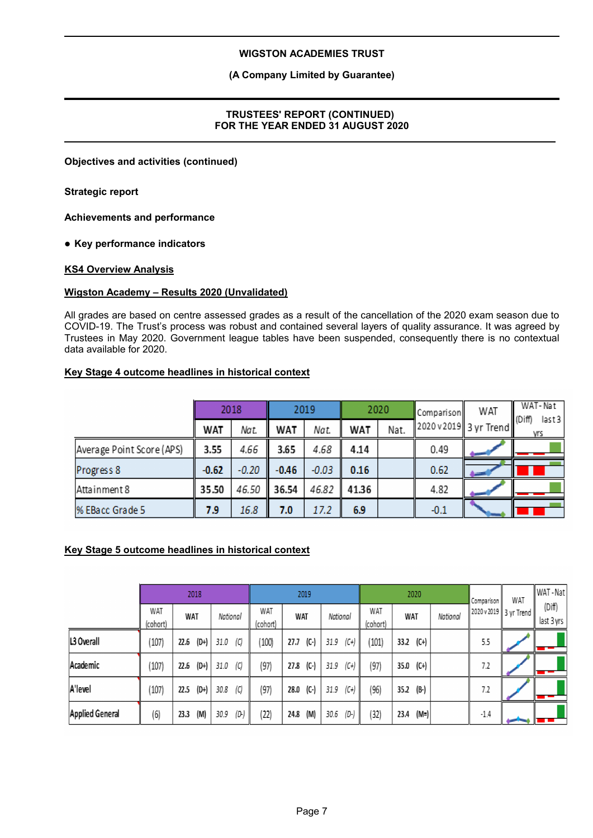## **(A Company Limited by Guarantee)**

## **TRUSTEES' REPORT (CONTINUED) FOR THE YEAR ENDED 31 AUGUST 2020**

**Objectives and activities (continued)**

**Strategic report**

**Achievements and performance**

**Key performance indicators**

## **KS4 Overview Analysis**

## **Wigston Academy – Results 2020 (Unvalidated)**

All grades are based on centre assessed grades as a result of the cancellation of the 2020 exam season due to COVID-19. The Trust's process was robust and contained several layers of quality assurance. It was agreed by Trustees in May 2020. Government league tables have been suspended, consequently there is no contextual data available for 2020.

## **Key Stage 4 outcome headlines in historical context**

|                           | 2018       |         | 2019    |         | 2020  |      | Comparison              | WAT | WAT-Nat<br>last3<br>(Diff) |
|---------------------------|------------|---------|---------|---------|-------|------|-------------------------|-----|----------------------------|
|                           | <b>WAT</b> | Nat.    | WAT     | Nat.    | WAT   | Nat. | 12020 v 2019 3 yr Trend |     | vrs                        |
| Average Point Score (APS) | 3.55       | 4.66    | 3.65    | 4.68    | 4.14  |      | 0.49                    |     |                            |
| Progress 8                | $-0.62$    | $-0.20$ | $-0.46$ | $-0.03$ | 0.16  |      | 0.62                    |     |                            |
| Attainment 8              | 35.50      | 46.50   | 36.54   | 46.82   | 41.36 |      | 4.82                    |     |                            |
| % EBacc Grade 5           | 7.9        | 16.8    | 7.0     | 17.2    | 6.9   |      | $-0.1$                  |     |                            |

## **Key Stage 5 outcome headlines in historical context**

|                        |                 |      | 2018   |          |      |                 | 2019 |          |                |                        | 2020                      |          | Comparison                | WAT | WAT - Nat            |
|------------------------|-----------------|------|--------|----------|------|-----------------|------|----------|----------------|------------------------|---------------------------|----------|---------------------------|-----|----------------------|
|                        | WAT<br>(cohort) | WAT  |        | National |      | WAT<br>(cohort) | WAT  |          | National       | <b>WAT</b><br>(cohort) | <b>WAT</b>                | National | 2020 v 2019    3 yr Trend |     | (Diff)<br>last 3 yrs |
| L3 Overall             | (107)           | 22.6 | $(D+)$ | 31.0     | (C)  | 100)            | 27.7 | $(C - )$ | $(C+)$<br>31.9 | (101)                  | (C+)<br>33.2              |          | 5.5                       |     |                      |
| Academic               | (107)           | 22.6 | $(D+)$ | 31.0     | (C)  | (97)            | 27.8 | $(C - )$ | $(C+)$<br>31.9 | (97)                   | $(C+)$<br>35.0            |          | 7.2                       |     |                      |
| A'level                | (107)           | 22.5 | (D+)   | 30.8     | (C)  | (97)            | 28.0 | $(C - )$ | $(C+)$<br>31.9 | (96)                   | (B <sub>1</sub> )<br>35.2 |          | 7.2                       |     |                      |
| <b>Applied General</b> | (6)             | 23.3 | (M)    | 30.9     | (D.) | (22)            | 24.8 | (M)      | (D-)<br>30.6   | (32)                   | (M=)<br>23.4              |          | $-1.4$                    |     |                      |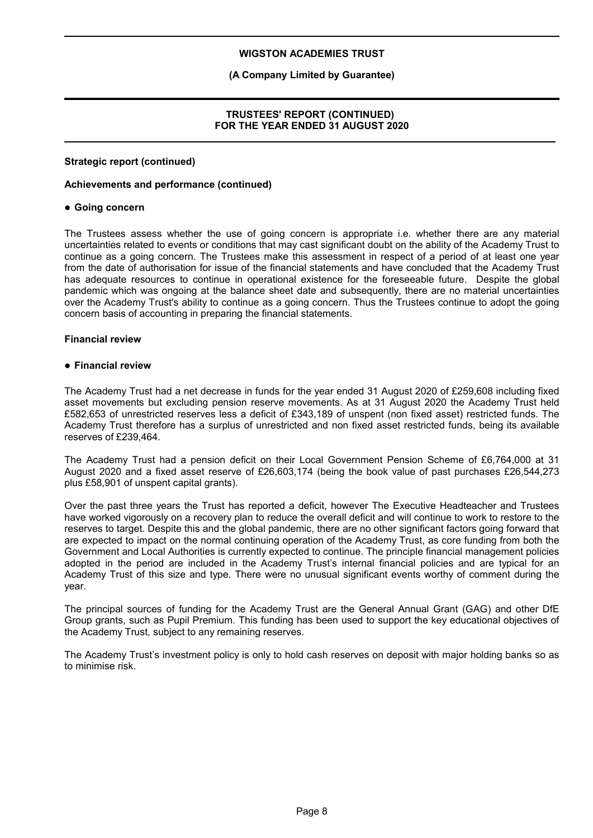## **(A Company Limited by Guarantee)**

## **TRUSTEES' REPORT (CONTINUED) FOR THE YEAR ENDED 31 AUGUST 2020**

#### **Strategic report (continued)**

#### **Achievements and performance (continued)**

#### **Going concern**

The Trustees assess whether the use of going concern is appropriate i.e. whether there are any material uncertainties related to events or conditions that may cast significant doubt on the ability of the Academy Trust to continue as a going concern. The Trustees make this assessment in respect of a period of at least one year from the date of authorisation for issue of the financial statements and have concluded that the Academy Trust has adequate resources to continue in operational existence for the foreseeable future. Despite the global pandemic which was ongoing at the balance sheet date and subsequently, there are no material uncertainties over the Academy Trust's ability to continue as a going concern. Thus the Trustees continue to adopt the going concern basis of accounting in preparing the financial statements.

## **Financial review**

#### **Financial review**

The Academy Trust had a net decrease in funds for the year ended 31 August 2020 of £259,608 including fixed asset movements but excluding pension reserve movements. As at 31 August 2020 the Academy Trust held £582,653 of unrestricted reserves less a deficit of £343,189 of unspent (non fixed asset) restricted funds. The Academy Trust therefore has a surplus of unrestricted and non fixed asset restricted funds, being its available reserves of £239,464.

The Academy Trust had a pension deficit on their Local Government Pension Scheme of £6,764,000 at 31 August 2020 and a fixed asset reserve of £26,603,174 (being the book value of past purchases £26,544,273 plus £58,901 of unspent capital grants).

Over the past three years the Trust has reported a deficit, however The Executive Headteacher and Trustees have worked vigorously on a recovery plan to reduce the overall deficit and will continue to work to restore to the reserves to target. Despite this and the global pandemic, there are no other significant factors going forward that are expected to impact on the normal continuing operation of the Academy Trust, as core funding from both the Government and Local Authorities is currently expected to continue. The principle financial management policies adopted in the period are included in the Academy Trust's internal financial policies and are typical for an Academy Trust of this size and type. There were no unusual significant events worthy of comment during the year.

The principal sources of funding for the Academy Trust are the General Annual Grant (GAG) and other DfE Group grants, such as Pupil Premium. This funding has been used to support the key educational objectives of the Academy Trust, subject to any remaining reserves.

The Academy Trust's investment policy is only to hold cash reserves on deposit with major holding banks so as to minimise risk.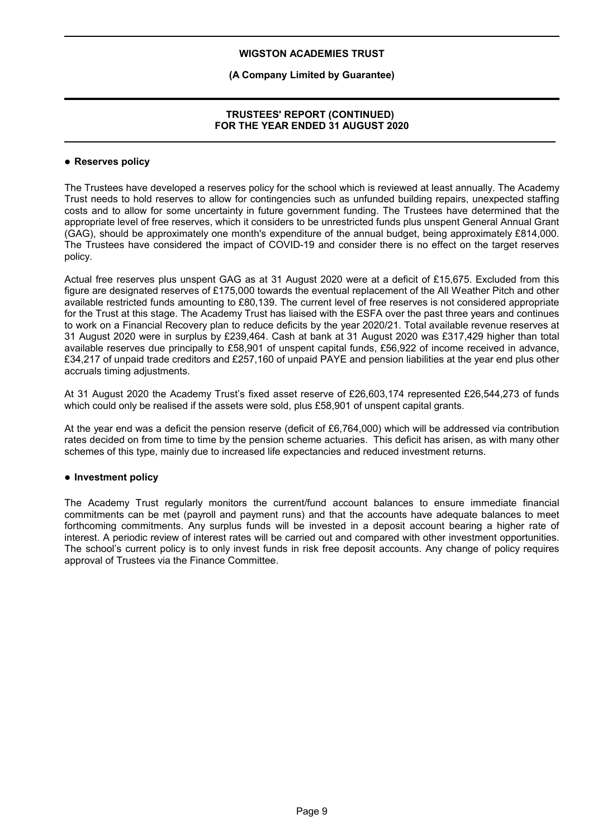## **(A Company Limited by Guarantee)**

## **TRUSTEES' REPORT (CONTINUED) FOR THE YEAR ENDED 31 AUGUST 2020**

#### **Reserves policy**

The Trustees have developed a reserves policy for the school which is reviewed at least annually. The Academy Trust needs to hold reserves to allow for contingencies such as unfunded building repairs, unexpected staffing costs and to allow for some uncertainty in future government funding. The Trustees have determined that the appropriate level of free reserves, which it considers to be unrestricted funds plus unspent General Annual Grant (GAG), should be approximately one month's expenditure of the annual budget, being approximately £814,000. The Trustees have considered the impact of COVID-19 and consider there is no effect on the target reserves policy.

Actual free reserves plus unspent GAG as at 31 August 2020 were at a deficit of £15,675. Excluded from this figure are designated reserves of £175,000 towards the eventual replacement of the All Weather Pitch and other available restricted funds amounting to £80,139. The current level of free reserves is not considered appropriate for the Trust at this stage. The Academy Trust has liaised with the ESFA over the past three years and continues to work on a Financial Recovery plan to reduce deficits by the year 2020/21. Total available revenue reserves at 31 August 2020 were in surplus by £239,464. Cash at bank at 31 August 2020 was £317,429 higher than total available reserves due principally to £58,901 of unspent capital funds, £56,922 of income received in advance, £34,217 of unpaid trade creditors and £257,160 of unpaid PAYE and pension liabilities at the year end plus other accruals timing adjustments.

At 31 August 2020 the Academy Trust's fixed asset reserve of £26,603,174 represented £26,544,273 of funds which could only be realised if the assets were sold, plus £58,901 of unspent capital grants.

At the year end was a deficit the pension reserve (deficit of £6,764,000) which will be addressed via contribution rates decided on from time to time by the pension scheme actuaries. This deficit has arisen, as with many other schemes of this type, mainly due to increased life expectancies and reduced investment returns.

#### **Investment policy**

The Academy Trust regularly monitors the current/fund account balances to ensure immediate financial commitments can be met (payroll and payment runs) and that the accounts have adequate balances to meet forthcoming commitments. Any surplus funds will be invested in a deposit account bearing a higher rate of interest. A periodic review of interest rates will be carried out and compared with other investment opportunities. The school's current policy is to only invest funds in risk free deposit accounts. Any change of policy requires approval of Trustees via the Finance Committee.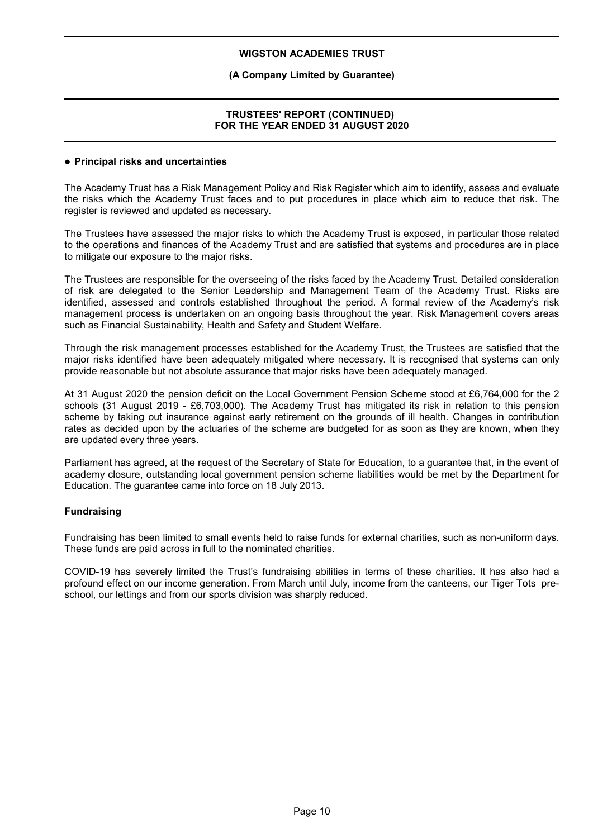#### **(A Company Limited by Guarantee)**

## **TRUSTEES' REPORT (CONTINUED) FOR THE YEAR ENDED 31 AUGUST 2020**

#### **Principal risks and uncertainties**

The Academy Trust has a Risk Management Policy and Risk Register which aim to identify, assess and evaluate the risks which the Academy Trust faces and to put procedures in place which aim to reduce that risk. The register is reviewed and updated as necessary.

The Trustees have assessed the major risks to which the Academy Trust is exposed, in particular those related to the operations and finances of the Academy Trust and are satisfied that systems and procedures are in place to mitigate our exposure to the major risks.

The Trustees are responsible for the overseeing of the risks faced by the Academy Trust. Detailed consideration of risk are delegated to the Senior Leadership and Management Team of the Academy Trust. Risks are identified, assessed and controls established throughout the period. A formal review of the Academy's risk management process is undertaken on an ongoing basis throughout the year. Risk Management covers areas such as Financial Sustainability, Health and Safety and Student Welfare.

Through the risk management processes established for the Academy Trust, the Trustees are satisfied that the major risks identified have been adequately mitigated where necessary. It is recognised that systems can only provide reasonable but not absolute assurance that major risks have been adequately managed.

At 31 August 2020 the pension deficit on the Local Government Pension Scheme stood at £6,764,000 for the 2 schools (31 August 2019 - £6,703,000). The Academy Trust has mitigated its risk in relation to this pension scheme by taking out insurance against early retirement on the grounds of ill health. Changes in contribution rates as decided upon by the actuaries of the scheme are budgeted for as soon as they are known, when they are updated every three years.

Parliament has agreed, at the request of the Secretary of State for Education, to a guarantee that, in the event of academy closure, outstanding local government pension scheme liabilities would be met by the Department for Education. The guarantee came into force on 18 July 2013.

#### **Fundraising**

Fundraising has been limited to small events held to raise funds for external charities, such as non-uniform days. These funds are paid across in full to the nominated charities.

COVID-19 has severely limited the Trust's fundraising abilities in terms of these charities. It has also had a profound effect on our income generation. From March until July, income from the canteens, our Tiger Tots preschool, our lettings and from our sports division was sharply reduced.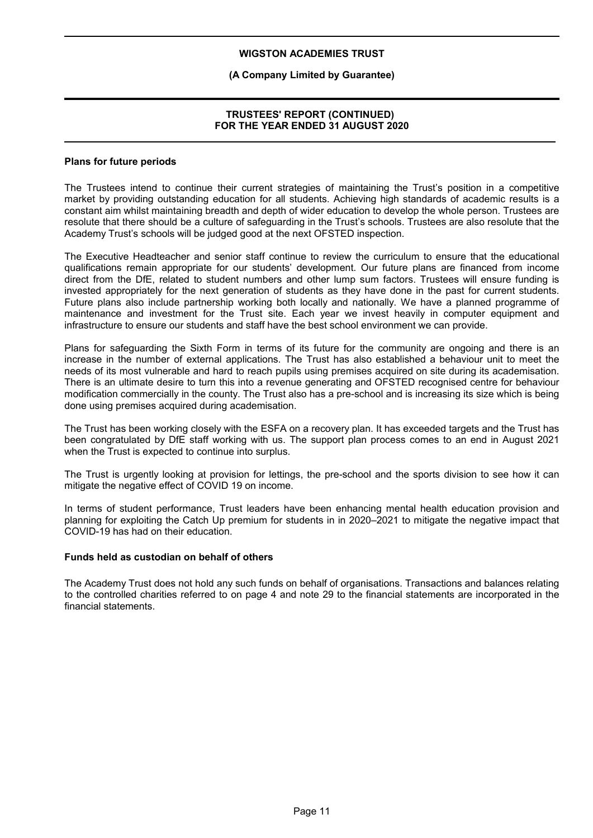## **(A Company Limited by Guarantee)**

## **TRUSTEES' REPORT (CONTINUED) FOR THE YEAR ENDED 31 AUGUST 2020**

#### **Plans for future periods**

The Trustees intend to continue their current strategies of maintaining the Trust's position in a competitive market by providing outstanding education for all students. Achieving high standards of academic results is a constant aim whilst maintaining breadth and depth of wider education to develop the whole person. Trustees are resolute that there should be a culture of safeguarding in the Trust's schools. Trustees are also resolute that the Academy Trust's schools will be judged good at the next OFSTED inspection.

The Executive Headteacher and senior staff continue to review the curriculum to ensure that the educational qualifications remain appropriate for our students' development. Our future plans are financed from income direct from the DfE, related to student numbers and other lump sum factors. Trustees will ensure funding is invested appropriately for the next generation of students as they have done in the past for current students. Future plans also include partnership working both locally and nationally. We have a planned programme of maintenance and investment for the Trust site. Each year we invest heavily in computer equipment and infrastructure to ensure our students and staff have the best school environment we can provide.

Plans for safeguarding the Sixth Form in terms of its future for the community are ongoing and there is an increase in the number of external applications. The Trust has also established a behaviour unit to meet the needs of its most vulnerable and hard to reach pupils using premises acquired on site during its academisation. There is an ultimate desire to turn this into a revenue generating and OFSTED recognised centre for behaviour modification commercially in the county. The Trust also has a pre-school and is increasing its size which is being done using premises acquired during academisation.

The Trust has been working closely with the ESFA on a recovery plan. It has exceeded targets and the Trust has been congratulated by DfE staff working with us. The support plan process comes to an end in August 2021 when the Trust is expected to continue into surplus.

The Trust is urgently looking at provision for lettings, the pre-school and the sports division to see how it can mitigate the negative effect of COVID 19 on income.

In terms of student performance, Trust leaders have been enhancing mental health education provision and planning for exploiting the Catch Up premium for students in in 2020–2021 to mitigate the negative impact that COVID-19 has had on their education.

#### **Funds held as custodian on behalf of others**

The Academy Trust does not hold any such funds on behalf of organisations. Transactions and balances relating to the controlled charities referred to on page 4 and note 29 to the financial statements are incorporated in the financial statements.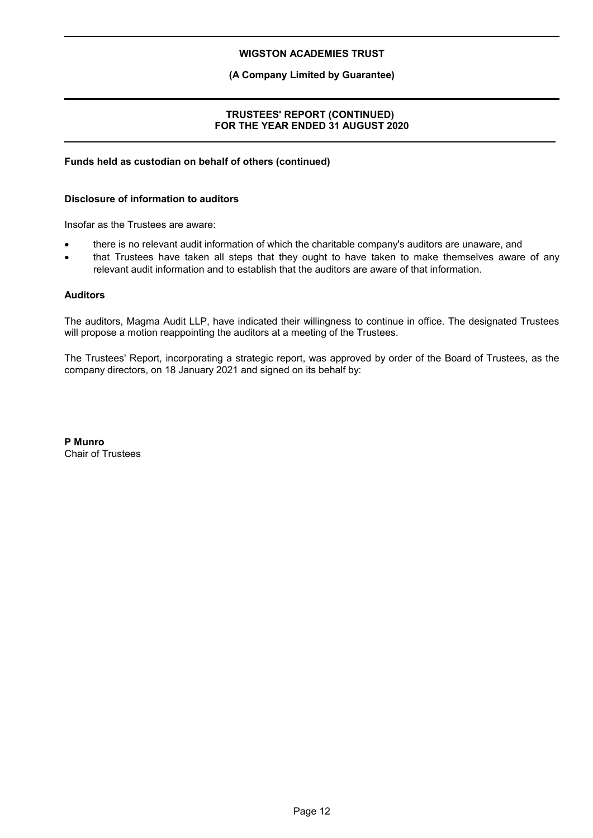## **(A Company Limited by Guarantee)**

## **TRUSTEES' REPORT (CONTINUED) FOR THE YEAR ENDED 31 AUGUST 2020**

#### **Funds held as custodian on behalf of others (continued)**

#### **Disclosure of information to auditors**

Insofar as the Trustees are aware:

- there is no relevant audit information of which the charitable company's auditors are unaware, and
- that Trustees have taken all steps that they ought to have taken to make themselves aware of any relevant audit information and to establish that the auditors are aware of that information.

## **Auditors**

The auditors, Magma Audit LLP, have indicated their willingness to continue in office. The designated Trustees will propose a motion reappointing the auditors at a meeting of the Trustees.

The Trustees' Report, incorporating a strategic report, was approved by order of the Board of Trustees, as the company directors, on 18 January 2021 and signed on its behalf by:

**P Munro** Chair of Trustees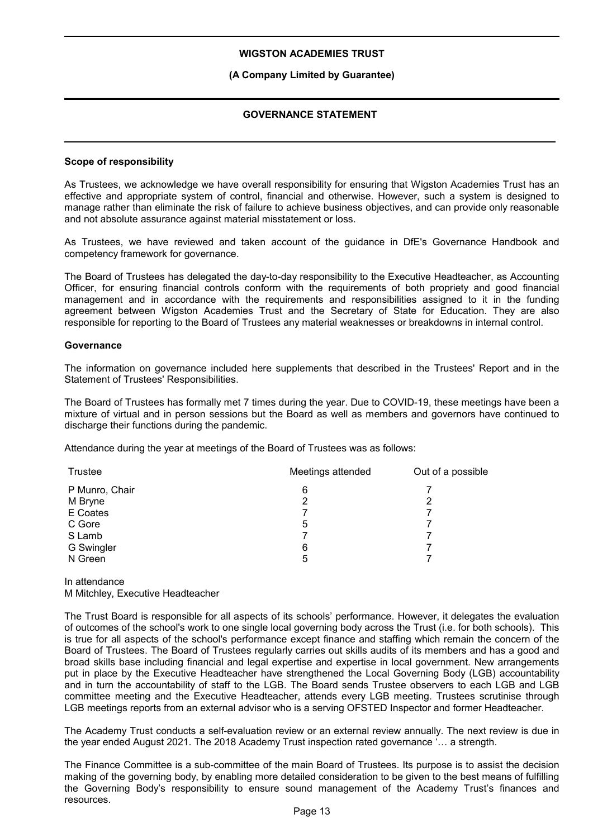## **(A Company Limited by Guarantee)**

## **GOVERNANCE STATEMENT**

#### **Scope of responsibility**

As Trustees, we acknowledge we have overall responsibility for ensuring that Wigston Academies Trust has an effective and appropriate system of control, financial and otherwise. However, such a system is designed to manage rather than eliminate the risk of failure to achieve business objectives, and can provide only reasonable and not absolute assurance against material misstatement or loss.

As Trustees, we have reviewed and taken account of the guidance in DfE's Governance Handbook and competency framework for governance.

The Board of Trustees has delegated the day-to-day responsibility to the Executive Headteacher, as Accounting Officer, for ensuring financial controls conform with the requirements of both propriety and good financial management and in accordance with the requirements and responsibilities assigned to it in the funding agreement between Wigston Academies Trust and the Secretary of State for Education. They are also responsible for reporting to the Board of Trustees any material weaknesses or breakdowns in internal control.

#### **Governance**

The information on governance included here supplements that described in the Trustees' Report and in the Statement of Trustees' Responsibilities.

The Board of Trustees has formally met 7 times during the year. Due to COVID-19, these meetings have been a mixture of virtual and in person sessions but the Board as well as members and governors have continued to discharge their functions during the pandemic.

Attendance during the year at meetings of the Board of Trustees was as follows:

| Meetings attended | Out of a possible |
|-------------------|-------------------|
| 6                 |                   |
| 2                 | 2                 |
|                   |                   |
| 5                 |                   |
|                   |                   |
| 6                 |                   |
| 5                 |                   |
|                   |                   |

In attendance M Mitchley, Executive Headteacher

The Trust Board is responsible for all aspects of its schools' performance. However, it delegates the evaluation of outcomes of the school's work to one single local governing body across the Trust (i.e. for both schools). This is true for all aspects of the school's performance except finance and staffing which remain the concern of the Board of Trustees. The Board of Trustees regularly carries out skills audits of its members and has a good and broad skills base including financial and legal expertise and expertise in local government. New arrangements put in place by the Executive Headteacher have strengthened the Local Governing Body (LGB) accountability and in turn the accountability of staff to the LGB. The Board sends Trustee observers to each LGB and LGB committee meeting and the Executive Headteacher, attends every LGB meeting. Trustees scrutinise through LGB meetings reports from an external advisor who is a serving OFSTED Inspector and former Headteacher.

The Academy Trust conducts a self-evaluation review or an external review annually. The next review is due in the year ended August 2021. The 2018 Academy Trust inspection rated governance '… a strength.

The Finance Committee is a sub-committee of the main Board of Trustees. Its purpose is to assist the decision making of the governing body, by enabling more detailed consideration to be given to the best means of fulfilling the Governing Body's responsibility to ensure sound management of the Academy Trust's finances and resources.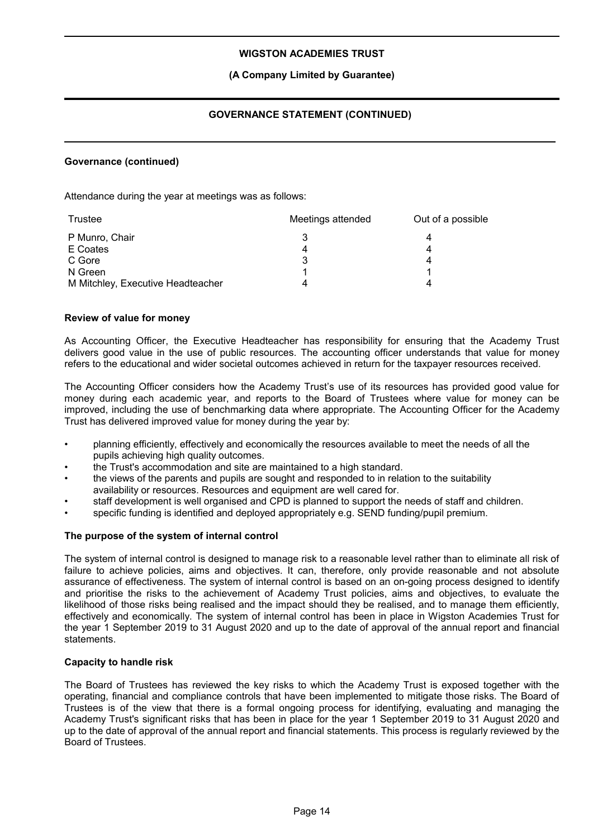## **(A Company Limited by Guarantee)**

## **GOVERNANCE STATEMENT (CONTINUED)**

#### **Governance (continued)**

Attendance during the year at meetings was as follows:

| Trustee                           | Meetings attended | Out of a possible |
|-----------------------------------|-------------------|-------------------|
| P Munro, Chair                    |                   |                   |
| E Coates                          |                   |                   |
| C Gore                            | 3                 |                   |
| N Green                           |                   |                   |
| M Mitchley, Executive Headteacher |                   |                   |

#### **Review of value for money**

As Accounting Officer, the Executive Headteacher has responsibility for ensuring that the Academy Trust delivers good value in the use of public resources. The accounting officer understands that value for money refers to the educational and wider societal outcomes achieved in return for the taxpayer resources received.

The Accounting Officer considers how the Academy Trust's use of its resources has provided good value for money during each academic year, and reports to the Board of Trustees where value for money can be improved, including the use of benchmarking data where appropriate. The Accounting Officer for the Academy Trust has delivered improved value for money during the year by:

- planning efficiently, effectively and economically the resources available to meet the needs of all the pupils achieving high quality outcomes.
- the Trust's accommodation and site are maintained to a high standard.
- the views of the parents and pupils are sought and responded to in relation to the suitability availability or resources. Resources and equipment are well cared for.
- staff development is well organised and CPD is planned to support the needs of staff and children.
- specific funding is identified and deployed appropriately e.g. SEND funding/pupil premium.

#### **The purpose of the system of internal control**

The system of internal control is designed to manage risk to a reasonable level rather than to eliminate all risk of failure to achieve policies, aims and objectives. It can, therefore, only provide reasonable and not absolute assurance of effectiveness. The system of internal control is based on an on-going process designed to identify and prioritise the risks to the achievement of Academy Trust policies, aims and objectives, to evaluate the likelihood of those risks being realised and the impact should they be realised, and to manage them efficiently, effectively and economically. The system of internal control has been in place in Wigston Academies Trust for the year 1 September 2019 to 31 August 2020 and up to the date of approval of the annual report and financial statements.

#### **Capacity to handle risk**

The Board of Trustees has reviewed the key risks to which the Academy Trust is exposed together with the operating, financial and compliance controls that have been implemented to mitigate those risks. The Board of Trustees is of the view that there is a formal ongoing process for identifying, evaluating and managing the Academy Trust's significant risks that has been in place for the year 1 September 2019 to 31 August 2020 and up to the date of approval of the annual report and financial statements. This process is regularly reviewed by the Board of Trustees.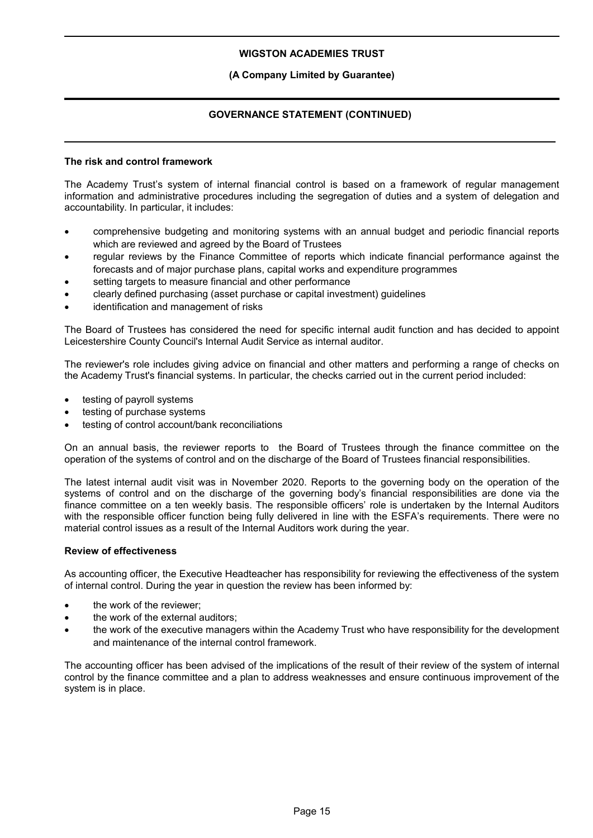## **(A Company Limited by Guarantee)**

## **GOVERNANCE STATEMENT (CONTINUED)**

## **The risk and control framework**

The Academy Trust's system of internal financial control is based on a framework of regular management information and administrative procedures including the segregation of duties and a system of delegation and accountability. In particular, it includes:

- comprehensive budgeting and monitoring systems with an annual budget and periodic financial reports which are reviewed and agreed by the Board of Trustees
- regular reviews by the Finance Committee of reports which indicate financial performance against the forecasts and of major purchase plans, capital works and expenditure programmes
- setting targets to measure financial and other performance
- clearly defined purchasing (asset purchase or capital investment) guidelines
- identification and management of risks

The Board of Trustees has considered the need for specific internal audit function and has decided to appoint Leicestershire County Council's Internal Audit Service as internal auditor.

The reviewer's role includes giving advice on financial and other matters and performing a range of checks on the Academy Trust's financial systems. In particular, the checks carried out in the current period included:

- testing of payroll systems
- testing of purchase systems
- testing of control account/bank reconciliations

On an annual basis, the reviewer reports to the Board of Trustees through the finance committee on the operation of the systems of control and on the discharge of the Board of Trustees financial responsibilities.

The latest internal audit visit was in November 2020. Reports to the governing body on the operation of the systems of control and on the discharge of the governing body's financial responsibilities are done via the finance committee on a ten weekly basis. The responsible officers' role is undertaken by the Internal Auditors with the responsible officer function being fully delivered in line with the ESFA's requirements. There were no material control issues as a result of the Internal Auditors work during the year.

#### **Review of effectiveness**

As accounting officer, the Executive Headteacher has responsibility for reviewing the effectiveness of the system of internal control. During the year in question the review has been informed by:

- the work of the reviewer;
- the work of the external auditors;
- the work of the executive managers within the Academy Trust who have responsibility for the development and maintenance of the internal control framework.

The accounting officer has been advised of the implications of the result of their review of the system of internal control by the finance committee and a plan to address weaknesses and ensure continuous improvement of the system is in place.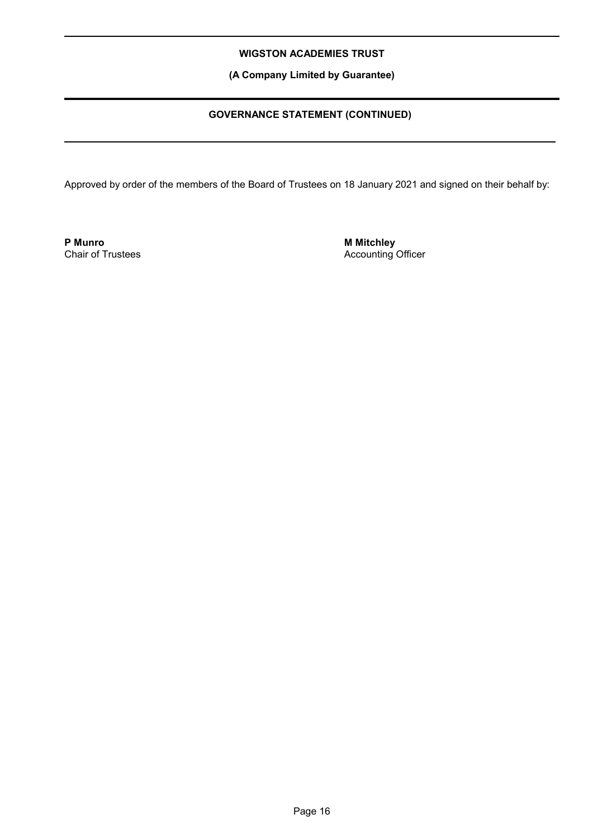**(A Company Limited by Guarantee)**

## **GOVERNANCE STATEMENT (CONTINUED)**

Approved by order of the members of the Board of Trustees on 18 January 2021 and signed on their behalf by:

**P Munro** Chair of Trustees **M Mitchley** Accounting Officer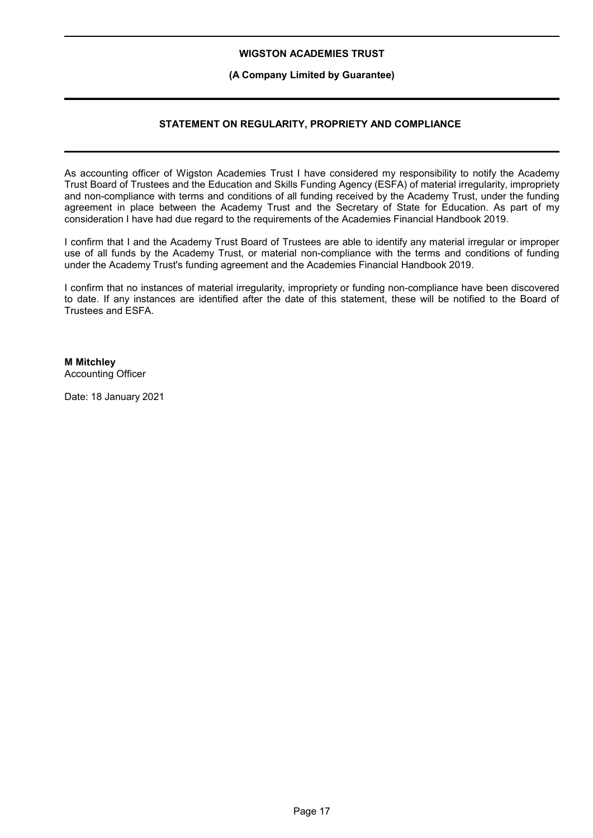## **(A Company Limited by Guarantee)**

## **STATEMENT ON REGULARITY, PROPRIETY AND COMPLIANCE**

As accounting officer of Wigston Academies Trust I have considered my responsibility to notify the Academy Trust Board of Trustees and the Education and Skills Funding Agency (ESFA) of material irregularity, impropriety and non-compliance with terms and conditions of all funding received by the Academy Trust, under the funding agreement in place between the Academy Trust and the Secretary of State for Education. As part of my consideration I have had due regard to the requirements of the Academies Financial Handbook 2019.

I confirm that I and the Academy Trust Board of Trustees are able to identify any material irregular or improper use of all funds by the Academy Trust, or material non-compliance with the terms and conditions of funding under the Academy Trust's funding agreement and the Academies Financial Handbook 2019.

I confirm that no instances of material irregularity, impropriety or funding non-compliance have been discovered to date. If any instances are identified after the date of this statement, these will be notified to the Board of Trustees and ESFA.

## **M Mitchley**

Accounting Officer

Date: 18 January 2021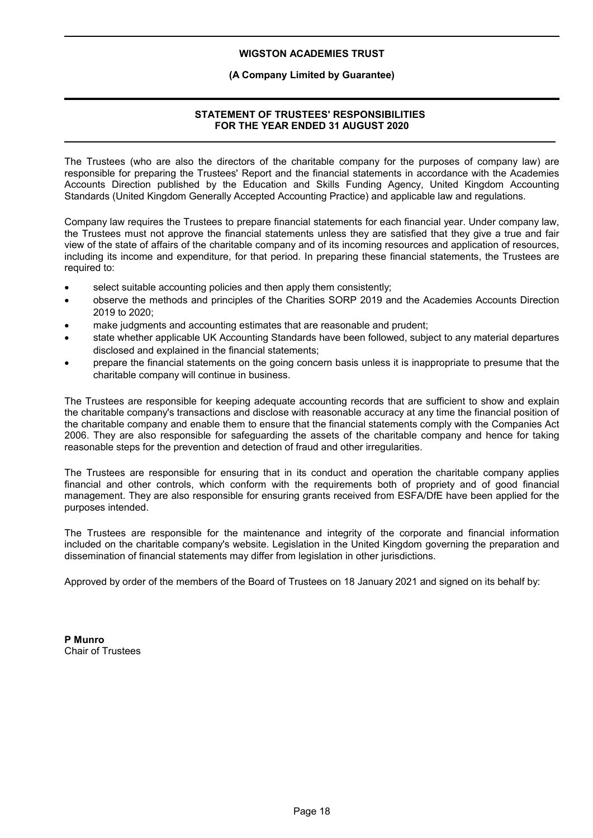## **(A Company Limited by Guarantee)**

## **STATEMENT OF TRUSTEES' RESPONSIBILITIES FOR THE YEAR ENDED 31 AUGUST 2020**

The Trustees (who are also the directors of the charitable company for the purposes of company law) are responsible for preparing the Trustees' Report and the financial statements in accordance with the Academies Accounts Direction published by the Education and Skills Funding Agency, United Kingdom Accounting Standards (United Kingdom Generally Accepted Accounting Practice) and applicable law and regulations.

Company law requires the Trustees to prepare financial statements for each financial year. Under company law, the Trustees must not approve the financial statements unless they are satisfied that they give a true and fair view of the state of affairs of the charitable company and of its incoming resources and application of resources, including its income and expenditure, for that period. In preparing these financial statements, the Trustees are required to:

- select suitable accounting policies and then apply them consistently;
- observe the methods and principles of the Charities SORP 2019 and the Academies Accounts Direction 2019 to 2020;
- make judgments and accounting estimates that are reasonable and prudent;
- state whether applicable UK Accounting Standards have been followed, subject to any material departures disclosed and explained in the financial statements;
- prepare the financial statements on the going concern basis unless it is inappropriate to presume that the charitable company will continue in business.

The Trustees are responsible for keeping adequate accounting records that are sufficient to show and explain the charitable company's transactions and disclose with reasonable accuracy at any time the financial position of the charitable company and enable them to ensure that the financial statements comply with the Companies Act 2006. They are also responsible for safeguarding the assets of the charitable company and hence for taking reasonable steps for the prevention and detection of fraud and other irregularities.

The Trustees are responsible for ensuring that in its conduct and operation the charitable company applies financial and other controls, which conform with the requirements both of propriety and of good financial management. They are also responsible for ensuring grants received from ESFA/DfE have been applied for the purposes intended.

The Trustees are responsible for the maintenance and integrity of the corporate and financial information included on the charitable company's website. Legislation in the United Kingdom governing the preparation and dissemination of financial statements may differ from legislation in other jurisdictions.

Approved by order of the members of the Board of Trustees on 18 January 2021 and signed on its behalf by:

**P Munro** Chair of Trustees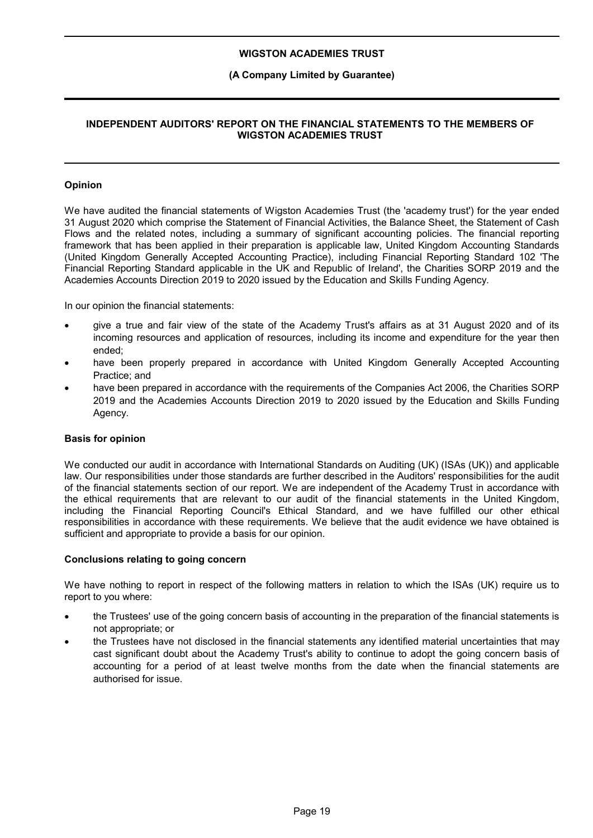## **(A Company Limited by Guarantee)**

## **INDEPENDENT AUDITORS' REPORT ON THE FINANCIAL STATEMENTS TO THE MEMBERS OF WIGSTON ACADEMIES TRUST**

## **Opinion**

We have audited the financial statements of Wigston Academies Trust (the 'academy trust') for the year ended 31 August 2020 which comprise the Statement of Financial Activities, the Balance Sheet, the Statement of Cash Flows and the related notes, including a summary of significant accounting policies. The financial reporting framework that has been applied in their preparation is applicable law, United Kingdom Accounting Standards (United Kingdom Generally Accepted Accounting Practice), including Financial Reporting Standard 102 'The Financial Reporting Standard applicable in the UK and Republic of Ireland', the Charities SORP 2019 and the Academies Accounts Direction 2019 to 2020 issued by the Education and Skills Funding Agency.

In our opinion the financial statements:

- give a true and fair view of the state of the Academy Trust's affairs as at 31 August 2020 and of its incoming resources and application of resources, including its income and expenditure for the year then ended;
- have been properly prepared in accordance with United Kingdom Generally Accepted Accounting Practice; and
- have been prepared in accordance with the requirements of the Companies Act 2006, the Charities SORP 2019 and the Academies Accounts Direction 2019 to 2020 issued by the Education and Skills Funding Agency.

#### **Basis for opinion**

We conducted our audit in accordance with International Standards on Auditing (UK) (ISAs (UK)) and applicable law. Our responsibilities under those standards are further described in the Auditors' responsibilities for the audit of the financial statements section of our report. We are independent of the Academy Trust in accordance with the ethical requirements that are relevant to our audit of the financial statements in the United Kingdom, including the Financial Reporting Council's Ethical Standard, and we have fulfilled our other ethical responsibilities in accordance with these requirements. We believe that the audit evidence we have obtained is sufficient and appropriate to provide a basis for our opinion.

#### **Conclusions relating to going concern**

We have nothing to report in respect of the following matters in relation to which the ISAs (UK) require us to report to you where:

- the Trustees' use of the going concern basis of accounting in the preparation of the financial statements is not appropriate; or
- the Trustees have not disclosed in the financial statements any identified material uncertainties that may cast significant doubt about the Academy Trust's ability to continue to adopt the going concern basis of accounting for a period of at least twelve months from the date when the financial statements are authorised for issue.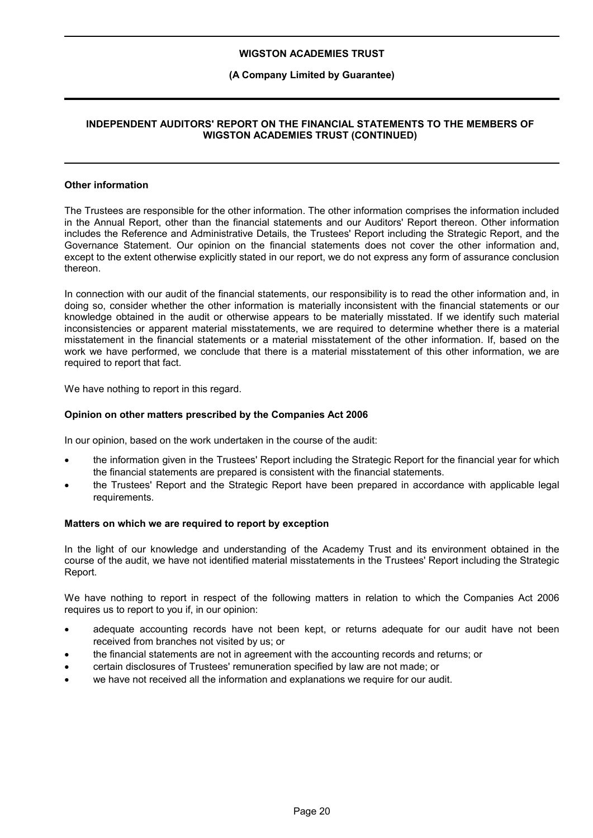## **(A Company Limited by Guarantee)**

## **INDEPENDENT AUDITORS' REPORT ON THE FINANCIAL STATEMENTS TO THE MEMBERS OF WIGSTON ACADEMIES TRUST (CONTINUED)**

## **Other information**

The Trustees are responsible for the other information. The other information comprises the information included in the Annual Report, other than the financial statements and our Auditors' Report thereon. Other information includes the Reference and Administrative Details, the Trustees' Report including the Strategic Report, and the Governance Statement. Our opinion on the financial statements does not cover the other information and, except to the extent otherwise explicitly stated in our report, we do not express any form of assurance conclusion thereon.

In connection with our audit of the financial statements, our responsibility is to read the other information and, in doing so, consider whether the other information is materially inconsistent with the financial statements or our knowledge obtained in the audit or otherwise appears to be materially misstated. If we identify such material inconsistencies or apparent material misstatements, we are required to determine whether there is a material misstatement in the financial statements or a material misstatement of the other information. If, based on the work we have performed, we conclude that there is a material misstatement of this other information, we are required to report that fact.

We have nothing to report in this regard.

#### **Opinion on other matters prescribed by the Companies Act 2006**

In our opinion, based on the work undertaken in the course of the audit:

- the information given in the Trustees' Report including the Strategic Report for the financial year for which the financial statements are prepared is consistent with the financial statements.
- the Trustees' Report and the Strategic Report have been prepared in accordance with applicable legal requirements.

#### **Matters on which we are required to report by exception**

In the light of our knowledge and understanding of the Academy Trust and its environment obtained in the course of the audit, we have not identified material misstatements in the Trustees' Report including the Strategic Report.

We have nothing to report in respect of the following matters in relation to which the Companies Act 2006 requires us to report to you if, in our opinion:

- adequate accounting records have not been kept, or returns adequate for our audit have not been received from branches not visited by us; or
- the financial statements are not in agreement with the accounting records and returns; or
- certain disclosures of Trustees' remuneration specified by law are not made; or
- we have not received all the information and explanations we require for our audit.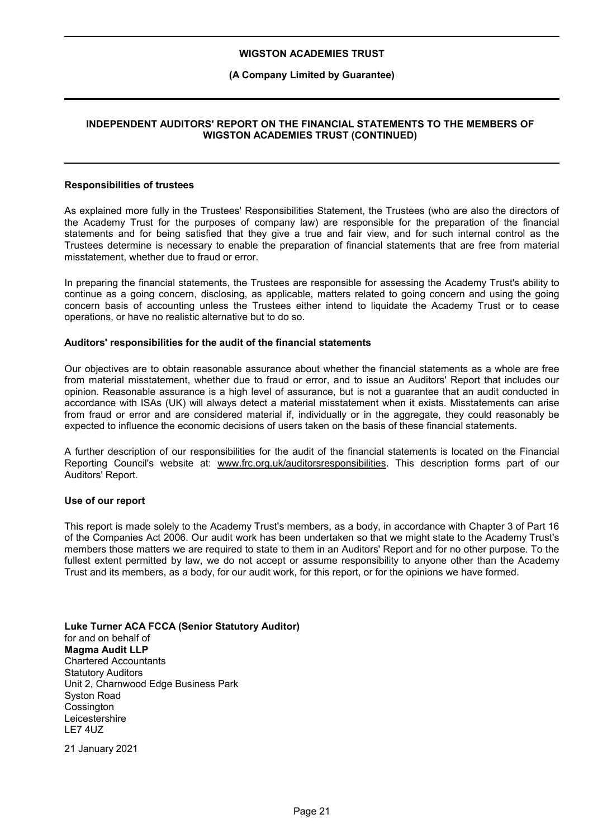## **(A Company Limited by Guarantee)**

## **INDEPENDENT AUDITORS' REPORT ON THE FINANCIAL STATEMENTS TO THE MEMBERS OF WIGSTON ACADEMIES TRUST (CONTINUED)**

#### **Responsibilities of trustees**

As explained more fully in the Trustees' Responsibilities Statement, the Trustees (who are also the directors of the Academy Trust for the purposes of company law) are responsible for the preparation of the financial statements and for being satisfied that they give a true and fair view, and for such internal control as the Trustees determine is necessary to enable the preparation of financial statements that are free from material misstatement, whether due to fraud or error.

In preparing the financial statements, the Trustees are responsible for assessing the Academy Trust's ability to continue as a going concern, disclosing, as applicable, matters related to going concern and using the going concern basis of accounting unless the Trustees either intend to liquidate the Academy Trust or to cease operations, or have no realistic alternative but to do so.

#### **Auditors' responsibilities for the audit of the financial statements**

Our objectives are to obtain reasonable assurance about whether the financial statements as a whole are free from material misstatement, whether due to fraud or error, and to issue an Auditors' Report that includes our opinion. Reasonable assurance is a high level of assurance, but is not a guarantee that an audit conducted in accordance with ISAs (UK) will always detect a material misstatement when it exists. Misstatements can arise from fraud or error and are considered material if, individually or in the aggregate, they could reasonably be expected to influence the economic decisions of users taken on the basis of these financial statements.

A further description of our responsibilities for the audit of the financial statements is located on the Financial Reporting Council's website at: www.frc.org.uk/auditorsresponsibilities. This description forms part of our Auditors' Report.

#### **Use of our report**

This report is made solely to the Academy Trust's members, as a body, in accordance with Chapter 3 of Part 16 of the Companies Act 2006. Our audit work has been undertaken so that we might state to the Academy Trust's members those matters we are required to state to them in an Auditors' Report and for no other purpose. To the fullest extent permitted by law, we do not accept or assume responsibility to anyone other than the Academy Trust and its members, as a body, for our audit work, for this report, or for the opinions we have formed.

**Luke Turner ACA FCCA (Senior Statutory Auditor)** for and on behalf of **Magma Audit LLP** Chartered Accountants Statutory Auditors Unit 2, Charnwood Edge Business Park Syston Road **Cossington Leicestershire** LE7 4UZ

21 January 2021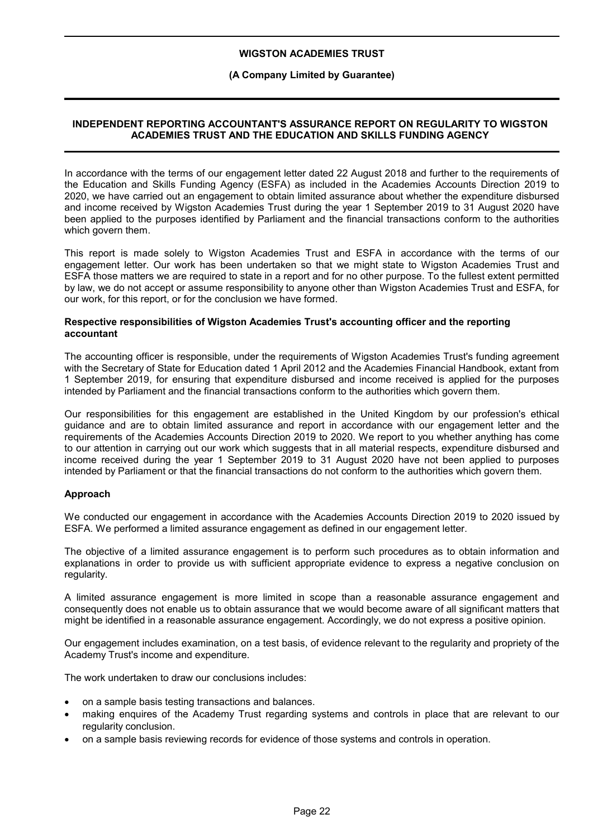#### **(A Company Limited by Guarantee)**

## **INDEPENDENT REPORTING ACCOUNTANT'S ASSURANCE REPORT ON REGULARITY TO WIGSTON ACADEMIES TRUST AND THE EDUCATION AND SKILLS FUNDING AGENCY**

In accordance with the terms of our engagement letter dated 22 August 2018 and further to the requirements of the Education and Skills Funding Agency (ESFA) as included in the Academies Accounts Direction 2019 to 2020, we have carried out an engagement to obtain limited assurance about whether the expenditure disbursed and income received by Wigston Academies Trust during the year 1 September 2019 to 31 August 2020 have been applied to the purposes identified by Parliament and the financial transactions conform to the authorities which govern them.

This report is made solely to Wigston Academies Trust and ESFA in accordance with the terms of our engagement letter. Our work has been undertaken so that we might state to Wigston Academies Trust and ESFA those matters we are required to state in a report and for no other purpose. To the fullest extent permitted by law, we do not accept or assume responsibility to anyone other than Wigston Academies Trust and ESFA, for our work, for this report, or for the conclusion we have formed.

#### **Respective responsibilities of Wigston Academies Trust's accounting officer and the reporting accountant**

The accounting officer is responsible, under the requirements of Wigston Academies Trust's funding agreement with the Secretary of State for Education dated 1 April 2012 and the Academies Financial Handbook, extant from 1 September 2019, for ensuring that expenditure disbursed and income received is applied for the purposes intended by Parliament and the financial transactions conform to the authorities which govern them.

Our responsibilities for this engagement are established in the United Kingdom by our profession's ethical guidance and are to obtain limited assurance and report in accordance with our engagement letter and the requirements of the Academies Accounts Direction 2019 to 2020. We report to you whether anything has come to our attention in carrying out our work which suggests that in all material respects, expenditure disbursed and income received during the year 1 September 2019 to 31 August 2020 have not been applied to purposes intended by Parliament or that the financial transactions do not conform to the authorities which govern them.

#### **Approach**

We conducted our engagement in accordance with the Academies Accounts Direction 2019 to 2020 issued by ESFA. We performed a limited assurance engagement as defined in our engagement letter.

The objective of a limited assurance engagement is to perform such procedures as to obtain information and explanations in order to provide us with sufficient appropriate evidence to express a negative conclusion on regularity.

A limited assurance engagement is more limited in scope than a reasonable assurance engagement and consequently does not enable us to obtain assurance that we would become aware of all significant matters that might be identified in a reasonable assurance engagement. Accordingly, we do not express a positive opinion.

Our engagement includes examination, on a test basis, of evidence relevant to the regularity and propriety of the Academy Trust's income and expenditure.

The work undertaken to draw our conclusions includes:

- on a sample basis testing transactions and balances.
- making enquires of the Academy Trust regarding systems and controls in place that are relevant to our regularity conclusion.
- on a sample basis reviewing records for evidence of those systems and controls in operation.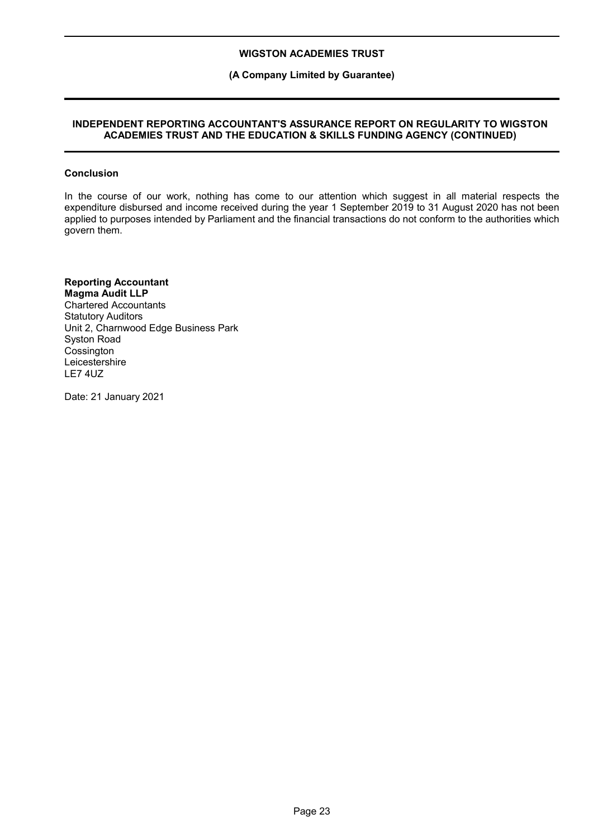## **(A Company Limited by Guarantee)**

## **INDEPENDENT REPORTING ACCOUNTANT'S ASSURANCE REPORT ON REGULARITY TO WIGSTON ACADEMIES TRUST AND THE EDUCATION & SKILLS FUNDING AGENCY (CONTINUED)**

#### **Conclusion**

In the course of our work, nothing has come to our attention which suggest in all material respects the expenditure disbursed and income received during the year 1 September 2019 to 31 August 2020 has not been applied to purposes intended by Parliament and the financial transactions do not conform to the authorities which govern them.

## **Reporting Accountant**

**Magma Audit LLP** Chartered Accountants Statutory Auditors Unit 2, Charnwood Edge Business Park Syston Road **Cossington** Leicestershire LE7 4UZ

Date: 21 January 2021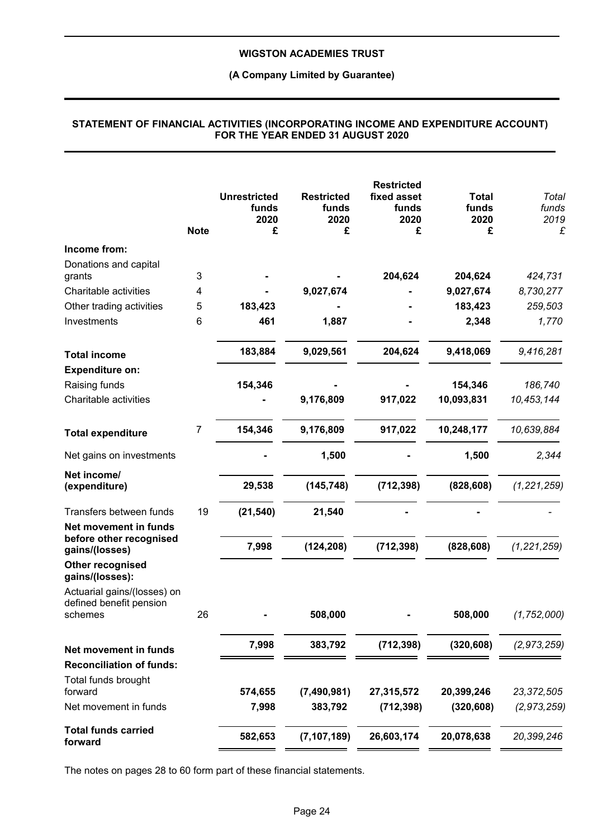## **(A Company Limited by Guarantee)**

|                                                                    | <b>Note</b>    | <b>Unrestricted</b><br>funds<br>2020<br>£ | <b>Restricted</b><br>funds<br>2020<br>£ | <b>Restricted</b><br>fixed asset<br>funds<br>2020<br>£ | <b>Total</b><br>funds<br>2020<br>£ | Total<br>funds<br>2019<br>£ |
|--------------------------------------------------------------------|----------------|-------------------------------------------|-----------------------------------------|--------------------------------------------------------|------------------------------------|-----------------------------|
| Income from:                                                       |                |                                           |                                         |                                                        |                                    |                             |
| Donations and capital                                              |                |                                           |                                         |                                                        |                                    |                             |
| grants                                                             | 3              |                                           |                                         | 204,624                                                | 204,624                            | 424,731                     |
| Charitable activities                                              | 4              |                                           | 9,027,674                               |                                                        | 9,027,674                          | 8,730,277                   |
| Other trading activities                                           | 5              | 183,423                                   |                                         |                                                        | 183,423                            | 259,503                     |
| Investments                                                        | 6              | 461                                       | 1,887                                   |                                                        | 2,348                              | 1,770                       |
| <b>Total income</b>                                                |                | 183,884                                   | 9,029,561                               | 204,624                                                | 9,418,069                          | 9,416,281                   |
| <b>Expenditure on:</b>                                             |                |                                           |                                         |                                                        |                                    |                             |
| Raising funds                                                      |                | 154,346                                   |                                         |                                                        | 154,346                            | 186,740                     |
| Charitable activities                                              |                |                                           | 9,176,809                               | 917,022                                                | 10,093,831                         | 10,453,144                  |
| <b>Total expenditure</b>                                           | $\overline{7}$ | 154,346                                   | 9,176,809                               | 917,022                                                | 10,248,177                         | 10,639,884                  |
| Net gains on investments                                           |                |                                           | 1,500                                   |                                                        | 1,500                              | 2,344                       |
| Net income/                                                        |                |                                           |                                         |                                                        |                                    |                             |
| (expenditure)                                                      |                | 29,538                                    | (145, 748)                              | (712, 398)                                             | (828, 608)                         | (1, 221, 259)               |
| Transfers between funds                                            | 19             | (21, 540)                                 | 21,540                                  |                                                        |                                    |                             |
| Net movement in funds<br>before other recognised<br>gains/(losses) |                | 7,998                                     | (124, 208)                              | (712, 398)                                             | (828, 608)                         | (1, 221, 259)               |
| Other recognised<br>gains/(losses):                                |                |                                           |                                         |                                                        |                                    |                             |
| Actuarial gains/(losses) on<br>defined benefit pension             |                |                                           |                                         |                                                        |                                    |                             |
| schemes                                                            | 26             |                                           | 508,000                                 |                                                        | 508,000                            | (1, 752, 000)               |
| Net movement in funds                                              |                | 7,998                                     | 383,792                                 | (712, 398)                                             | (320, 608)                         | (2, 973, 259)               |
| <b>Reconciliation of funds:</b>                                    |                |                                           |                                         |                                                        |                                    |                             |
| Total funds brought                                                |                |                                           |                                         |                                                        |                                    |                             |
| forward                                                            |                | 574,655                                   | (7,490,981)                             | 27,315,572                                             | 20,399,246                         | 23,372,505                  |
| Net movement in funds                                              |                | 7,998                                     | 383,792                                 | (712, 398)                                             | (320, 608)                         | (2, 973, 259)               |
| <b>Total funds carried</b><br>forward                              |                | 582,653                                   | (7, 107, 189)                           | 26,603,174                                             | 20,078,638                         | 20,399,246                  |

#### **STATEMENT OF FINANCIAL ACTIVITIES (INCORPORATING INCOME AND EXPENDITURE ACCOUNT) FOR THE YEAR ENDED 31 AUGUST 2020**

The notes on pages 28 to 60 form part of these financial statements.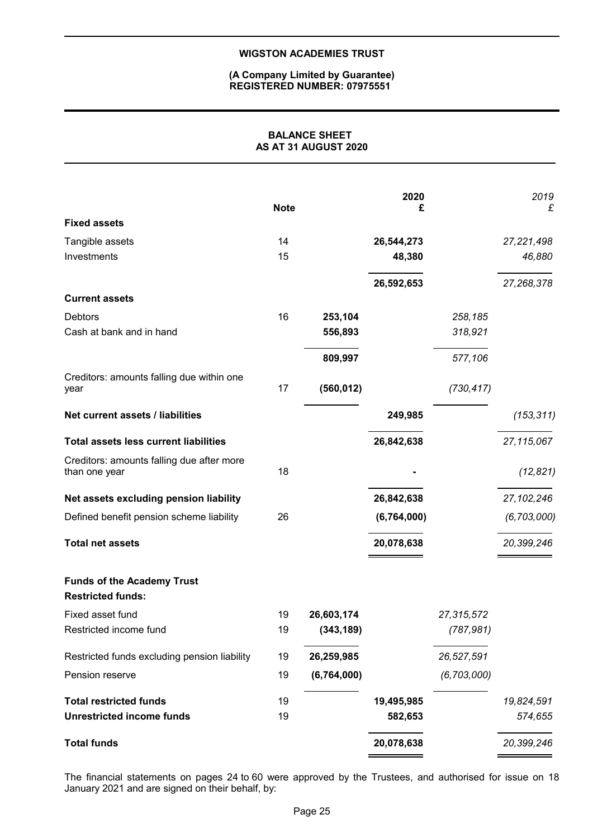#### **(A Company Limited by Guarantee) REGISTERED NUMBER: 07975551**

## **BALANCE SHEET AS AT 31 AUGUST 2020**

|                                                               | <b>Note</b> |             | 2020<br>£   |               | 2019<br>£     |
|---------------------------------------------------------------|-------------|-------------|-------------|---------------|---------------|
| <b>Fixed assets</b>                                           |             |             |             |               |               |
| Tangible assets                                               | 14          |             | 26,544,273  |               | 27,221,498    |
| Investments                                                   | 15          |             | 48,380      |               | 46,880        |
|                                                               |             |             | 26,592,653  |               | 27,268,378    |
| <b>Current assets</b>                                         |             |             |             |               |               |
| <b>Debtors</b>                                                | 16          | 253,104     |             | 258,185       |               |
| Cash at bank and in hand                                      |             | 556,893     |             | 318,921       |               |
|                                                               |             | 809,997     |             | 577,106       |               |
| Creditors: amounts falling due within one<br>year             | 17          | (560, 012)  |             | (730, 417)    |               |
| Net current assets / liabilities                              |             |             | 249,985     |               | (153, 311)    |
| <b>Total assets less current liabilities</b>                  |             |             | 26,842,638  |               | 27,115,067    |
| Creditors: amounts falling due after more<br>than one year    | 18          |             |             |               | (12, 821)     |
| Net assets excluding pension liability                        |             |             | 26,842,638  |               | 27, 102, 246  |
| Defined benefit pension scheme liability                      | 26          |             | (6,764,000) |               | (6, 703, 000) |
| <b>Total net assets</b>                                       |             |             | 20,078,638  |               | 20,399,246    |
| <b>Funds of the Academy Trust</b><br><b>Restricted funds:</b> |             |             |             |               |               |
| Fixed asset fund                                              | 19          | 26,603,174  |             | 27,315,572    |               |
| Restricted income fund                                        | 19          | (343, 189)  |             | (787, 981)    |               |
| Restricted funds excluding pension liability                  | 19          | 26,259,985  |             | 26,527,591    |               |
| Pension reserve                                               | 19          | (6,764,000) |             | (6, 703, 000) |               |
| <b>Total restricted funds</b>                                 | 19          |             | 19,495,985  |               | 19,824,591    |
| <b>Unrestricted income funds</b>                              | 19          |             | 582,653     |               | 574,655       |
| <b>Total funds</b>                                            |             |             | 20,078,638  |               | 20,399,246    |

The financial statements on pages 24 to 60 were approved by the Trustees, and authorised for issue on 18 January 2021 and are signed on their behalf, by: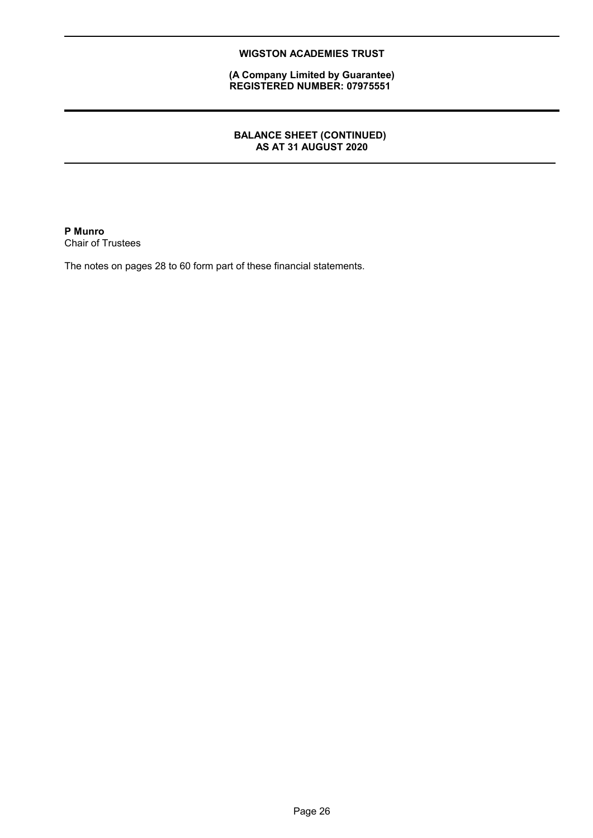**(A Company Limited by Guarantee) REGISTERED NUMBER: 07975551**

## **BALANCE SHEET (CONTINUED) AS AT 31 AUGUST 2020**

**P Munro** Chair of Trustees

The notes on pages 28 to 60 form part of these financial statements.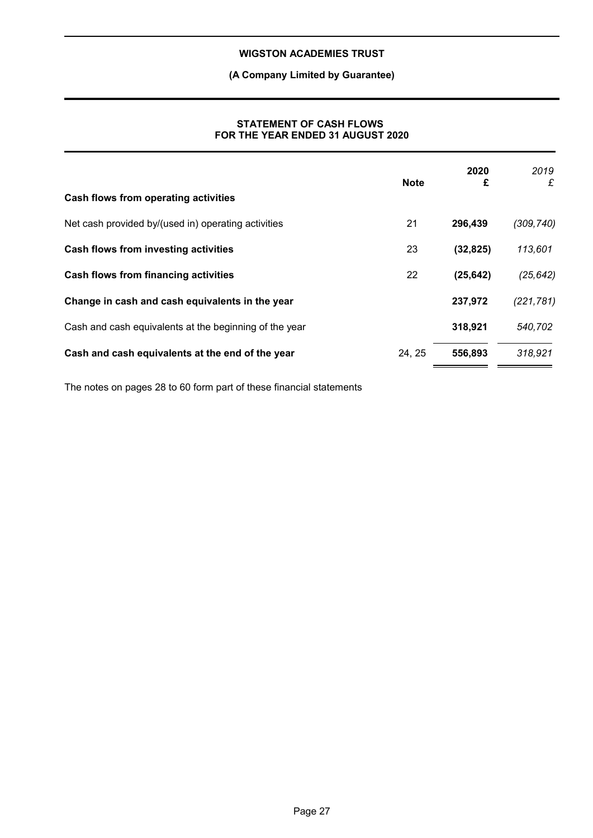## **(A Company Limited by Guarantee)**

## **STATEMENT OF CASH FLOWS FOR THE YEAR ENDED 31 AUGUST 2020**

|                                                        | <b>Note</b> | 2020<br>£ | 2019<br>£  |
|--------------------------------------------------------|-------------|-----------|------------|
| Cash flows from operating activities                   |             |           |            |
| Net cash provided by/(used in) operating activities    | 21          | 296,439   | (309, 740) |
| Cash flows from investing activities                   | 23          | (32, 825) | 113,601    |
| <b>Cash flows from financing activities</b>            | 22          | (25, 642) | (25, 642)  |
| Change in cash and cash equivalents in the year        |             | 237,972   | (221, 781) |
| Cash and cash equivalents at the beginning of the year |             | 318,921   | 540,702    |
| Cash and cash equivalents at the end of the year       | 24, 25      | 556,893   | 318,921    |

The notes on pages 28 to 60 form part of these financial statements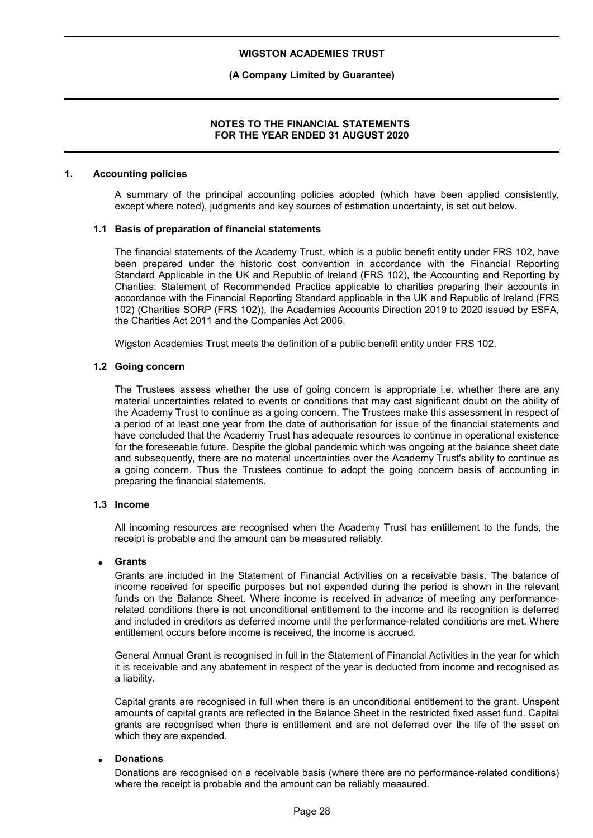## **(A Company Limited by Guarantee)**

## **NOTES TO THE FINANCIAL STATEMENTS FOR THE YEAR ENDED 31 AUGUST 2020**

#### **1. Accounting policies**

A summary of the principal accounting policies adopted (which have been applied consistently, except where noted), judgments and key sources of estimation uncertainty, is set out below.

#### **1.1 Basis of preparation of financial statements**

The financial statements of the Academy Trust, which is a public benefit entity under FRS 102, have been prepared under the historic cost convention in accordance with the Financial Reporting Standard Applicable in the UK and Republic of Ireland (FRS 102), the Accounting and Reporting by Charities: Statement of Recommended Practice applicable to charities preparing their accounts in accordance with the Financial Reporting Standard applicable in the UK and Republic of Ireland (FRS 102) (Charities SORP (FRS 102)), the Academies Accounts Direction 2019 to 2020 issued by ESFA, the Charities Act 2011 and the Companies Act 2006.

Wigston Academies Trust meets the definition of a public benefit entity under FRS 102.

## **1.2 Going concern**

The Trustees assess whether the use of going concern is appropriate i.e. whether there are any material uncertainties related to events or conditions that may cast significant doubt on the ability of the Academy Trust to continue as a going concern. The Trustees make this assessment in respect of a period of at least one year from the date of authorisation for issue of the financial statements and have concluded that the Academy Trust has adequate resources to continue in operational existence for the foreseeable future. Despite the global pandemic which was ongoing at the balance sheet date and subsequently, there are no material uncertainties over the Academy Trust's ability to continue as a going concern. Thus the Trustees continue to adopt the going concern basis of accounting in preparing the financial statements.

#### **1.3 Income**

All incoming resources are recognised when the Academy Trust has entitlement to the funds, the receipt is probable and the amount can be measured reliably.

#### **Grants**

Grants are included in the Statement of Financial Activities on a receivable basis. The balance of income received for specific purposes but not expended during the period is shown in the relevant funds on the Balance Sheet. Where income is received in advance of meeting any performancerelated conditions there is not unconditional entitlement to the income and its recognition is deferred and included in creditors as deferred income until the performance-related conditions are met. Where entitlement occurs before income is received, the income is accrued.

General Annual Grant is recognised in full in the Statement of Financial Activities in the year for which it is receivable and any abatement in respect of the year is deducted from income and recognised as a liability.

Capital grants are recognised in full when there is an unconditional entitlement to the grant. Unspent amounts of capital grants are reflected in the Balance Sheet in the restricted fixed asset fund. Capital grants are recognised when there is entitlement and are not deferred over the life of the asset on which they are expended.

#### **Donations**

Donations are recognised on a receivable basis (where there are no performance-related conditions) where the receipt is probable and the amount can be reliably measured.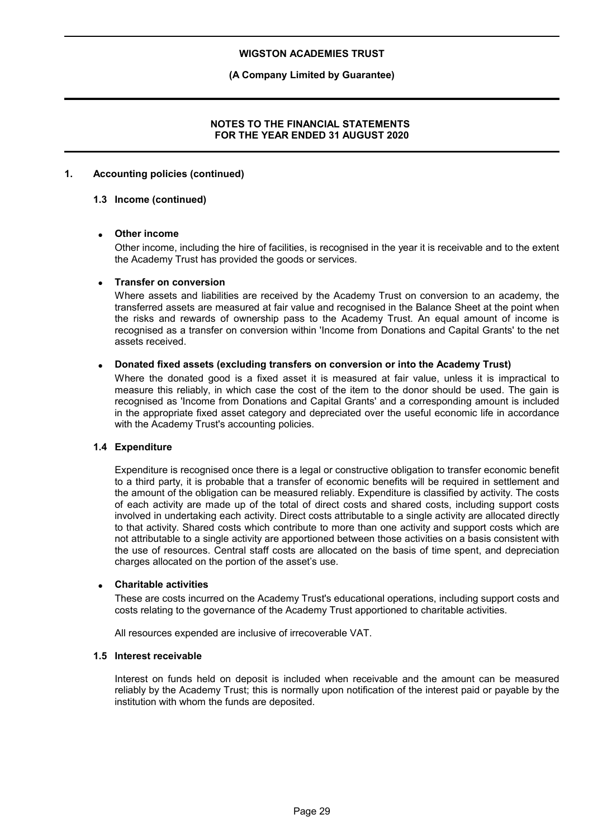## **(A Company Limited by Guarantee)**

## **NOTES TO THE FINANCIAL STATEMENTS FOR THE YEAR ENDED 31 AUGUST 2020**

## **1. Accounting policies (continued)**

#### **1.3 Income (continued)**

## **Other income**

Other income, including the hire of facilities, is recognised in the year it is receivable and to the extent the Academy Trust has provided the goods or services.

#### **Transfer on conversion**

Where assets and liabilities are received by the Academy Trust on conversion to an academy, the transferred assets are measured at fair value and recognised in the Balance Sheet at the point when the risks and rewards of ownership pass to the Academy Trust. An equal amount of income is recognised as a transfer on conversion within 'Income from Donations and Capital Grants' to the net assets received.

## **Donated fixed assets (excluding transfers on conversion or into the Academy Trust)**

Where the donated good is a fixed asset it is measured at fair value, unless it is impractical to measure this reliably, in which case the cost of the item to the donor should be used. The gain is recognised as 'Income from Donations and Capital Grants' and a corresponding amount is included in the appropriate fixed asset category and depreciated over the useful economic life in accordance with the Academy Trust's accounting policies.

#### **1.4 Expenditure**

Expenditure is recognised once there is a legal or constructive obligation to transfer economic benefit to a third party, it is probable that a transfer of economic benefits will be required in settlement and the amount of the obligation can be measured reliably. Expenditure is classified by activity. The costs of each activity are made up of the total of direct costs and shared costs, including support costs involved in undertaking each activity. Direct costs attributable to a single activity are allocated directly to that activity. Shared costs which contribute to more than one activity and support costs which are not attributable to a single activity are apportioned between those activities on a basis consistent with the use of resources. Central staff costs are allocated on the basis of time spent, and depreciation charges allocated on the portion of the asset's use.

#### **Charitable activities**

These are costs incurred on the Academy Trust's educational operations, including support costs and costs relating to the governance of the Academy Trust apportioned to charitable activities.

All resources expended are inclusive of irrecoverable VAT.

#### **1.5 Interest receivable**

Interest on funds held on deposit is included when receivable and the amount can be measured reliably by the Academy Trust; this is normally upon notification of the interest paid or payable by the institution with whom the funds are deposited.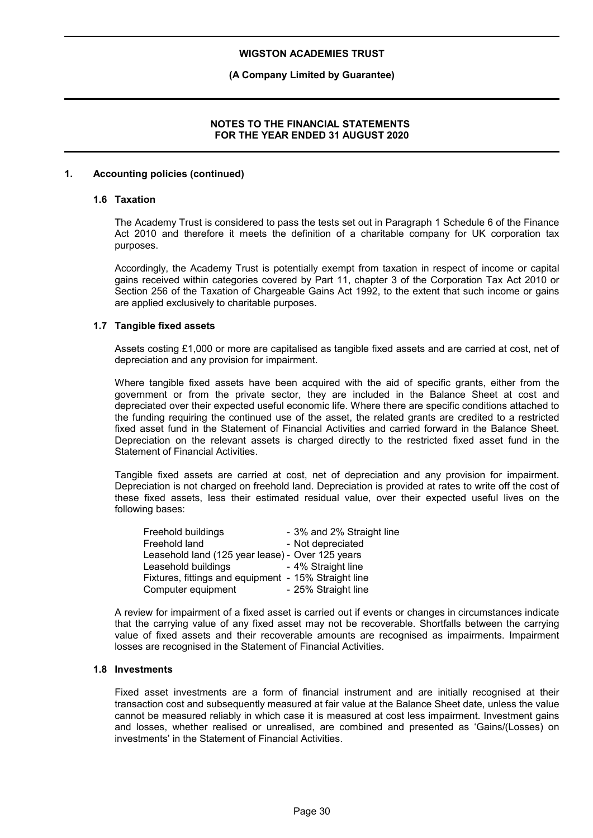## **(A Company Limited by Guarantee)**

## **NOTES TO THE FINANCIAL STATEMENTS FOR THE YEAR ENDED 31 AUGUST 2020**

#### **1. Accounting policies (continued)**

#### **1.6 Taxation**

The Academy Trust is considered to pass the tests set out in Paragraph 1 Schedule 6 of the Finance Act 2010 and therefore it meets the definition of a charitable company for UK corporation tax purposes.

Accordingly, the Academy Trust is potentially exempt from taxation in respect of income or capital gains received within categories covered by Part 11, chapter 3 of the Corporation Tax Act 2010 or Section 256 of the Taxation of Chargeable Gains Act 1992, to the extent that such income or gains are applied exclusively to charitable purposes.

#### **1.7 Tangible fixed assets**

Assets costing £1,000 or more are capitalised as tangible fixed assets and are carried at cost, net of depreciation and any provision for impairment.

Where tangible fixed assets have been acquired with the aid of specific grants, either from the government or from the private sector, they are included in the Balance Sheet at cost and depreciated over their expected useful economic life. Where there are specific conditions attached to the funding requiring the continued use of the asset, the related grants are credited to a restricted fixed asset fund in the Statement of Financial Activities and carried forward in the Balance Sheet. Depreciation on the relevant assets is charged directly to the restricted fixed asset fund in the Statement of Financial Activities.

Tangible fixed assets are carried at cost, net of depreciation and any provision for impairment. Depreciation is not charged on freehold land. Depreciation is provided at rates to write off the cost of these fixed assets, less their estimated residual value, over their expected useful lives on the following bases:

| Freehold buildings                                   | - 3% and 2% Straight line |
|------------------------------------------------------|---------------------------|
| Freehold land                                        | - Not depreciated         |
| Leasehold land (125 year lease) - Over 125 years     |                           |
| Leasehold buildings                                  | - 4% Straight line        |
| Fixtures, fittings and equipment - 15% Straight line |                           |
| Computer equipment                                   | - 25% Straight line       |

A review for impairment of a fixed asset is carried out if events or changes in circumstances indicate that the carrying value of any fixed asset may not be recoverable. Shortfalls between the carrying value of fixed assets and their recoverable amounts are recognised as impairments. Impairment losses are recognised in the Statement of Financial Activities.

## **1.8 Investments**

Fixed asset investments are a form of financial instrument and are initially recognised at their transaction cost and subsequently measured at fair value at the Balance Sheet date, unless the value cannot be measured reliably in which case it is measured at cost less impairment. Investment gains and losses, whether realised or unrealised, are combined and presented as 'Gains/(Losses) on investments' in the Statement of Financial Activities.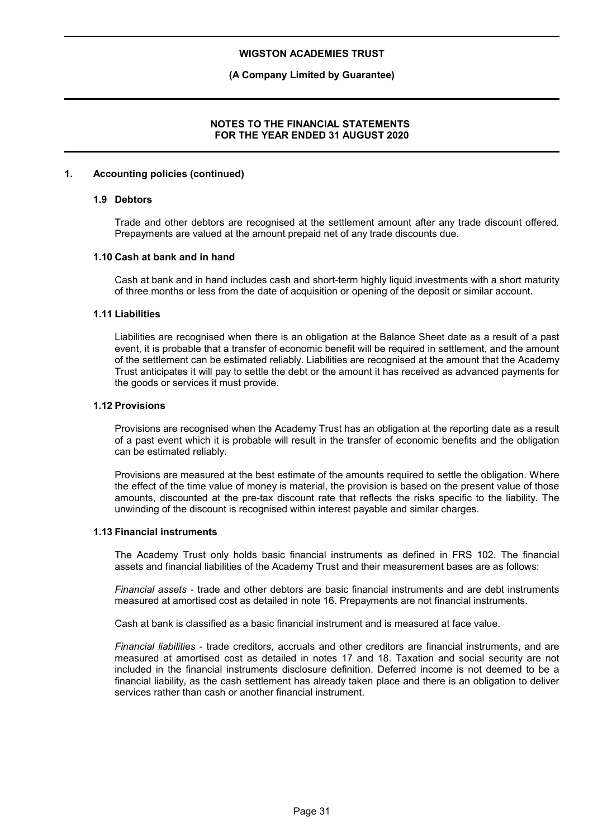## **(A Company Limited by Guarantee)**

## **NOTES TO THE FINANCIAL STATEMENTS FOR THE YEAR ENDED 31 AUGUST 2020**

## **1. Accounting policies (continued)**

#### **1.9 Debtors**

Trade and other debtors are recognised at the settlement amount after any trade discount offered. Prepayments are valued at the amount prepaid net of any trade discounts due.

#### **1.10 Cash at bank and in hand**

Cash at bank and in hand includes cash and short-term highly liquid investments with a short maturity of three months or less from the date of acquisition or opening of the deposit or similar account.

#### **1.11 Liabilities**

Liabilities are recognised when there is an obligation at the Balance Sheet date as a result of a past event, it is probable that a transfer of economic benefit will be required in settlement, and the amount of the settlement can be estimated reliably. Liabilities are recognised at the amount that the Academy Trust anticipates it will pay to settle the debt or the amount it has received as advanced payments for the goods or services it must provide.

#### **1.12 Provisions**

Provisions are recognised when the Academy Trust has an obligation at the reporting date as a result of a past event which it is probable will result in the transfer of economic benefits and the obligation can be estimated reliably.

Provisions are measured at the best estimate of the amounts required to settle the obligation. Where the effect of the time value of money is material, the provision is based on the present value of those amounts, discounted at the pre-tax discount rate that reflects the risks specific to the liability. The unwinding of the discount is recognised within interest payable and similar charges.

#### **1.13 Financial instruments**

The Academy Trust only holds basic financial instruments as defined in FRS 102. The financial assets and financial liabilities of the Academy Trust and their measurement bases are as follows:

*Financial assets* - trade and other debtors are basic financial instruments and are debt instruments measured at amortised cost as detailed in note 16. Prepayments are not financial instruments.

Cash at bank is classified as a basic financial instrument and is measured at face value.

*Financial liabilities* - trade creditors, accruals and other creditors are financial instruments, and are measured at amortised cost as detailed in notes 17 and 18. Taxation and social security are not included in the financial instruments disclosure definition. Deferred income is not deemed to be a financial liability, as the cash settlement has already taken place and there is an obligation to deliver services rather than cash or another financial instrument.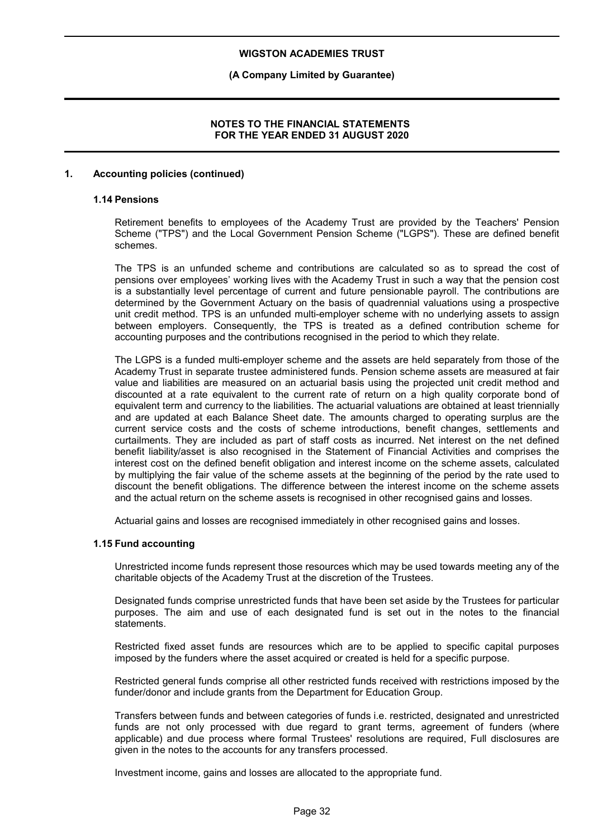## **(A Company Limited by Guarantee)**

## **NOTES TO THE FINANCIAL STATEMENTS FOR THE YEAR ENDED 31 AUGUST 2020**

## **1. Accounting policies (continued)**

#### **1.14 Pensions**

Retirement benefits to employees of the Academy Trust are provided by the Teachers' Pension Scheme ("TPS") and the Local Government Pension Scheme ("LGPS"). These are defined benefit schemes.

The TPS is an unfunded scheme and contributions are calculated so as to spread the cost of pensions over employees' working lives with the Academy Trust in such a way that the pension cost is a substantially level percentage of current and future pensionable payroll. The contributions are determined by the Government Actuary on the basis of quadrennial valuations using a prospective unit credit method. TPS is an unfunded multi-employer scheme with no underlying assets to assign between employers. Consequently, the TPS is treated as a defined contribution scheme for accounting purposes and the contributions recognised in the period to which they relate.

The LGPS is a funded multi-employer scheme and the assets are held separately from those of the Academy Trust in separate trustee administered funds. Pension scheme assets are measured at fair value and liabilities are measured on an actuarial basis using the projected unit credit method and discounted at a rate equivalent to the current rate of return on a high quality corporate bond of equivalent term and currency to the liabilities. The actuarial valuations are obtained at least triennially and are updated at each Balance Sheet date. The amounts charged to operating surplus are the current service costs and the costs of scheme introductions, benefit changes, settlements and curtailments. They are included as part of staff costs as incurred. Net interest on the net defined benefit liability/asset is also recognised in the Statement of Financial Activities and comprises the interest cost on the defined benefit obligation and interest income on the scheme assets, calculated by multiplying the fair value of the scheme assets at the beginning of the period by the rate used to discount the benefit obligations. The difference between the interest income on the scheme assets and the actual return on the scheme assets is recognised in other recognised gains and losses.

Actuarial gains and losses are recognised immediately in other recognised gains and losses.

## **1.15 Fund accounting**

Unrestricted income funds represent those resources which may be used towards meeting any of the charitable objects of the Academy Trust at the discretion of the Trustees.

Designated funds comprise unrestricted funds that have been set aside by the Trustees for particular purposes. The aim and use of each designated fund is set out in the notes to the financial statements.

Restricted fixed asset funds are resources which are to be applied to specific capital purposes imposed by the funders where the asset acquired or created is held for a specific purpose.

Restricted general funds comprise all other restricted funds received with restrictions imposed by the funder/donor and include grants from the Department for Education Group.

Transfers between funds and between categories of funds i.e. restricted, designated and unrestricted funds are not only processed with due regard to grant terms, agreement of funders (where applicable) and due process where formal Trustees' resolutions are required, Full disclosures are given in the notes to the accounts for any transfers processed.

Investment income, gains and losses are allocated to the appropriate fund.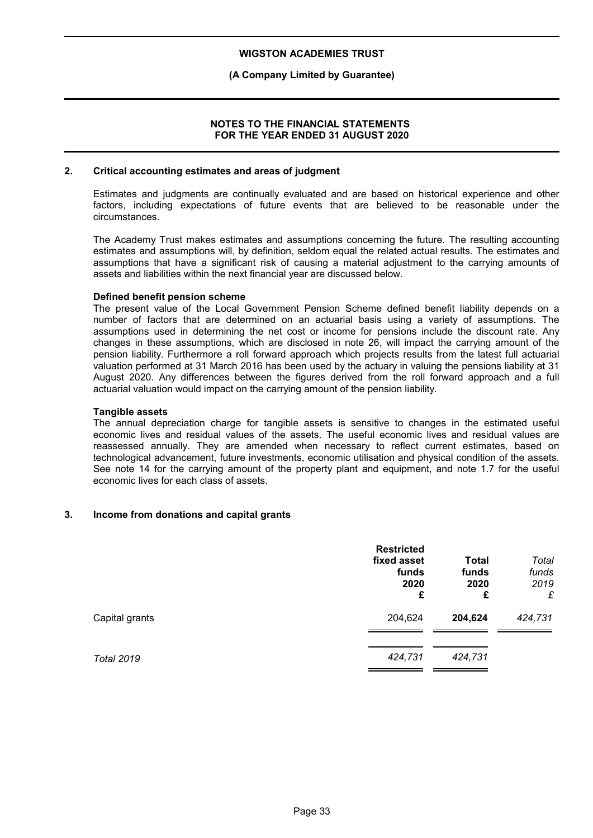## **(A Company Limited by Guarantee)**

## **NOTES TO THE FINANCIAL STATEMENTS FOR THE YEAR ENDED 31 AUGUST 2020**

#### **2. Critical accounting estimates and areas of judgment**

Estimates and judgments are continually evaluated and are based on historical experience and other factors, including expectations of future events that are believed to be reasonable under the circumstances.

The Academy Trust makes estimates and assumptions concerning the future. The resulting accounting estimates and assumptions will, by definition, seldom equal the related actual results. The estimates and assumptions that have a significant risk of causing a material adjustment to the carrying amounts of assets and liabilities within the next financial year are discussed below.

#### **Defined benefit pension scheme**

The present value of the Local Government Pension Scheme defined benefit liability depends on a number of factors that are determined on an actuarial basis using a variety of assumptions. The assumptions used in determining the net cost or income for pensions include the discount rate. Any changes in these assumptions, which are disclosed in note 26, will impact the carrying amount of the pension liability. Furthermore a roll forward approach which projects results from the latest full actuarial valuation performed at 31 March 2016 has been used by the actuary in valuing the pensions liability at 31 August 2020. Any differences between the figures derived from the roll forward approach and a full actuarial valuation would impact on the carrying amount of the pension liability.

## **Tangible assets**

The annual depreciation charge for tangible assets is sensitive to changes in the estimated useful economic lives and residual values of the assets. The useful economic lives and residual values are reassessed annually. They are amended when necessary to reflect current estimates, based on technological advancement, future investments, economic utilisation and physical condition of the assets. See note 14 for the carrying amount of the property plant and equipment, and note 1.7 for the useful economic lives for each class of assets.

## **3. Income from donations and capital grants**

|                   | <b>Restricted</b><br>fixed asset<br>funds<br>2020<br>£ | <b>Total</b><br>funds<br>2020<br>£ | Total<br>funds<br>2019<br>£ |
|-------------------|--------------------------------------------------------|------------------------------------|-----------------------------|
| Capital grants    | 204,624                                                | 204,624                            | 424,731                     |
| <b>Total 2019</b> | 424,731                                                | 424,731                            |                             |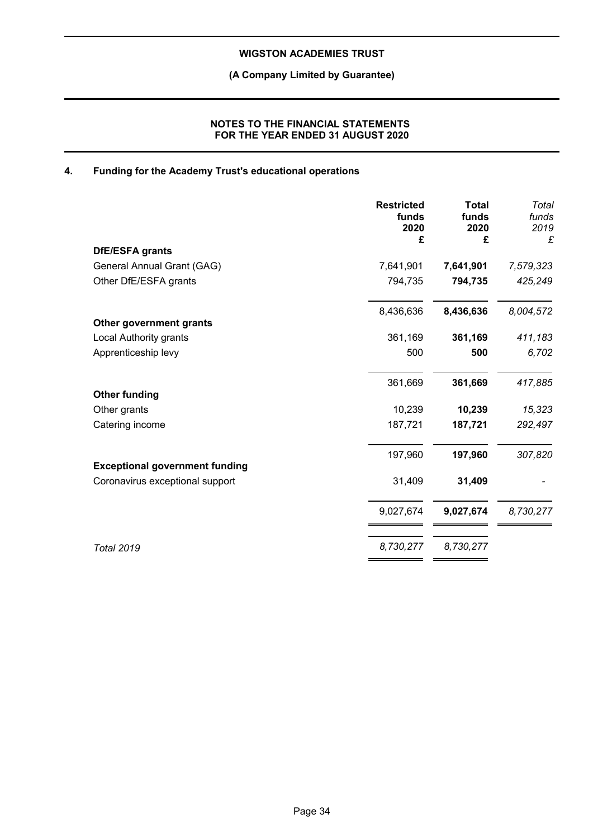**(A Company Limited by Guarantee)**

## **NOTES TO THE FINANCIAL STATEMENTS FOR THE YEAR ENDED 31 AUGUST 2020**

## **4. Funding for the Academy Trust's educational operations**

|                                       | <b>Restricted</b><br>funds<br>2020<br>£ | <b>Total</b><br>funds<br>2020<br>£ | Total<br>funds<br>2019<br>£ |
|---------------------------------------|-----------------------------------------|------------------------------------|-----------------------------|
| DfE/ESFA grants                       |                                         |                                    |                             |
| General Annual Grant (GAG)            | 7,641,901                               | 7,641,901                          | 7,579,323                   |
| Other DfE/ESFA grants                 | 794,735                                 | 794,735                            | 425,249                     |
|                                       | 8,436,636                               | 8,436,636                          | 8,004,572                   |
| Other government grants               |                                         |                                    |                             |
| Local Authority grants                | 361,169                                 | 361,169                            | 411,183                     |
| Apprenticeship levy                   | 500                                     | 500                                | 6,702                       |
|                                       | 361,669                                 | 361,669                            | 417,885                     |
| <b>Other funding</b>                  |                                         |                                    |                             |
| Other grants                          | 10,239                                  | 10,239                             | 15,323                      |
| Catering income                       | 187,721                                 | 187,721                            | 292,497                     |
|                                       | 197,960                                 | 197,960                            | 307,820                     |
| <b>Exceptional government funding</b> |                                         |                                    |                             |
| Coronavirus exceptional support       | 31,409                                  | 31,409                             |                             |
|                                       | 9,027,674                               | 9,027,674                          | 8,730,277                   |
| <b>Total 2019</b>                     | 8,730,277                               | 8,730,277                          |                             |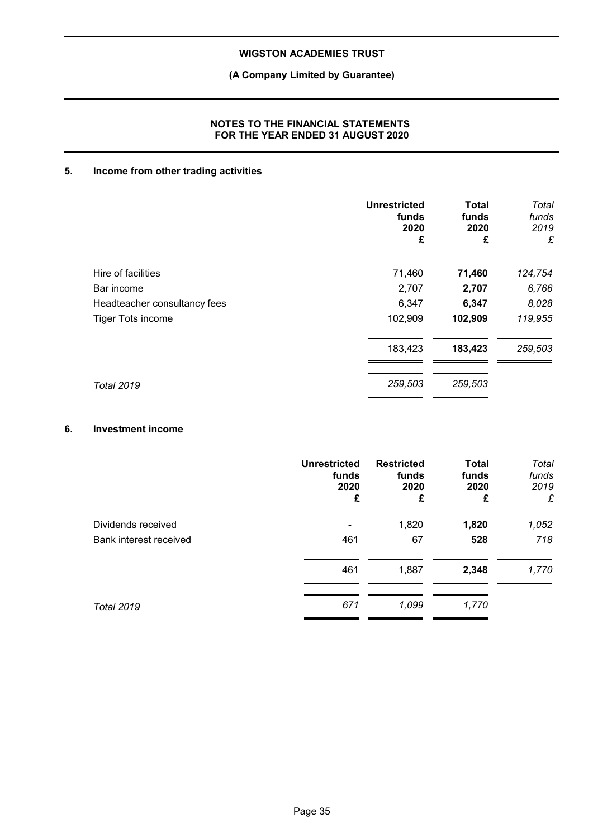## **(A Company Limited by Guarantee)**

## **NOTES TO THE FINANCIAL STATEMENTS FOR THE YEAR ENDED 31 AUGUST 2020**

## **5. Income from other trading activities**

|                              | <b>Unrestricted</b><br>funds<br>2020<br>£ | <b>Total</b><br>funds<br>2020<br>£ | Total<br>funds<br>2019<br>£ |
|------------------------------|-------------------------------------------|------------------------------------|-----------------------------|
| Hire of facilities           | 71,460                                    | 71,460                             | 124,754                     |
| Bar income                   | 2,707                                     | 2,707                              | 6,766                       |
| Headteacher consultancy fees | 6,347                                     | 6,347                              | 8,028                       |
| <b>Tiger Tots income</b>     | 102,909                                   | 102,909                            | 119,955                     |
|                              | 183,423                                   | 183,423                            | 259,503                     |
| <b>Total 2019</b>            | 259,503                                   | 259,503                            |                             |

## **6. Investment income**

|                        | <b>Unrestricted</b> | <b>Restricted</b> | <b>Total</b> | Total |
|------------------------|---------------------|-------------------|--------------|-------|
|                        | funds               | funds             | funds        | funds |
|                        | 2020                | 2020              | 2020         | 2019  |
|                        | £                   | £                 | £            | £     |
| Dividends received     | 461                 | 1,820             | 1,820        | 1,052 |
| Bank interest received |                     | 67                | 528          | 718   |
|                        | 461                 | 1,887             | 2,348        | 1,770 |
| <b>Total 2019</b>      | 671                 | 1,099             | 1,770        |       |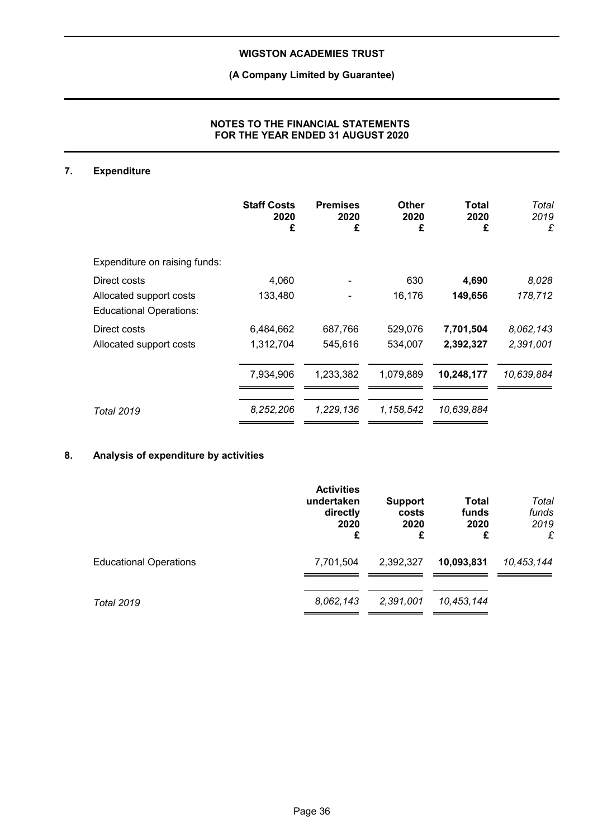## **(A Company Limited by Guarantee)**

## **NOTES TO THE FINANCIAL STATEMENTS FOR THE YEAR ENDED 31 AUGUST 2020**

## **7. Expenditure**

|                                                           | <b>Staff Costs</b><br>2020<br>£ | <b>Premises</b><br>2020<br>£ | Other<br>2020<br>£ | Total<br>2020<br>£ | Total<br>2019<br>£ |
|-----------------------------------------------------------|---------------------------------|------------------------------|--------------------|--------------------|--------------------|
| Expenditure on raising funds:                             |                                 |                              |                    |                    |                    |
| Direct costs                                              | 4,060                           |                              | 630                | 4,690              | 8,028              |
| Allocated support costs<br><b>Educational Operations:</b> | 133,480                         |                              | 16,176             | 149,656            | 178,712            |
| Direct costs                                              | 6,484,662                       | 687,766                      | 529,076            | 7,701,504          | 8,062,143          |
| Allocated support costs                                   | 1,312,704                       | 545,616                      | 534,007            | 2,392,327          | 2,391,001          |
|                                                           | 7,934,906                       | 1,233,382                    | 1,079,889          | 10,248,177         | 10,639,884         |
| Total 2019                                                | 8,252,206                       | 1,229,136                    | 1,158,542          | 10,639,884         |                    |

## **8. Analysis of expenditure by activities**

|                               | <b>Activities</b><br>undertaken<br>directly<br>2020<br>£ | <b>Support</b><br>costs<br>2020<br>£ | Total<br>funds<br>2020<br>£ | Total<br>funds<br>2019<br>£ |
|-------------------------------|----------------------------------------------------------|--------------------------------------|-----------------------------|-----------------------------|
| <b>Educational Operations</b> | 7,701,504                                                | 2,392,327                            | 10,093,831                  | 10,453,144                  |
| <b>Total 2019</b>             | 8,062,143                                                | 2,391,001                            | 10,453,144                  |                             |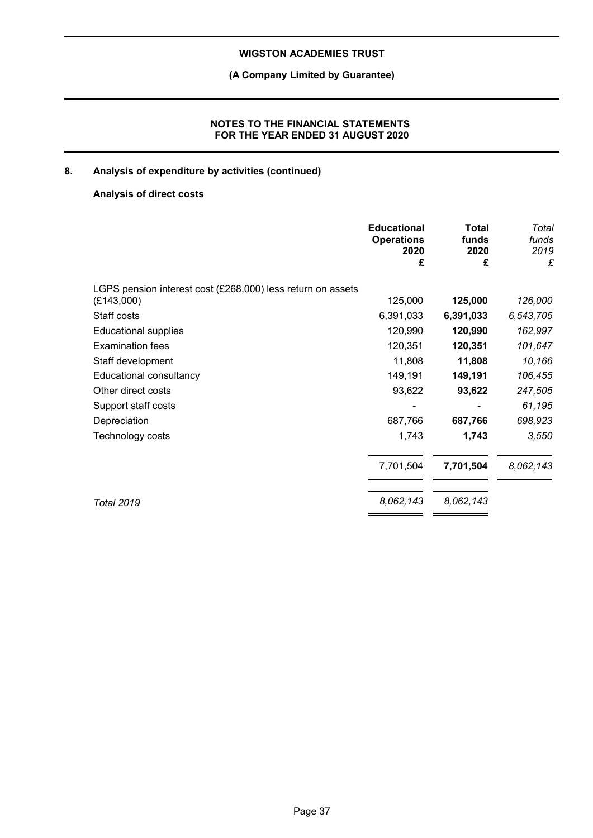## **(A Company Limited by Guarantee)**

## **NOTES TO THE FINANCIAL STATEMENTS FOR THE YEAR ENDED 31 AUGUST 2020**

## **8. Analysis of expenditure by activities (continued)**

## **Analysis of direct costs**

|                                                             | <b>Educational</b><br><b>Operations</b><br>2020<br>£ | <b>Total</b><br>funds<br>2020<br>£ | Total<br>funds<br>2019<br>£ |
|-------------------------------------------------------------|------------------------------------------------------|------------------------------------|-----------------------------|
| LGPS pension interest cost (£268,000) less return on assets |                                                      |                                    |                             |
| (E143,000)                                                  | 125,000                                              | 125,000                            | 126,000                     |
| Staff costs                                                 | 6,391,033                                            | 6,391,033                          | 6,543,705                   |
| <b>Educational supplies</b>                                 | 120,990                                              | 120,990                            | 162,997                     |
| <b>Examination fees</b>                                     | 120,351                                              | 120,351                            | 101,647                     |
| Staff development                                           | 11,808                                               | 11,808                             | 10,166                      |
| Educational consultancy                                     | 149,191                                              | 149,191                            | 106,455                     |
| Other direct costs                                          | 93,622                                               | 93,622                             | 247,505                     |
| Support staff costs                                         |                                                      |                                    | 61,195                      |
| Depreciation                                                | 687,766                                              | 687,766                            | 698,923                     |
| Technology costs                                            | 1,743                                                | 1,743                              | 3,550                       |
|                                                             | 7,701,504                                            | 7,701,504                          | 8,062,143                   |
| <b>Total 2019</b>                                           | 8,062,143                                            | 8,062,143                          |                             |
|                                                             |                                                      |                                    |                             |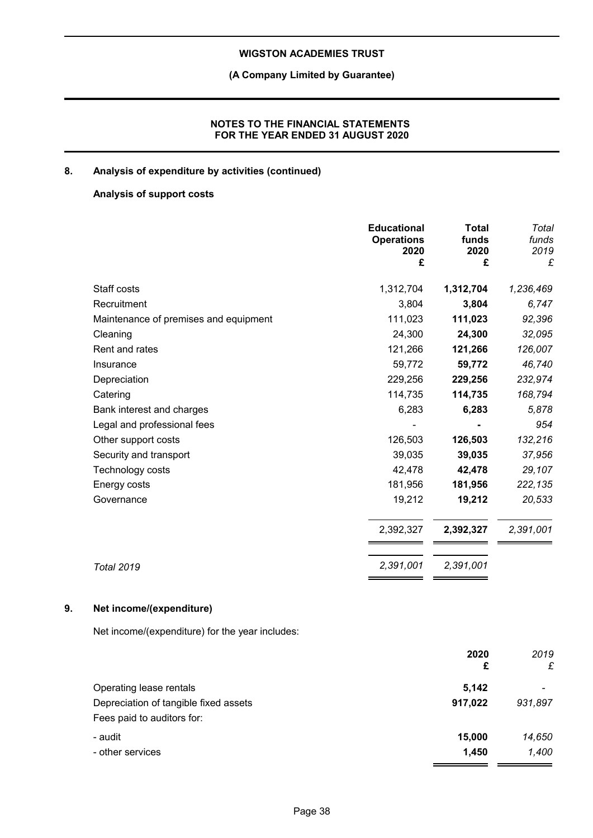## **(A Company Limited by Guarantee)**

## **NOTES TO THE FINANCIAL STATEMENTS FOR THE YEAR ENDED 31 AUGUST 2020**

## **8. Analysis of expenditure by activities (continued)**

## **Analysis of support costs**

|                                       | <b>Educational</b><br><b>Operations</b><br>2020<br>£ | <b>Total</b><br>funds<br>2020<br>£ | Total<br>funds<br>2019<br>£ |
|---------------------------------------|------------------------------------------------------|------------------------------------|-----------------------------|
| Staff costs                           | 1,312,704                                            | 1,312,704                          | 1,236,469                   |
| Recruitment                           | 3,804                                                | 3,804                              | 6,747                       |
| Maintenance of premises and equipment | 111,023                                              | 111,023                            | 92,396                      |
| Cleaning                              | 24,300                                               | 24,300                             | 32,095                      |
| Rent and rates                        | 121,266                                              | 121,266                            | 126,007                     |
| Insurance                             | 59,772                                               | 59,772                             | 46,740                      |
| Depreciation                          | 229,256                                              | 229,256                            | 232,974                     |
| Catering                              | 114,735                                              | 114,735                            | 168,794                     |
| Bank interest and charges             | 6,283                                                | 6,283                              | 5,878                       |
| Legal and professional fees           |                                                      |                                    | 954                         |
| Other support costs                   | 126,503                                              | 126,503                            | 132,216                     |
| Security and transport                | 39,035                                               | 39,035                             | 37,956                      |
| Technology costs                      | 42,478                                               | 42,478                             | 29,107                      |
| Energy costs                          | 181,956                                              | 181,956                            | 222,135                     |
| Governance                            | 19,212                                               | 19,212                             | 20,533                      |
|                                       | 2,392,327                                            | 2,392,327                          | 2,391,001                   |
| <b>Total 2019</b>                     | 2,391,001                                            | 2,391,001                          |                             |

## **9. Net income/(expenditure)**

Net income/(expenditure) for the year includes:

|                                       | 2020    | 2019    |
|---------------------------------------|---------|---------|
|                                       | £       | £       |
| Operating lease rentals               | 5,142   |         |
| Depreciation of tangible fixed assets | 917,022 | 931,897 |
| Fees paid to auditors for:            |         |         |
| - audit                               | 15,000  | 14,650  |
| - other services                      | 1,450   | 1,400   |
|                                       |         |         |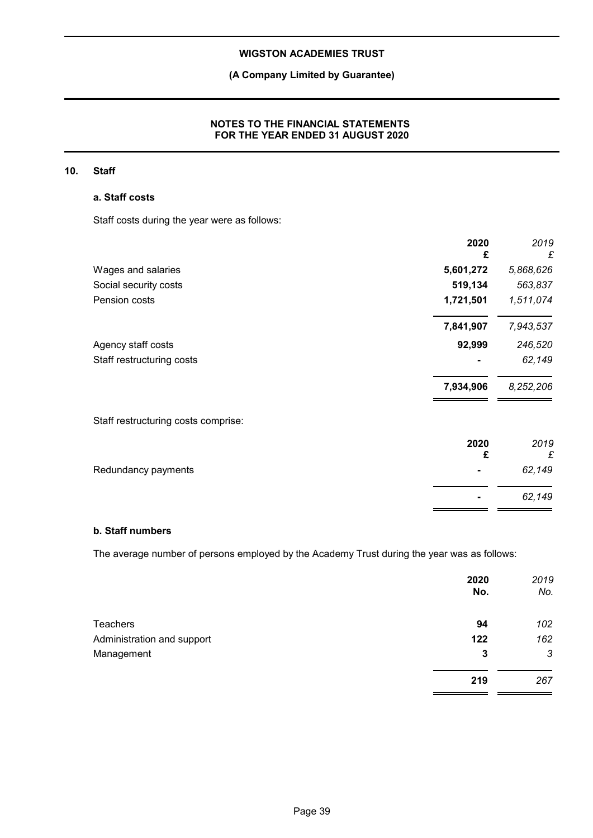## **(A Company Limited by Guarantee)**

## **NOTES TO THE FINANCIAL STATEMENTS FOR THE YEAR ENDED 31 AUGUST 2020**

## **10. Staff**

## **a. Staff costs**

Staff costs during the year were as follows:

|                                     | 2020<br>£ | 2019<br>£ |
|-------------------------------------|-----------|-----------|
| Wages and salaries                  | 5,601,272 | 5,868,626 |
| Social security costs               | 519,134   | 563,837   |
| Pension costs                       | 1,721,501 | 1,511,074 |
|                                     | 7,841,907 | 7,943,537 |
| Agency staff costs                  | 92,999    | 246,520   |
| Staff restructuring costs           |           | 62,149    |
|                                     | 7,934,906 | 8,252,206 |
| Staff restructuring costs comprise: |           |           |
|                                     | 2020<br>£ | 2019<br>£ |
| Redundancy payments                 |           | 62,149    |
|                                     |           | 62,149    |

## **b. Staff numbers**

The average number of persons employed by the Academy Trust during the year was as follows:

|                            | 2020<br>No. | 2019<br>No. |
|----------------------------|-------------|-------------|
| <b>Teachers</b>            | 94          | 102         |
| Administration and support | 122         | 162         |
| Management                 | 3           | 3           |
|                            | 219         | 267         |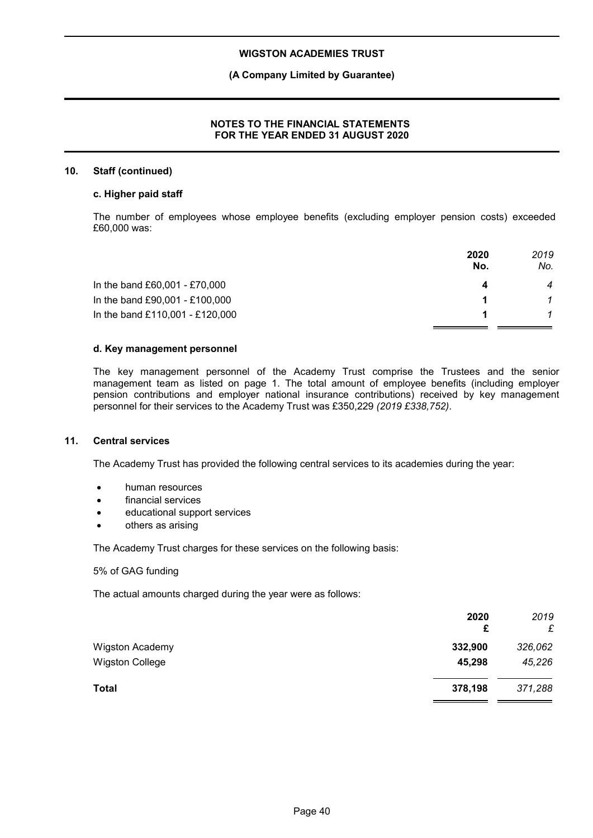## **(A Company Limited by Guarantee)**

## **NOTES TO THE FINANCIAL STATEMENTS FOR THE YEAR ENDED 31 AUGUST 2020**

#### **10. Staff (continued)**

#### **c. Higher paid staff**

The number of employees whose employee benefits (excluding employer pension costs) exceeded £60,000 was:

|                                 | 2020<br>No. | 2019<br>No.    |
|---------------------------------|-------------|----------------|
| In the band £60,001 - £70,000   |             | $\overline{4}$ |
| In the band £90,001 - £100,000  |             |                |
| In the band £110,001 - £120,000 |             |                |

#### **d. Key management personnel**

The key management personnel of the Academy Trust comprise the Trustees and the senior management team as listed on page 1. The total amount of employee benefits (including employer pension contributions and employer national insurance contributions) received by key management personnel for their services to the Academy Trust was £350,229 *(2019 £338,752)*.

## **11. Central services**

The Academy Trust has provided the following central services to its academies during the year:

- human resources
- financial services
- educational support services
- others as arising

The Academy Trust charges for these services on the following basis:

#### 5% of GAG funding

The actual amounts charged during the year were as follows:

|                        | 2020<br>£ | 2019<br>£ |
|------------------------|-----------|-----------|
| <b>Wigston Academy</b> | 332,900   | 326,062   |
| Wigston College        | 45,298    | 45,226    |
| <b>Total</b>           | 378,198   | 371,288   |
|                        |           |           |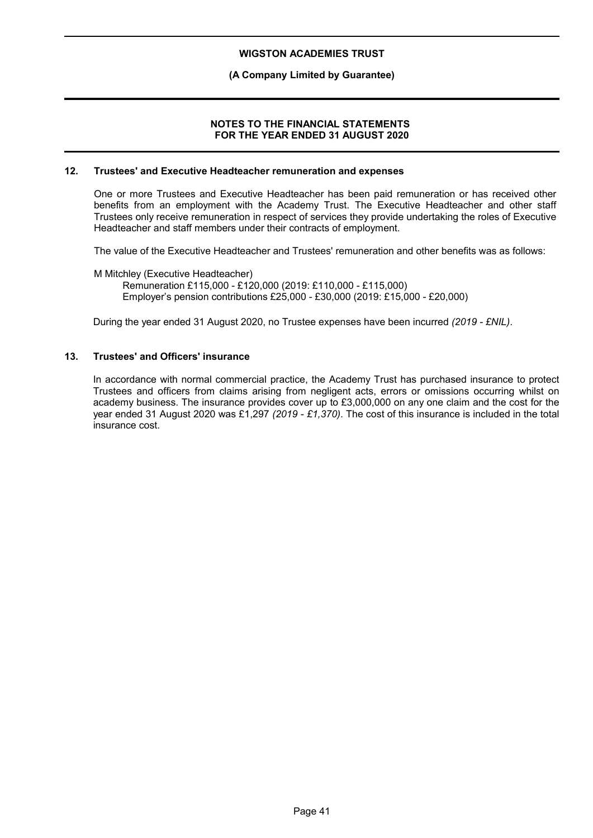## **(A Company Limited by Guarantee)**

#### **NOTES TO THE FINANCIAL STATEMENTS FOR THE YEAR ENDED 31 AUGUST 2020**

#### **12. Trustees' and Executive Headteacher remuneration and expenses**

One or more Trustees and Executive Headteacher has been paid remuneration or has received other benefits from an employment with the Academy Trust. The Executive Headteacher and other staff Trustees only receive remuneration in respect of services they provide undertaking the roles of Executive Headteacher and staff members under their contracts of employment.

The value of the Executive Headteacher and Trustees' remuneration and other benefits was as follows:

M Mitchley (Executive Headteacher) Remuneration £115,000 - £120,000 (2019: £110,000 - £115,000) Employer's pension contributions £25,000 - £30,000 (2019: £15,000 - £20,000)

During the year ended 31 August 2020, no Trustee expenses have been incurred *(2019 - £NIL)*.

### **13. Trustees' and Officers' insurance**

In accordance with normal commercial practice, the Academy Trust has purchased insurance to protect Trustees and officers from claims arising from negligent acts, errors or omissions occurring whilst on academy business. The insurance provides cover up to £3,000,000 on any one claim and the cost for the year ended 31 August 2020 was £1,297 *(2019 - £1,370)*. The cost of this insurance is included in the total insurance cost.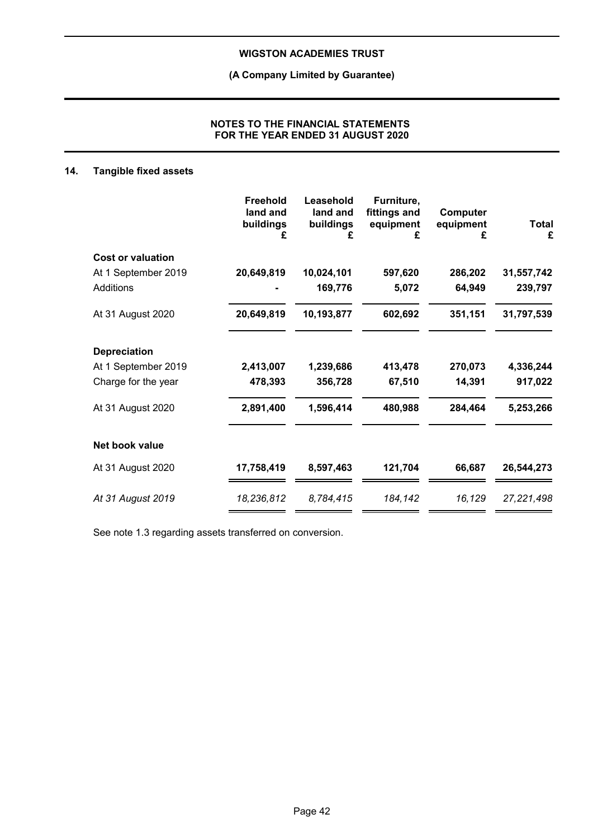**(A Company Limited by Guarantee)**

## **NOTES TO THE FINANCIAL STATEMENTS FOR THE YEAR ENDED 31 AUGUST 2020**

## **14. Tangible fixed assets**

|                          | <b>Freehold</b><br>land and<br>buildings<br>£ | Leasehold<br>land and<br>buildings<br>£ | Furniture,<br>fittings and<br>equipment<br>£ | Computer<br>equipment<br>£ | <b>Total</b><br>£ |
|--------------------------|-----------------------------------------------|-----------------------------------------|----------------------------------------------|----------------------------|-------------------|
| <b>Cost or valuation</b> |                                               |                                         |                                              |                            |                   |
| At 1 September 2019      | 20,649,819                                    | 10,024,101                              | 597,620                                      | 286,202                    | 31,557,742        |
| Additions                |                                               | 169,776                                 | 5,072                                        | 64,949                     | 239,797           |
| At 31 August 2020        | 20,649,819                                    | 10,193,877                              | 602,692                                      | 351,151                    | 31,797,539        |
| <b>Depreciation</b>      |                                               |                                         |                                              |                            |                   |
| At 1 September 2019      | 2,413,007                                     | 1,239,686                               | 413,478                                      | 270,073                    | 4,336,244         |
| Charge for the year      | 478,393                                       | 356,728                                 | 67,510                                       | 14,391                     | 917,022           |
| At 31 August 2020        | 2,891,400                                     | 1,596,414                               | 480,988                                      | 284,464                    | 5,253,266         |
| Net book value           |                                               |                                         |                                              |                            |                   |
| At 31 August 2020        | 17,758,419                                    | 8,597,463                               | 121,704                                      | 66,687                     | 26.544.273        |
| At 31 August 2019        | 18,236,812                                    | 8,784,415                               | 184,142                                      | 16,129                     | 27,221,498        |

See note 1.3 regarding assets transferred on conversion.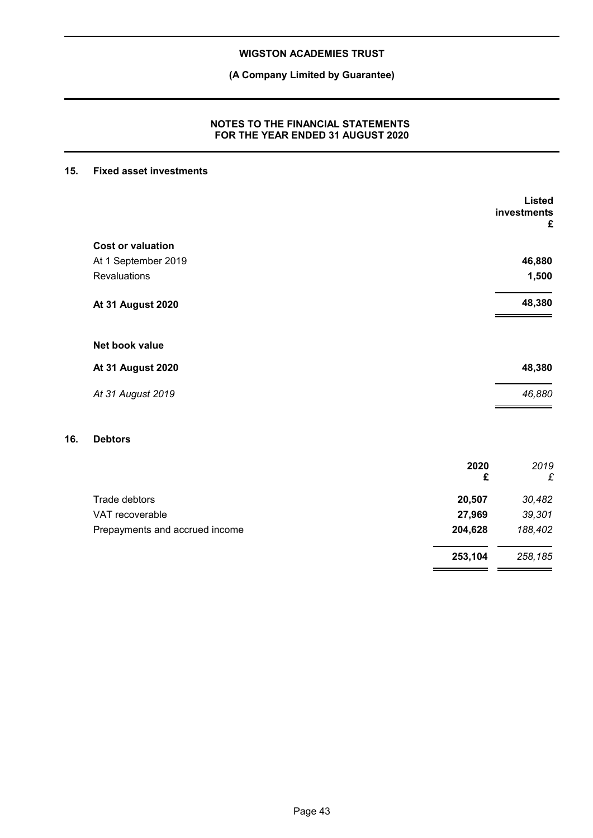**(A Company Limited by Guarantee)**

## **NOTES TO THE FINANCIAL STATEMENTS FOR THE YEAR ENDED 31 AUGUST 2020**

## **15. Fixed asset investments**

|     |                          | <b>Listed</b><br>investments<br>£ |
|-----|--------------------------|-----------------------------------|
|     | <b>Cost or valuation</b> |                                   |
|     | At 1 September 2019      | 46,880                            |
|     | Revaluations             | 1,500                             |
|     | <b>At 31 August 2020</b> | 48,380                            |
|     | Net book value           |                                   |
|     | <b>At 31 August 2020</b> | 48,380                            |
|     | At 31 August 2019        | 46,880                            |
| 16. | <b>Debtors</b>           |                                   |

|                                | £       | £       |
|--------------------------------|---------|---------|
| Trade debtors                  | 20.507  | 30,482  |
| VAT recoverable                | 27.969  | 39,301  |
| Prepayments and accrued income | 204,628 | 188,402 |
|                                | 253,104 | 258,185 |

**2020** *2019*

 $\sim$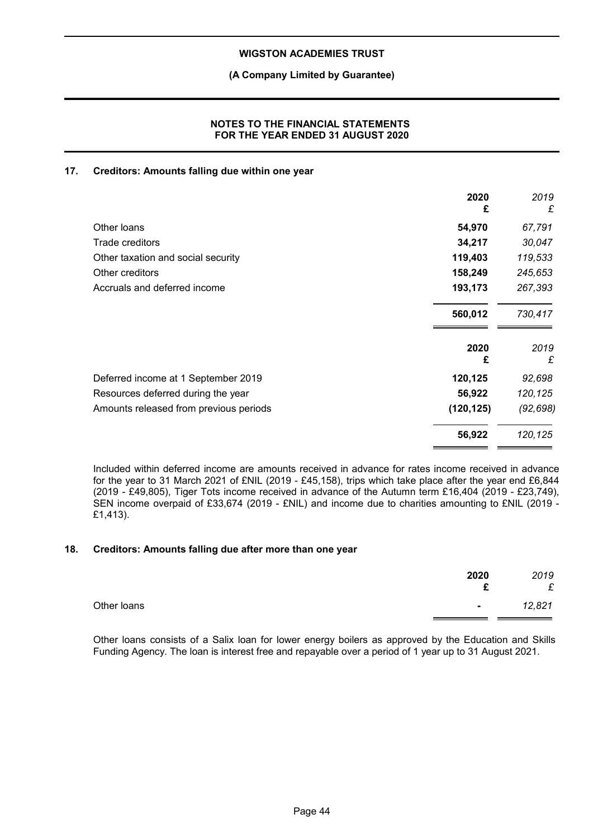## **(A Company Limited by Guarantee)**

## **NOTES TO THE FINANCIAL STATEMENTS FOR THE YEAR ENDED 31 AUGUST 2020**

## **17. Creditors: Amounts falling due within one year**

|                                        | 2020<br>£  | 2019<br>£ |
|----------------------------------------|------------|-----------|
| Other loans                            | 54,970     | 67,791    |
| Trade creditors                        | 34,217     | 30,047    |
| Other taxation and social security     | 119,403    | 119,533   |
| Other creditors                        | 158,249    | 245,653   |
| Accruals and deferred income           | 193,173    | 267,393   |
|                                        | 560,012    | 730,417   |
|                                        | 2020<br>£  | 2019<br>£ |
| Deferred income at 1 September 2019    | 120,125    | 92,698    |
| Resources deferred during the year     | 56,922     | 120,125   |
| Amounts released from previous periods | (120, 125) | (92, 698) |
|                                        | 56,922     | 120,125   |

Included within deferred income are amounts received in advance for rates income received in advance for the year to 31 March 2021 of £NIL (2019 - £45,158), trips which take place after the year end £6,844 (2019 - £49,805), Tiger Tots income received in advance of the Autumn term £16,404 (2019 - £23,749), SEN income overpaid of £33,674 (2019 - £NIL) and income due to charities amounting to £NIL (2019 - £1,413).

#### **18. Creditors: Amounts falling due after more than one year**

|             | 2020   | 2019<br>£ |
|-------------|--------|-----------|
| Other loans | $\sim$ | 12,821    |

Other loans consists of a Salix loan for lower energy boilers as approved by the Education and Skills Funding Agency. The loan is interest free and repayable over a period of 1 year up to 31 August 2021.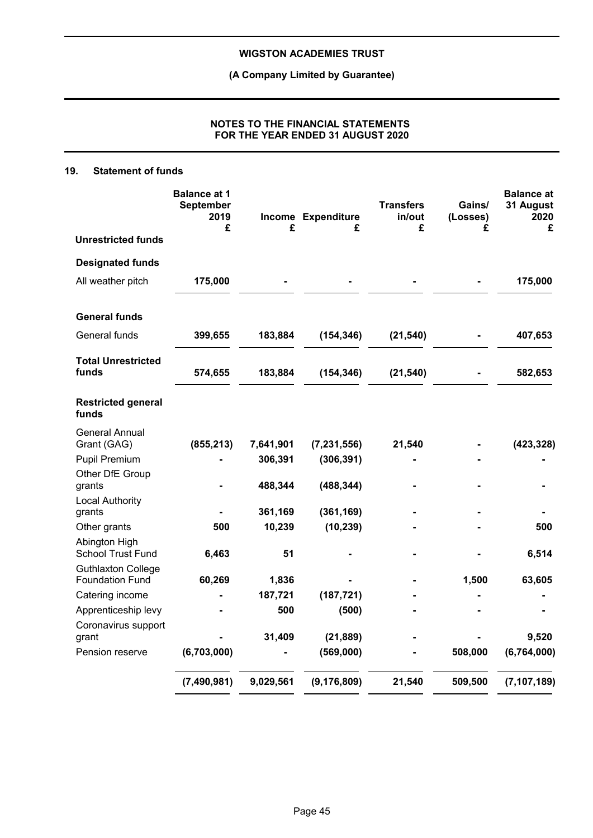**(A Company Limited by Guarantee)**

## **NOTES TO THE FINANCIAL STATEMENTS FOR THE YEAR ENDED 31 AUGUST 2020**

## **19. Statement of funds**

|                                                     | <b>Balance at 1</b><br><b>September</b><br>2019<br>£ | £         | Income Expenditure<br>£ | <b>Transfers</b><br>in/out<br>£ | Gains/<br>(Losses)<br>£ | <b>Balance at</b><br>31 August<br>2020<br>£ |
|-----------------------------------------------------|------------------------------------------------------|-----------|-------------------------|---------------------------------|-------------------------|---------------------------------------------|
| <b>Unrestricted funds</b>                           |                                                      |           |                         |                                 |                         |                                             |
| <b>Designated funds</b>                             |                                                      |           |                         |                                 |                         |                                             |
| All weather pitch                                   | 175,000                                              |           |                         |                                 |                         | 175,000                                     |
| <b>General funds</b>                                |                                                      |           |                         |                                 |                         |                                             |
| General funds                                       | 399,655                                              | 183,884   | (154, 346)              | (21, 540)                       |                         | 407,653                                     |
| <b>Total Unrestricted</b><br>funds                  | 574,655                                              | 183,884   | (154, 346)              | (21, 540)                       |                         | 582,653                                     |
| <b>Restricted general</b><br>funds                  |                                                      |           |                         |                                 |                         |                                             |
| General Annual<br>Grant (GAG)                       | (855, 213)                                           | 7,641,901 | (7, 231, 556)           | 21,540                          |                         | (423, 328)                                  |
| Pupil Premium                                       |                                                      | 306,391   | (306, 391)              |                                 |                         |                                             |
| Other DfE Group<br>grants                           |                                                      | 488,344   | (488, 344)              |                                 |                         |                                             |
| <b>Local Authority</b><br>grants                    |                                                      | 361,169   | (361, 169)              |                                 |                         |                                             |
| Other grants                                        | 500                                                  | 10,239    | (10, 239)               |                                 |                         | 500                                         |
| Abington High<br><b>School Trust Fund</b>           | 6,463                                                | 51        |                         |                                 |                         | 6,514                                       |
| <b>Guthlaxton College</b><br><b>Foundation Fund</b> | 60,269                                               | 1,836     |                         |                                 | 1,500                   | 63,605                                      |
| Catering income                                     |                                                      | 187,721   | (187, 721)              |                                 |                         |                                             |
| Apprenticeship levy                                 |                                                      | 500       | (500)                   |                                 |                         |                                             |
| Coronavirus support<br>grant                        |                                                      | 31,409    | (21, 889)               |                                 |                         | 9,520                                       |
| Pension reserve                                     | (6,703,000)                                          |           | (569,000)               |                                 | 508,000                 | (6, 764, 000)                               |
|                                                     | (7, 490, 981)                                        | 9,029,561 | (9, 176, 809)           | 21,540                          | 509,500                 | (7, 107, 189)                               |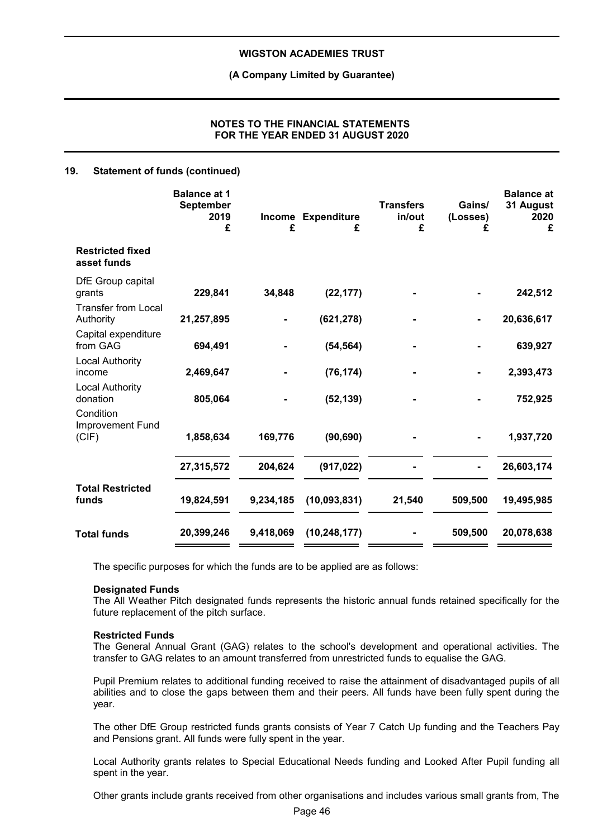#### **(A Company Limited by Guarantee)**

## **NOTES TO THE FINANCIAL STATEMENTS FOR THE YEAR ENDED 31 AUGUST 2020**

#### **19. Statement of funds (continued)**

|                                         | <b>Balance at 1</b><br><b>September</b><br>2019<br>£ | Income<br>£ | <b>Expenditure</b><br>£ | <b>Transfers</b><br>in/out<br>£ | Gains/<br>(Losses)<br>£ | <b>Balance at</b><br>31 August<br>2020<br>£ |
|-----------------------------------------|------------------------------------------------------|-------------|-------------------------|---------------------------------|-------------------------|---------------------------------------------|
| <b>Restricted fixed</b><br>asset funds  |                                                      |             |                         |                                 |                         |                                             |
| DfE Group capital<br>grants             | 229,841                                              | 34,848      | (22, 177)               |                                 |                         | 242,512                                     |
| <b>Transfer from Local</b><br>Authority | 21,257,895                                           |             | (621, 278)              |                                 |                         | 20,636,617                                  |
| Capital expenditure<br>from GAG         | 694,491                                              |             | (54, 564)               |                                 |                         | 639,927                                     |
| <b>Local Authority</b><br>income        | 2,469,647                                            |             | (76, 174)               |                                 |                         | 2,393,473                                   |
| <b>Local Authority</b><br>donation      | 805,064                                              |             | (52, 139)               |                                 |                         | 752,925                                     |
| Condition<br>Improvement Fund<br>(CIF)  | 1,858,634                                            | 169,776     | (90, 690)               |                                 |                         | 1,937,720                                   |
|                                         | 27,315,572                                           | 204,624     | (917, 022)              |                                 |                         | 26,603,174                                  |
| <b>Total Restricted</b><br>funds        | 19,824,591                                           | 9,234,185   | (10,093,831)            | 21,540                          | 509,500                 | 19,495,985                                  |
| <b>Total funds</b>                      | 20,399,246                                           | 9,418,069   | (10, 248, 177)          |                                 | 509,500                 | 20,078,638                                  |

The specific purposes for which the funds are to be applied are as follows:

#### **Designated Funds**

The All Weather Pitch designated funds represents the historic annual funds retained specifically for the future replacement of the pitch surface.

#### **Restricted Funds**

The General Annual Grant (GAG) relates to the school's development and operational activities. The transfer to GAG relates to an amount transferred from unrestricted funds to equalise the GAG.

Pupil Premium relates to additional funding received to raise the attainment of disadvantaged pupils of all abilities and to close the gaps between them and their peers. All funds have been fully spent during the year.

The other DfE Group restricted funds grants consists of Year 7 Catch Up funding and the Teachers Pay and Pensions grant. All funds were fully spent in the year.

Local Authority grants relates to Special Educational Needs funding and Looked After Pupil funding all spent in the year.

Other grants include grants received from other organisations and includes various small grants from, The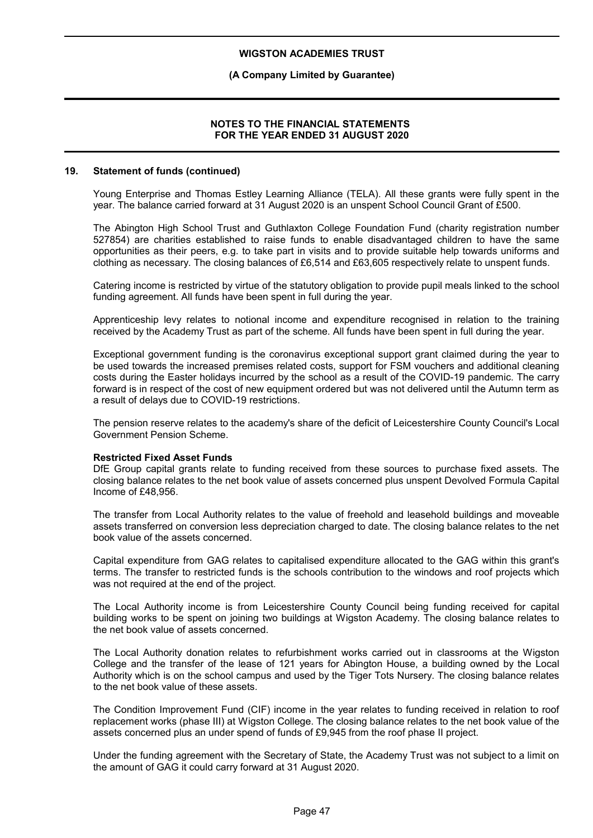## **(A Company Limited by Guarantee)**

#### **NOTES TO THE FINANCIAL STATEMENTS FOR THE YEAR ENDED 31 AUGUST 2020**

#### **19. Statement of funds (continued)**

Young Enterprise and Thomas Estley Learning Alliance (TELA). All these grants were fully spent in the year. The balance carried forward at 31 August 2020 is an unspent School Council Grant of £500.

The Abington High School Trust and Guthlaxton College Foundation Fund (charity registration number 527854) are charities established to raise funds to enable disadvantaged children to have the same opportunities as their peers, e.g. to take part in visits and to provide suitable help towards uniforms and clothing as necessary. The closing balances of £6,514 and £63,605 respectively relate to unspent funds.

Catering income is restricted by virtue of the statutory obligation to provide pupil meals linked to the school funding agreement. All funds have been spent in full during the year.

Apprenticeship levy relates to notional income and expenditure recognised in relation to the training received by the Academy Trust as part of the scheme. All funds have been spent in full during the year.

Exceptional government funding is the coronavirus exceptional support grant claimed during the year to be used towards the increased premises related costs, support for FSM vouchers and additional cleaning costs during the Easter holidays incurred by the school as a result of the COVID-19 pandemic. The carry forward is in respect of the cost of new equipment ordered but was not delivered until the Autumn term as a result of delays due to COVID-19 restrictions.

The pension reserve relates to the academy's share of the deficit of Leicestershire County Council's Local Government Pension Scheme.

#### **Restricted Fixed Asset Funds**

DfE Group capital grants relate to funding received from these sources to purchase fixed assets. The closing balance relates to the net book value of assets concerned plus unspent Devolved Formula Capital Income of £48,956.

The transfer from Local Authority relates to the value of freehold and leasehold buildings and moveable assets transferred on conversion less depreciation charged to date. The closing balance relates to the net book value of the assets concerned.

Capital expenditure from GAG relates to capitalised expenditure allocated to the GAG within this grant's terms. The transfer to restricted funds is the schools contribution to the windows and roof projects which was not required at the end of the project.

The Local Authority income is from Leicestershire County Council being funding received for capital building works to be spent on joining two buildings at Wigston Academy. The closing balance relates to the net book value of assets concerned.

The Local Authority donation relates to refurbishment works carried out in classrooms at the Wigston College and the transfer of the lease of 121 years for Abington House, a building owned by the Local Authority which is on the school campus and used by the Tiger Tots Nursery. The closing balance relates to the net book value of these assets.

The Condition Improvement Fund (CIF) income in the year relates to funding received in relation to roof replacement works (phase III) at Wigston College. The closing balance relates to the net book value of the assets concerned plus an under spend of funds of £9,945 from the roof phase II project.

Under the funding agreement with the Secretary of State, the Academy Trust was not subject to a limit on the amount of GAG it could carry forward at 31 August 2020.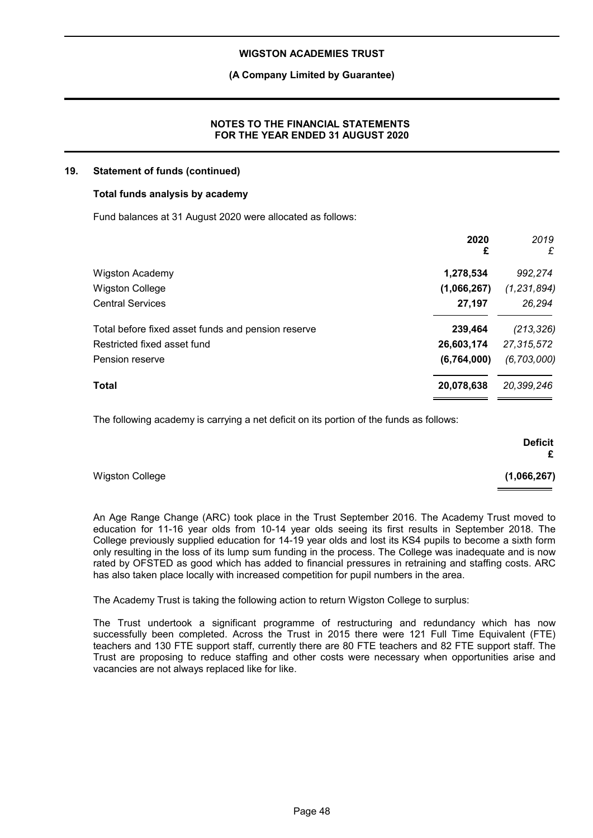## **(A Company Limited by Guarantee)**

## **NOTES TO THE FINANCIAL STATEMENTS FOR THE YEAR ENDED 31 AUGUST 2020**

#### **19. Statement of funds (continued)**

#### **Total funds analysis by academy**

Fund balances at 31 August 2020 were allocated as follows:

|                                                    | 2020<br>£   | 2019<br>£     |
|----------------------------------------------------|-------------|---------------|
| <b>Wigston Academy</b>                             | 1,278,534   | 992,274       |
| <b>Wigston College</b>                             | (1,066,267) | (1, 231, 894) |
| <b>Central Services</b>                            | 27,197      | 26,294        |
| Total before fixed asset funds and pension reserve | 239,464     | (213, 326)    |
| Restricted fixed asset fund                        | 26,603,174  | 27,315,572    |
| Pension reserve                                    | (6,764,000) | (6, 703, 000) |
| Total                                              | 20,078,638  | 20,399,246    |

The following academy is carrying a net deficit on its portion of the funds as follows:

|                        | <b>Deficit</b><br>£ |
|------------------------|---------------------|
| <b>Wigston College</b> | (1,066,267)         |

An Age Range Change (ARC) took place in the Trust September 2016. The Academy Trust moved to education for 11-16 year olds from 10-14 year olds seeing its first results in September 2018. The College previously supplied education for 14-19 year olds and lost its KS4 pupils to become a sixth form only resulting in the loss of its lump sum funding in the process. The College was inadequate and is now rated by OFSTED as good which has added to financial pressures in retraining and staffing costs. ARC has also taken place locally with increased competition for pupil numbers in the area.

The Academy Trust is taking the following action to return Wigston College to surplus:

The Trust undertook a significant programme of restructuring and redundancy which has now successfully been completed. Across the Trust in 2015 there were 121 Full Time Equivalent (FTE) teachers and 130 FTE support staff, currently there are 80 FTE teachers and 82 FTE support staff. The Trust are proposing to reduce staffing and other costs were necessary when opportunities arise and vacancies are not always replaced like for like.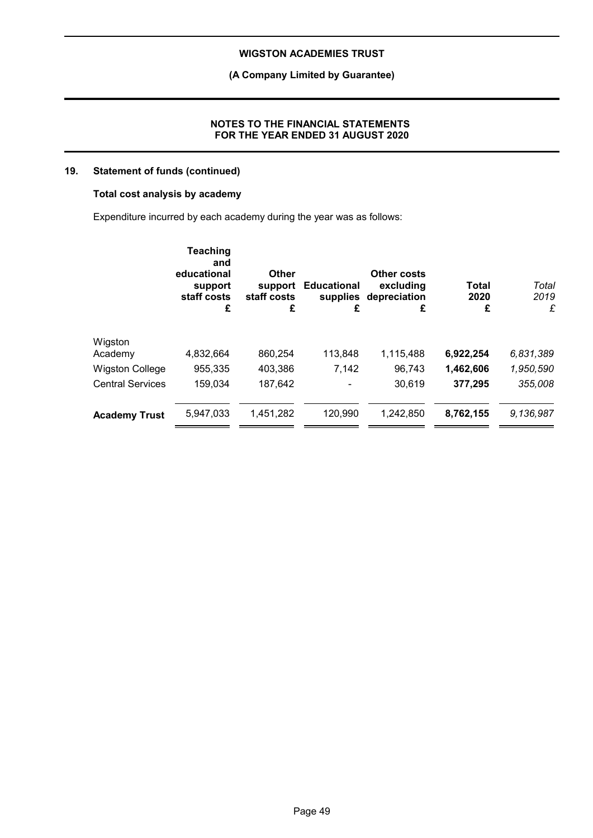## **(A Company Limited by Guarantee)**

#### **NOTES TO THE FINANCIAL STATEMENTS FOR THE YEAR ENDED 31 AUGUST 2020**

## **19. Statement of funds (continued)**

## **Total cost analysis by academy**

Expenditure incurred by each academy during the year was as follows:

|                         | <b>Teaching</b><br>and<br>educational<br>support<br>staff costs<br>£ | <b>Other</b><br>support<br>staff costs<br>£ | <b>Educational</b><br>supplies<br>£ | Other costs<br>excluding<br>depreciation<br>£ | <b>Total</b><br>2020<br>£ | Total<br>2019<br>£ |
|-------------------------|----------------------------------------------------------------------|---------------------------------------------|-------------------------------------|-----------------------------------------------|---------------------------|--------------------|
| Wigston                 |                                                                      |                                             |                                     |                                               |                           |                    |
| Academy                 | 4,832,664                                                            | 860.254                                     | 113,848                             | 1,115,488                                     | 6,922,254                 | 6,831,389          |
| <b>Wigston College</b>  | 955,335                                                              | 403,386                                     | 7,142                               | 96,743                                        | 1,462,606                 | 1,950,590          |
| <b>Central Services</b> | 159,034                                                              | 187,642                                     |                                     | 30,619                                        | 377,295                   | 355,008            |
| <b>Academy Trust</b>    | 5.947.033                                                            | 1,451,282                                   | 120,990                             | 1,242,850                                     | 8,762,155                 | 9,136,987          |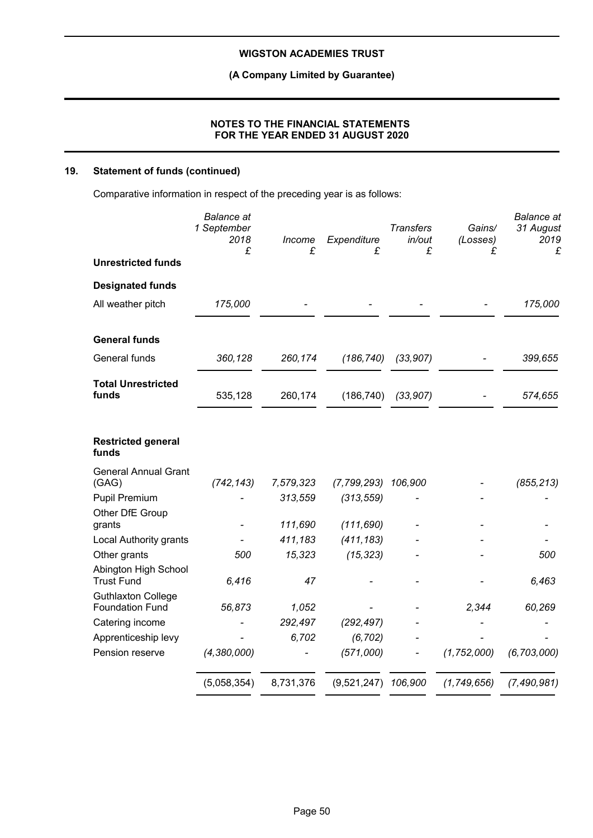**(A Company Limited by Guarantee)**

## **NOTES TO THE FINANCIAL STATEMENTS FOR THE YEAR ENDED 31 AUGUST 2020**

## **19. Statement of funds (continued)**

Comparative information in respect of the preceding year is as follows:

|                                                     | <b>Balance</b> at<br>1 September<br>2018<br>£ | Income<br>£ | Expenditure<br>£      | <b>Transfers</b><br>in/out<br>£ | Gains/<br>(Losses)<br>£ | <b>Balance</b> at<br>31 August<br>2019<br>£ |
|-----------------------------------------------------|-----------------------------------------------|-------------|-----------------------|---------------------------------|-------------------------|---------------------------------------------|
| <b>Unrestricted funds</b>                           |                                               |             |                       |                                 |                         |                                             |
| <b>Designated funds</b>                             |                                               |             |                       |                                 |                         |                                             |
| All weather pitch                                   | 175,000                                       |             |                       |                                 |                         | 175,000                                     |
| <b>General funds</b>                                |                                               |             |                       |                                 |                         |                                             |
| General funds                                       | 360,128                                       | 260,174     | (186, 740)            | (33, 907)                       |                         | 399,655                                     |
| <b>Total Unrestricted</b><br>funds                  | 535,128                                       | 260,174     | (186, 740)            | (33, 907)                       |                         | 574,655                                     |
| <b>Restricted general</b><br>funds                  |                                               |             |                       |                                 |                         |                                             |
| <b>General Annual Grant</b><br>(GAG)                | (742, 143)                                    | 7,579,323   | (7, 799, 293)         | 106,900                         |                         | (855, 213)                                  |
| Pupil Premium                                       |                                               | 313,559     | (313, 559)            |                                 |                         |                                             |
| Other DfE Group<br>grants                           |                                               | 111,690     | (111, 690)            |                                 |                         |                                             |
| Local Authority grants                              |                                               | 411,183     | (411, 183)            |                                 |                         |                                             |
| Other grants                                        | 500                                           | 15,323      | (15, 323)             |                                 |                         | 500                                         |
| Abington High School<br><b>Trust Fund</b>           | 6,416                                         | 47          |                       |                                 |                         | 6,463                                       |
| <b>Guthlaxton College</b><br><b>Foundation Fund</b> | 56,873                                        | 1,052       |                       |                                 | 2,344                   | 60,269                                      |
| Catering income                                     |                                               | 292,497     | (292, 497)            |                                 |                         |                                             |
| Apprenticeship levy                                 |                                               | 6,702       | (6, 702)              |                                 |                         |                                             |
| Pension reserve                                     | (4,380,000)                                   |             | (571,000)             |                                 | (1, 752, 000)           | (6, 703, 000)                               |
|                                                     | (5,058,354)                                   | 8,731,376   | $(9,521,247)$ 106,900 |                                 | (1,749,656)             | (7, 490, 981)                               |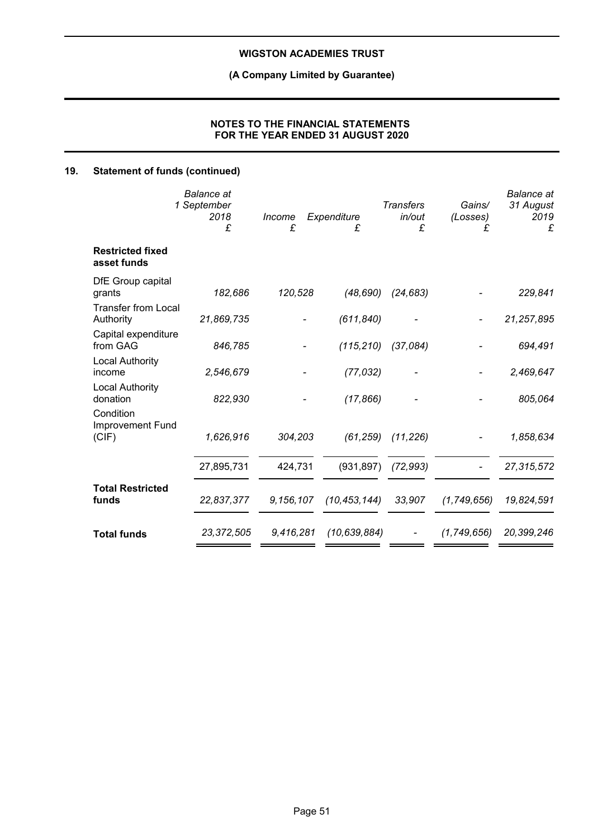## **(A Company Limited by Guarantee)**

## **NOTES TO THE FINANCIAL STATEMENTS FOR THE YEAR ENDED 31 AUGUST 2020**

## **19. Statement of funds (continued)**

|                                         | <b>Balance</b> at<br>1 September<br>2018<br>£ | Income<br>£ | Expenditure<br>£ | <b>Transfers</b><br>in/out<br>£ | Gains/<br>(Losses)<br>£ | <b>Balance</b> at<br>31 August<br>2019<br>£ |
|-----------------------------------------|-----------------------------------------------|-------------|------------------|---------------------------------|-------------------------|---------------------------------------------|
| <b>Restricted fixed</b><br>asset funds  |                                               |             |                  |                                 |                         |                                             |
| DfE Group capital<br>grants             | 182,686                                       | 120,528     | (48, 690)        | (24, 683)                       |                         | 229,841                                     |
| <b>Transfer from Local</b><br>Authority | 21,869,735                                    |             | (611, 840)       |                                 |                         | 21,257,895                                  |
| Capital expenditure<br>from GAG         | 846,785                                       |             | (115, 210)       | (37,084)                        |                         | 694,491                                     |
| <b>Local Authority</b><br>income        | 2,546,679                                     |             | (77, 032)        |                                 |                         | 2,469,647                                   |
| <b>Local Authority</b><br>donation      | 822,930                                       |             | (17, 866)        |                                 |                         | 805,064                                     |
| Condition<br>Improvement Fund<br>(CIF)  | 1,626,916                                     | 304,203     | (61, 259)        | (11, 226)                       |                         | 1,858,634                                   |
|                                         | 27,895,731                                    | 424,731     | (931, 897)       | (72, 993)                       |                         | 27,315,572                                  |
| <b>Total Restricted</b><br>funds        | 22,837,377                                    | 9,156,107   | (10, 453, 144)   | 33,907                          | (1,749,656)             | 19,824,591                                  |
| <b>Total funds</b>                      | 23,372,505                                    | 9,416,281   | (10, 639, 884)   |                                 | (1,749,656)             | 20,399,246                                  |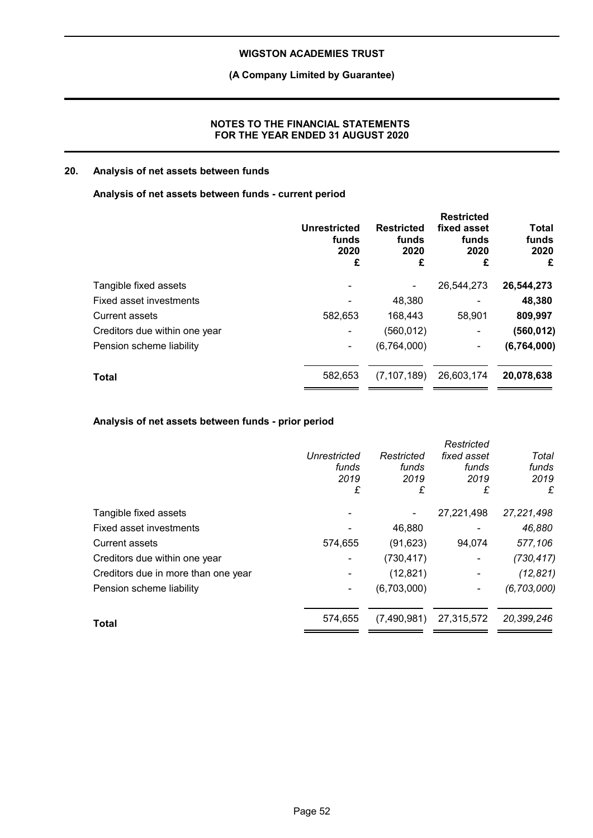## **(A Company Limited by Guarantee)**

## **NOTES TO THE FINANCIAL STATEMENTS FOR THE YEAR ENDED 31 AUGUST 2020**

## **20. Analysis of net assets between funds**

## **Analysis of net assets between funds - current period**

|                               | <b>Unrestricted</b><br>funds<br>2020<br>£ | <b>Restricted</b><br>funds<br>2020<br>£ | <b>Restricted</b><br>fixed asset<br>funds<br>2020<br>£ | <b>Total</b><br>funds<br>2020<br>£ |
|-------------------------------|-------------------------------------------|-----------------------------------------|--------------------------------------------------------|------------------------------------|
| Tangible fixed assets         |                                           |                                         | 26,544,273                                             | 26,544,273                         |
| Fixed asset investments       |                                           | 48,380                                  |                                                        | 48,380                             |
| <b>Current assets</b>         | 582,653                                   | 168,443                                 | 58,901                                                 | 809,997                            |
| Creditors due within one year |                                           | (560, 012)                              |                                                        | (560, 012)                         |
| Pension scheme liability      |                                           | (6,764,000)                             | ۰                                                      | (6,764,000)                        |
| <b>Total</b>                  | 582,653                                   | (7, 107, 189)                           | 26,603,174                                             | 20,078,638                         |
|                               |                                           |                                         |                                                        |                                    |

## **Analysis of net assets between funds - prior period**

|                                     |              |             | Restricted  |               |
|-------------------------------------|--------------|-------------|-------------|---------------|
|                                     | Unrestricted | Restricted  | fixed asset | Total         |
|                                     | funds        | funds       | funds       | funds         |
|                                     | 2019         | 2019        | 2019        | 2019          |
|                                     | £            | £           | £           | £             |
| Tangible fixed assets               |              |             | 27,221,498  | 27,221,498    |
| Fixed asset investments             |              | 46,880      |             | 46,880        |
| Current assets                      | 574,655      | (91, 623)   | 94,074      | 577,106       |
| Creditors due within one year       |              | (730, 417)  |             | (730, 417)    |
| Creditors due in more than one year |              | (12, 821)   |             | (12, 821)     |
| Pension scheme liability            |              | (6,703,000) |             | (6, 703, 000) |
| Total                               | 574,655      | (7,490,981) | 27,315,572  | 20,399,246    |
|                                     |              |             |             |               |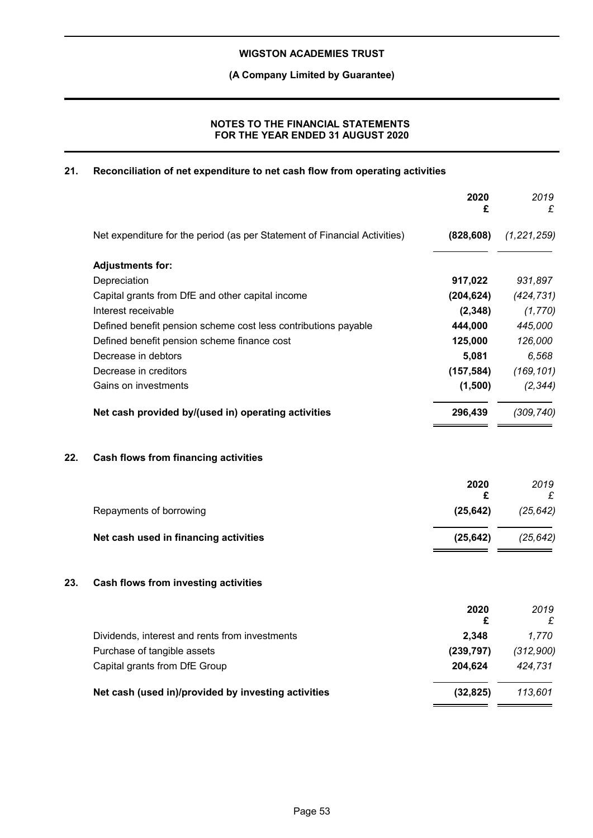## **(A Company Limited by Guarantee)**

## **NOTES TO THE FINANCIAL STATEMENTS FOR THE YEAR ENDED 31 AUGUST 2020**

## **21. Reconciliation of net expenditure to net cash flow from operating activities**

|     |                                                                           | 2020<br>£  | 2019<br>£      |
|-----|---------------------------------------------------------------------------|------------|----------------|
|     | Net expenditure for the period (as per Statement of Financial Activities) | (828, 608) | (1, 221, 259)  |
|     | <b>Adjustments for:</b>                                                   |            |                |
|     | Depreciation                                                              | 917,022    | 931,897        |
|     | Capital grants from DfE and other capital income                          | (204, 624) | (424, 731)     |
|     | Interest receivable                                                       | (2, 348)   | (1, 770)       |
|     | Defined benefit pension scheme cost less contributions payable            | 444,000    | 445,000        |
|     | Defined benefit pension scheme finance cost                               | 125,000    | 126,000        |
|     | Decrease in debtors                                                       | 5,081      | 6,568          |
|     | Decrease in creditors                                                     | (157, 584) | (169, 101)     |
|     | Gains on investments                                                      | (1,500)    | (2, 344)       |
|     | Net cash provided by/(used in) operating activities                       | 296,439    | (309, 740)     |
| 22. | <b>Cash flows from financing activities</b>                               |            |                |
|     |                                                                           | 2020<br>£  | 2019           |
|     | Repayments of borrowing                                                   | (25, 642)  | £<br>(25, 642) |
|     | Net cash used in financing activities                                     | (25, 642)  | (25, 642)      |
| 23. | Cash flows from investing activities                                      |            |                |
|     |                                                                           | 2020<br>£  | 2019<br>£      |
|     | Dividends, interest and rents from investments                            | 2,348      | 1,770          |
|     | Purchase of tangible assets                                               | (239, 797) | (312,900)      |
|     | Capital grants from DfE Group                                             | 204,624    | 424,731        |
|     | Net cash (used in)/provided by investing activities                       | (32, 825)  | 113,601        |
|     |                                                                           |            |                |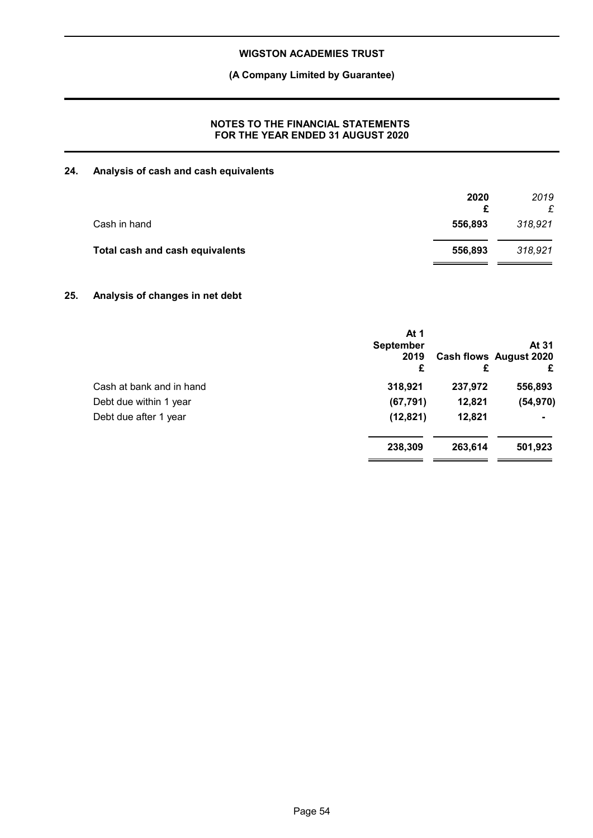## **(A Company Limited by Guarantee)**

## **NOTES TO THE FINANCIAL STATEMENTS FOR THE YEAR ENDED 31 AUGUST 2020**

## **24. Analysis of cash and cash equivalents**

|                                 | 2020<br>£ | 2019    |
|---------------------------------|-----------|---------|
| Cash in hand                    | 556,893   | 318,921 |
| Total cash and cash equivalents | 556,893   | 318,921 |

## **25. Analysis of changes in net debt**

|                          | At 1<br><b>September</b><br>2019<br>£ | £       | At 31<br><b>Cash flows August 2020</b><br>£ |
|--------------------------|---------------------------------------|---------|---------------------------------------------|
| Cash at bank and in hand | 318,921                               | 237,972 | 556,893                                     |
| Debt due within 1 year   | (67, 791)                             | 12,821  | (54, 970)                                   |
| Debt due after 1 year    | (12, 821)                             | 12,821  |                                             |
|                          | 238,309                               | 263,614 | 501,923                                     |
|                          |                                       |         |                                             |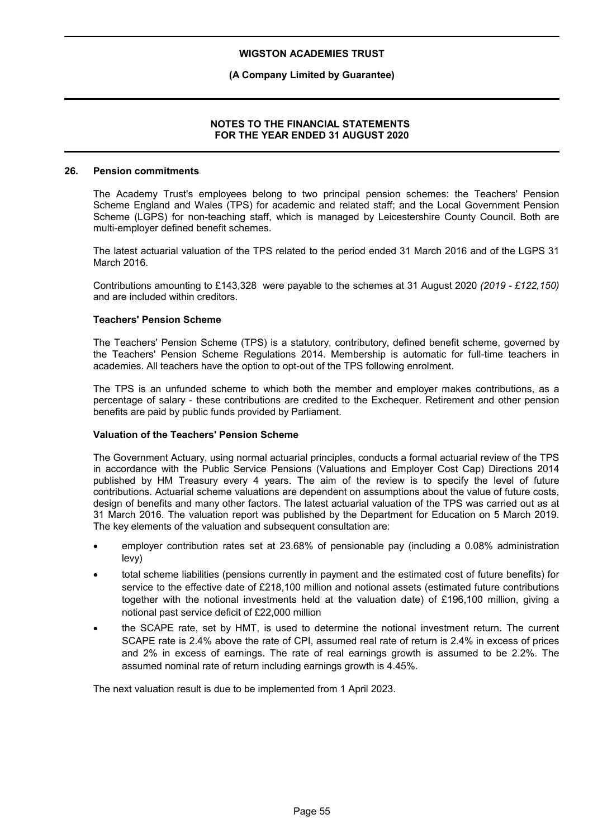## **(A Company Limited by Guarantee)**

#### **NOTES TO THE FINANCIAL STATEMENTS FOR THE YEAR ENDED 31 AUGUST 2020**

#### **26. Pension commitments**

The Academy Trust's employees belong to two principal pension schemes: the Teachers' Pension Scheme England and Wales (TPS) for academic and related staff; and the Local Government Pension Scheme (LGPS) for non-teaching staff, which is managed by Leicestershire County Council. Both are multi-employer defined benefit schemes.

The latest actuarial valuation of the TPS related to the period ended 31 March 2016 and of the LGPS 31 March 2016.

Contributions amounting to £143,328 were payable to the schemes at 31 August 2020 *(2019 - £122,150)* and are included within creditors.

#### **Teachers' Pension Scheme**

The Teachers' Pension Scheme (TPS) is a statutory, contributory, defined benefit scheme, governed by the Teachers' Pension Scheme Regulations 2014. Membership is automatic for full-time teachers in academies. All teachers have the option to opt-out of the TPS following enrolment.

The TPS is an unfunded scheme to which both the member and employer makes contributions, as a percentage of salary - these contributions are credited to the Exchequer. Retirement and other pension benefits are paid by public funds provided by Parliament.

#### **Valuation of the Teachers' Pension Scheme**

The Government Actuary, using normal actuarial principles, conducts a formal actuarial review of the TPS in accordance with the Public Service Pensions (Valuations and Employer Cost Cap) Directions 2014 published by HM Treasury every 4 years. The aim of the review is to specify the level of future contributions. Actuarial scheme valuations are dependent on assumptions about the value of future costs, design of benefits and many other factors. The latest actuarial valuation of the TPS was carried out as at 31 March 2016. The valuation report was published by the Department for Education on 5 March 2019. The key elements of the valuation and subsequent consultation are:

- employer contribution rates set at 23.68% of pensionable pay (including a 0.08% administration levy)
- total scheme liabilities (pensions currently in payment and the estimated cost of future benefits) for service to the effective date of £218,100 million and notional assets (estimated future contributions together with the notional investments held at the valuation date) of £196,100 million, giving a notional past service deficit of £22,000 million
- the SCAPE rate, set by HMT, is used to determine the notional investment return. The current SCAPE rate is 2.4% above the rate of CPI, assumed real rate of return is 2.4% in excess of prices and 2% in excess of earnings. The rate of real earnings growth is assumed to be 2.2%. The assumed nominal rate of return including earnings growth is 4.45%.

The next valuation result is due to be implemented from 1 April 2023.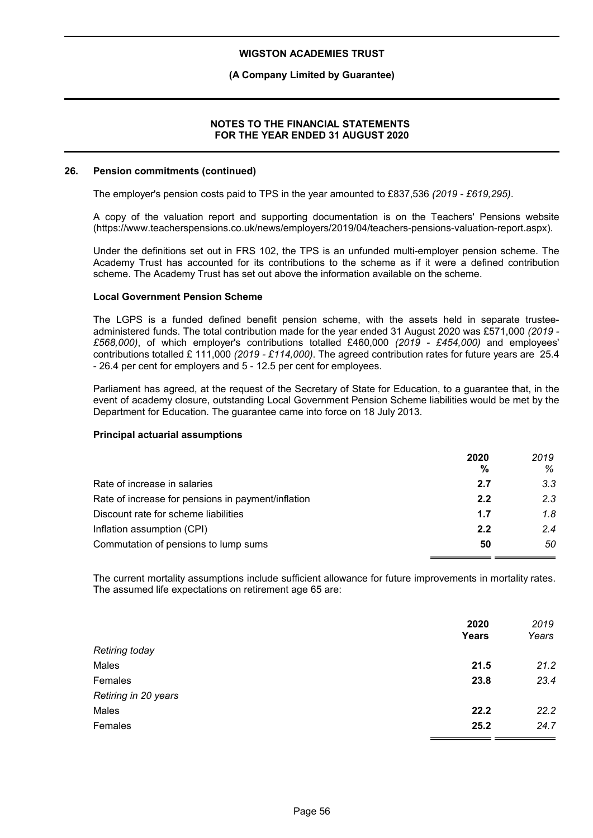## **(A Company Limited by Guarantee)**

#### **NOTES TO THE FINANCIAL STATEMENTS FOR THE YEAR ENDED 31 AUGUST 2020**

#### **26. Pension commitments (continued)**

The employer's pension costs paid to TPS in the year amounted to £837,536 *(2019 - £619,295)*.

A copy of the valuation report and supporting documentation is on the Teachers' Pensions website (https://www.teacherspensions.co.uk/news/employers/2019/04/teachers-pensions-valuation-report.aspx).

Under the definitions set out in FRS 102, the TPS is an unfunded multi-employer pension scheme. The Academy Trust has accounted for its contributions to the scheme as if it were a defined contribution scheme. The Academy Trust has set out above the information available on the scheme.

#### **Local Government Pension Scheme**

The LGPS is a funded defined benefit pension scheme, with the assets held in separate trusteeadministered funds. The total contribution made for the year ended 31 August 2020 was £571,000 *(2019 - £568,000)*, of which employer's contributions totalled £460,000 *(2019 - £454,000)* and employees' contributions totalled £ 111,000 *(2019 - £114,000)*. The agreed contribution rates for future years are 25.4 - 26.4 per cent for employers and 5 - 12.5 per cent for employees.

Parliament has agreed, at the request of the Secretary of State for Education, to a guarantee that, in the event of academy closure, outstanding Local Government Pension Scheme liabilities would be met by the Department for Education. The guarantee came into force on 18 July 2013.

#### **Principal actuarial assumptions**

|                                                    | 2020<br>% | 2019<br>% |
|----------------------------------------------------|-----------|-----------|
| Rate of increase in salaries                       | 2.7       | 3.3       |
| Rate of increase for pensions in payment/inflation | 2.2       | 2.3       |
| Discount rate for scheme liabilities               | 1.7       | 1.8       |
| Inflation assumption (CPI)                         | 2.2       | 2.4       |
| Commutation of pensions to lump sums               | 50        | 50        |

The current mortality assumptions include sufficient allowance for future improvements in mortality rates. The assumed life expectations on retirement age 65 are:

|                       | 2020         | 2019  |
|-----------------------|--------------|-------|
|                       | <b>Years</b> | Years |
| <b>Retiring today</b> |              |       |
| Males                 | 21.5         | 21.2  |
| Females               | 23.8         | 23.4  |
| Retiring in 20 years  |              |       |
| Males                 | 22.2         | 22.2  |
| Females               | 25.2         | 24.7  |
|                       |              |       |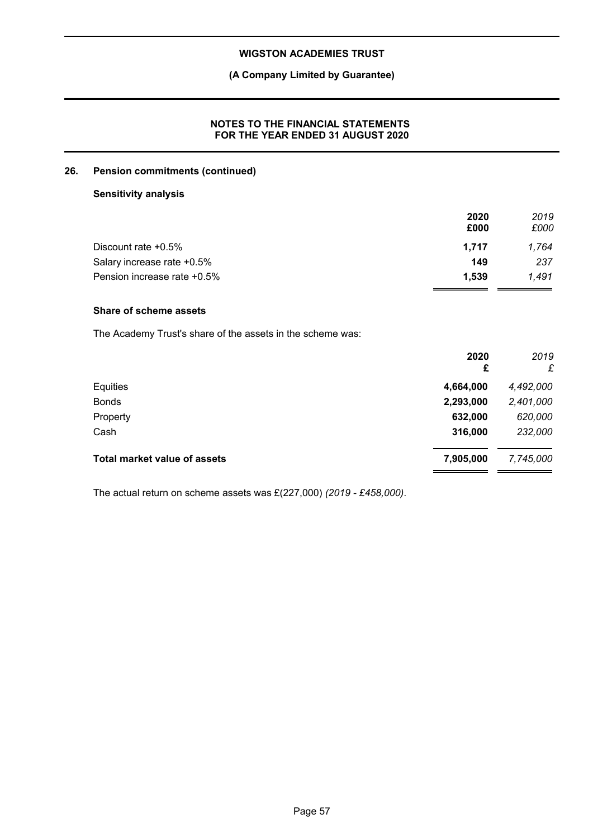## **(A Company Limited by Guarantee)**

## **NOTES TO THE FINANCIAL STATEMENTS FOR THE YEAR ENDED 31 AUGUST 2020**

## **26. Pension commitments (continued)**

## **Sensitivity analysis**

|                             | 2020  | 2019  |
|-----------------------------|-------|-------|
|                             | £000  | £000  |
| Discount rate $+0.5\%$      | 1.717 | 1.764 |
| Salary increase rate +0.5%  | 149   | 237   |
| Pension increase rate +0.5% | 1.539 | 1.491 |

## **Share of scheme assets**

The Academy Trust's share of the assets in the scheme was:

| 2020<br>£ | 2019<br>£ |
|-----------|-----------|
| 4,664,000 | 4,492,000 |
| 2,293,000 | 2,401,000 |
| 632,000   | 620,000   |
| 316,000   | 232,000   |
| 7,905,000 | 7,745,000 |
|           |           |

The actual return on scheme assets was £(227,000) *(2019 - £458,000)*.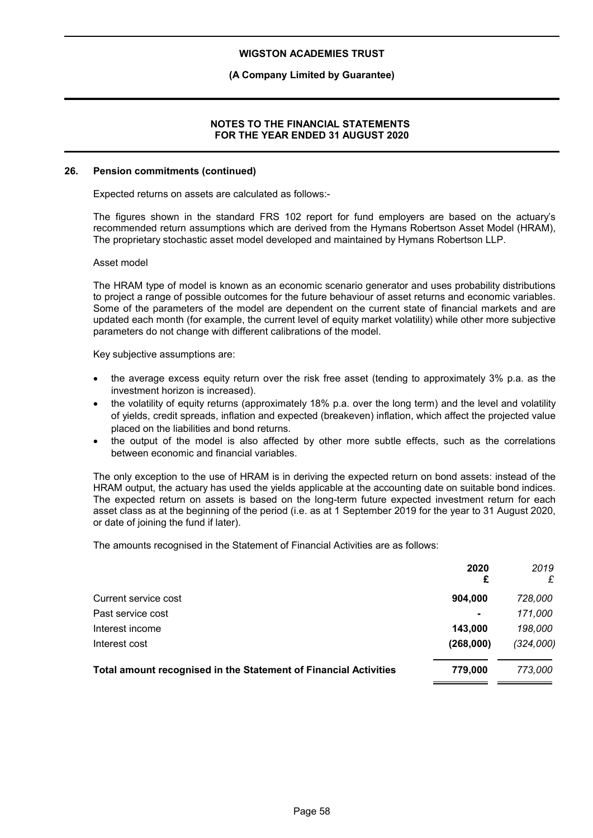## **(A Company Limited by Guarantee)**

#### **NOTES TO THE FINANCIAL STATEMENTS FOR THE YEAR ENDED 31 AUGUST 2020**

#### **26. Pension commitments (continued)**

Expected returns on assets are calculated as follows:-

The figures shown in the standard FRS 102 report for fund employers are based on the actuary's recommended return assumptions which are derived from the Hymans Robertson Asset Model (HRAM), The proprietary stochastic asset model developed and maintained by Hymans Robertson LLP.

#### Asset model

The HRAM type of model is known as an economic scenario generator and uses probability distributions to project a range of possible outcomes for the future behaviour of asset returns and economic variables. Some of the parameters of the model are dependent on the current state of financial markets and are updated each month (for example, the current level of equity market volatility) while other more subjective parameters do not change with different calibrations of the model.

Key subjective assumptions are:

- the average excess equity return over the risk free asset (tending to approximately 3% p.a. as the investment horizon is increased).
- the volatility of equity returns (approximately 18% p.a. over the long term) and the level and volatility of yields, credit spreads, inflation and expected (breakeven) inflation, which affect the projected value placed on the liabilities and bond returns.
- the output of the model is also affected by other more subtle effects, such as the correlations between economic and financial variables.

The only exception to the use of HRAM is in deriving the expected return on bond assets: instead of the HRAM output, the actuary has used the yields applicable at the accounting date on suitable bond indices. The expected return on assets is based on the long-term future expected investment return for each asset class as at the beginning of the period (i.e. as at 1 September 2019 for the year to 31 August 2020, or date of joining the fund if later).

The amounts recognised in the Statement of Financial Activities are as follows:

|                                                                  | 2020<br>£      | 2019<br>£ |
|------------------------------------------------------------------|----------------|-----------|
| Current service cost                                             | 904.000        | 728,000   |
| Past service cost                                                | $\blacksquare$ | 171,000   |
| Interest income                                                  | 143,000        | 198,000   |
| Interest cost                                                    | (268,000)      | (324,000) |
| Total amount recognised in the Statement of Financial Activities | 779.000        | 773,000   |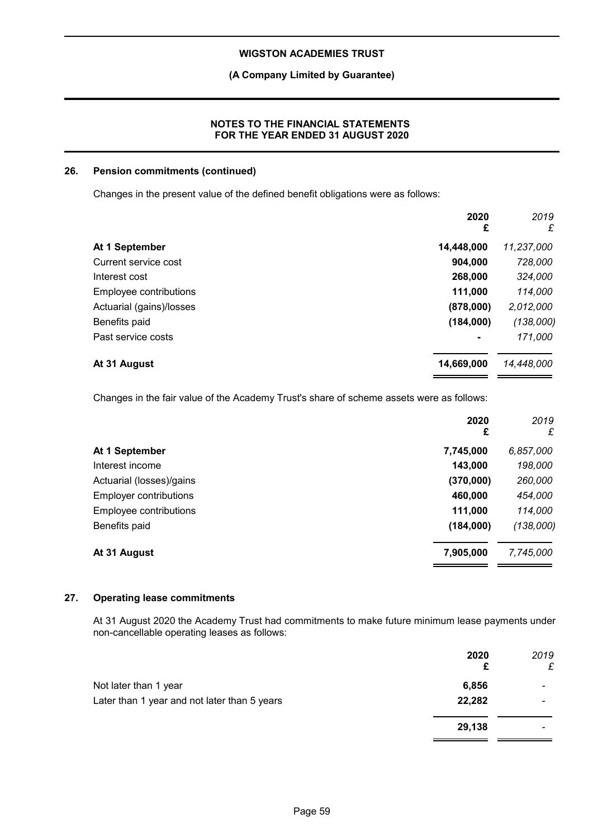## **(A Company Limited by Guarantee)**

## **NOTES TO THE FINANCIAL STATEMENTS FOR THE YEAR ENDED 31 AUGUST 2020**

## **26. Pension commitments (continued)**

Changes in the present value of the defined benefit obligations were as follows:

|                          | 2020<br>£      | 2019<br>£  |
|--------------------------|----------------|------------|
| At 1 September           | 14,448,000     | 11,237,000 |
| Current service cost     | 904,000        | 728,000    |
| Interest cost            | 268,000        | 324,000    |
| Employee contributions   | 111,000        | 114,000    |
| Actuarial (gains)/losses | (878,000)      | 2,012,000  |
| Benefits paid            | (184,000)      | (138,000)  |
| Past service costs       | $\blacksquare$ | 171,000    |
| At 31 August             | 14,669,000     | 14,448,000 |

Changes in the fair value of the Academy Trust's share of scheme assets were as follows:

|                          | 2020<br>£ | 2019<br>£ |
|--------------------------|-----------|-----------|
| At 1 September           | 7,745,000 | 6,857,000 |
| Interest income          | 143,000   | 198,000   |
| Actuarial (losses)/gains | (370,000) | 260,000   |
| Employer contributions   | 460,000   | 454,000   |
| Employee contributions   | 111,000   | 114,000   |
| Benefits paid            | (184,000) | (138,000) |
| At 31 August             | 7,905,000 | 7,745,000 |

## **27. Operating lease commitments**

At 31 August 2020 the Academy Trust had commitments to make future minimum lease payments under non-cancellable operating leases as follows:

|                                              | 2020<br>£ | 2019<br>£                |
|----------------------------------------------|-----------|--------------------------|
| Not later than 1 year                        | 6,856     | $\overline{\phantom{0}}$ |
| Later than 1 year and not later than 5 years | 22,282    | $\overline{\phantom{0}}$ |
|                                              | 29,138    | -                        |